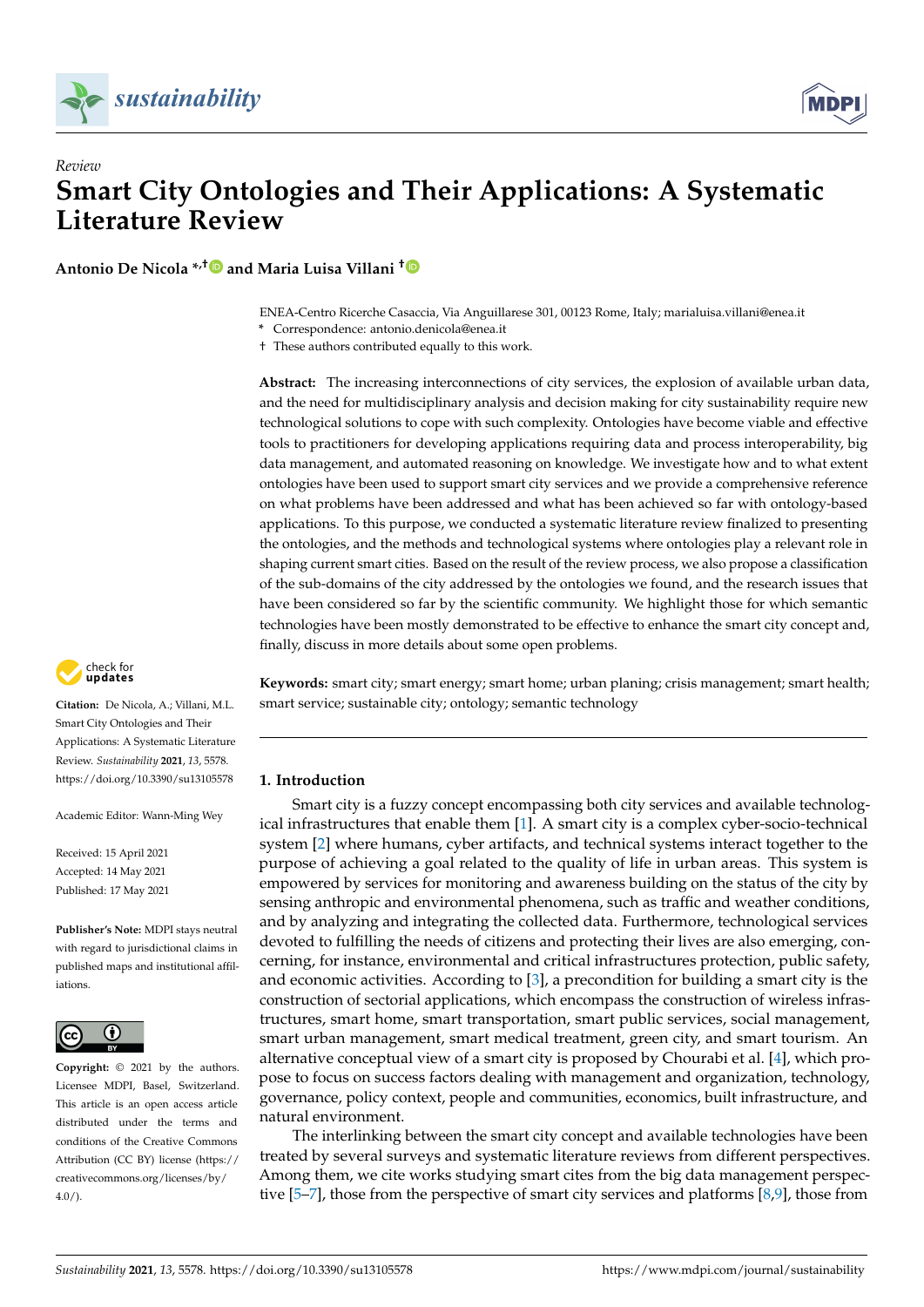



# *Review* **Smart City Ontologies and Their Applications: A Systematic Literature Review**

**Antonio De Nicola \*,[†](https://orcid.org/0000-0002-1045-0510) and Maria Luisa Villani [†](https://orcid.org/0000-0002-7582-806X)**

ENEA-Centro Ricerche Casaccia, Via Anguillarese 301, 00123 Rome, Italy; marialuisa.villani@enea.it

**\*** Correspondence: antonio.denicola@enea.it

† These authors contributed equally to this work.

**Abstract:** The increasing interconnections of city services, the explosion of available urban data, and the need for multidisciplinary analysis and decision making for city sustainability require new technological solutions to cope with such complexity. Ontologies have become viable and effective tools to practitioners for developing applications requiring data and process interoperability, big data management, and automated reasoning on knowledge. We investigate how and to what extent ontologies have been used to support smart city services and we provide a comprehensive reference on what problems have been addressed and what has been achieved so far with ontology-based applications. To this purpose, we conducted a systematic literature review finalized to presenting the ontologies, and the methods and technological systems where ontologies play a relevant role in shaping current smart cities. Based on the result of the review process, we also propose a classification of the sub-domains of the city addressed by the ontologies we found, and the research issues that have been considered so far by the scientific community. We highlight those for which semantic technologies have been mostly demonstrated to be effective to enhance the smart city concept and, finally, discuss in more details about some open problems.

**Keywords:** smart city; smart energy; smart home; urban planing; crisis management; smart health; smart service; sustainable city; ontology; semantic technology

## <span id="page-0-0"></span>**1. Introduction**

Smart city is a fuzzy concept encompassing both city services and available technological infrastructures that enable them [\[1\]](#page-32-0). A smart city is a complex cyber-socio-technical system [\[2\]](#page-32-1) where humans, cyber artifacts, and technical systems interact together to the purpose of achieving a goal related to the quality of life in urban areas. This system is empowered by services for monitoring and awareness building on the status of the city by sensing anthropic and environmental phenomena, such as traffic and weather conditions, and by analyzing and integrating the collected data. Furthermore, technological services devoted to fulfilling the needs of citizens and protecting their lives are also emerging, concerning, for instance, environmental and critical infrastructures protection, public safety, and economic activities. According to [\[3\]](#page-32-2), a precondition for building a smart city is the construction of sectorial applications, which encompass the construction of wireless infrastructures, smart home, smart transportation, smart public services, social management, smart urban management, smart medical treatment, green city, and smart tourism. An alternative conceptual view of a smart city is proposed by Chourabi et al. [\[4\]](#page-32-3), which propose to focus on success factors dealing with management and organization, technology, governance, policy context, people and communities, economics, built infrastructure, and natural environment.

The interlinking between the smart city concept and available technologies have been treated by several surveys and systematic literature reviews from different perspectives. Among them, we cite works studying smart cites from the big data management perspective [\[5](#page-32-4)[–7\]](#page-32-5), those from the perspective of smart city services and platforms [\[8](#page-32-6)[,9\]](#page-32-7), those from



**Citation:** De Nicola, A.; Villani, M.L. Smart City Ontologies and Their Applications: A Systematic Literature Review. *Sustainability* **2021**, *13*, 5578. <https://doi.org/10.3390/su13105578>

Academic Editor: Wann-Ming Wey

Received: 15 April 2021 Accepted: 14 May 2021 Published: 17 May 2021

**Publisher's Note:** MDPI stays neutral with regard to jurisdictional claims in published maps and institutional affiliations.



**Copyright:** © 2021 by the authors. Licensee MDPI, Basel, Switzerland. This article is an open access article distributed under the terms and conditions of the Creative Commons Attribution (CC BY) license (https:/[/](https://creativecommons.org/licenses/by/4.0/) [creativecommons.org/licenses/by/](https://creativecommons.org/licenses/by/4.0/)  $4.0/$ ).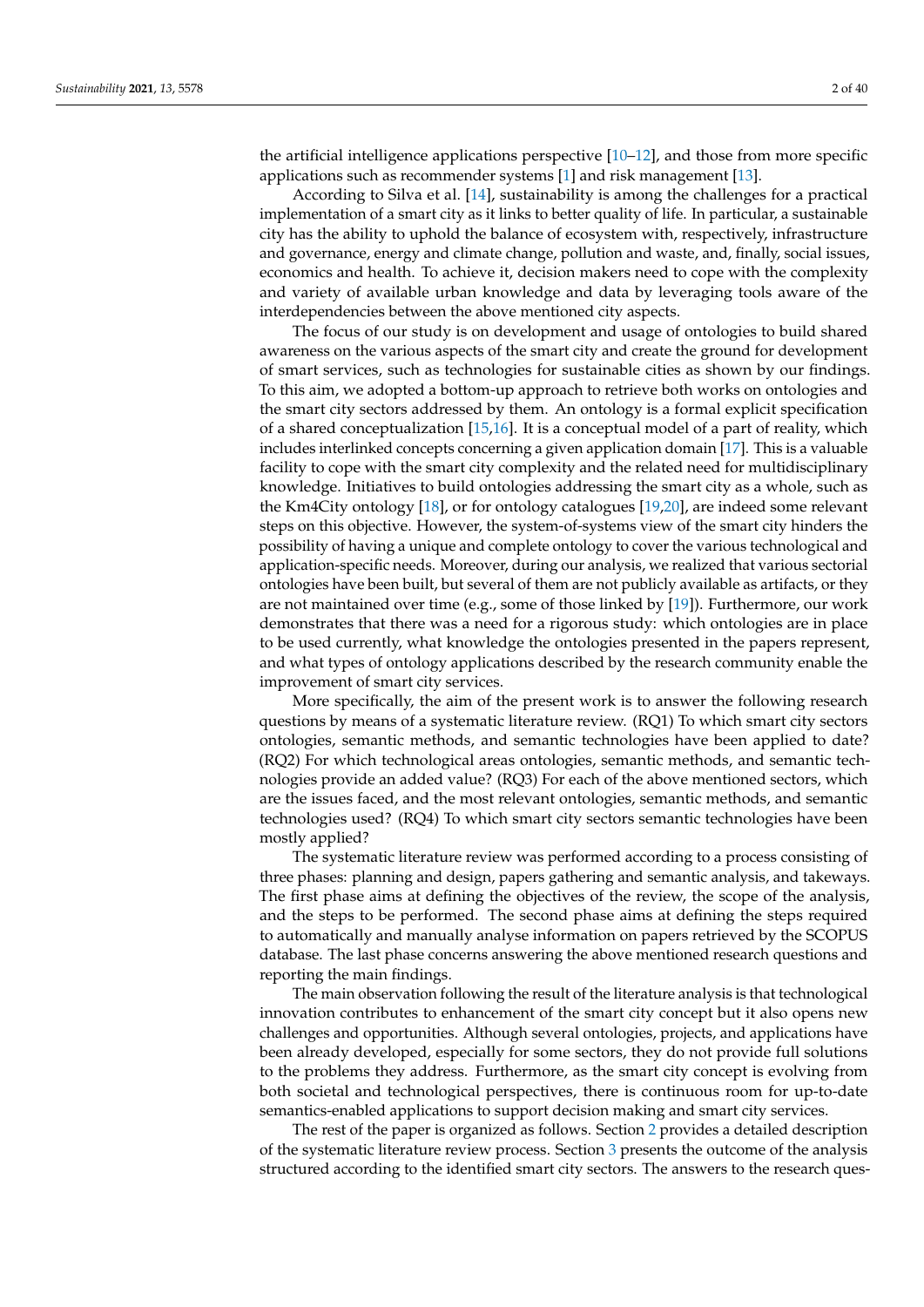the artificial intelligence applications perspective [\[10](#page-32-8)[–12\]](#page-32-9), and those from more specific applications such as recommender systems [\[1\]](#page-32-0) and risk management [\[13\]](#page-32-10).

According to Silva et al. [\[14\]](#page-32-11), sustainability is among the challenges for a practical implementation of a smart city as it links to better quality of life. In particular, a sustainable city has the ability to uphold the balance of ecosystem with, respectively, infrastructure and governance, energy and climate change, pollution and waste, and, finally, social issues, economics and health. To achieve it, decision makers need to cope with the complexity and variety of available urban knowledge and data by leveraging tools aware of the interdependencies between the above mentioned city aspects.

The focus of our study is on development and usage of ontologies to build shared awareness on the various aspects of the smart city and create the ground for development of smart services, such as technologies for sustainable cities as shown by our findings. To this aim, we adopted a bottom-up approach to retrieve both works on ontologies and the smart city sectors addressed by them. An ontology is a formal explicit specification of a shared conceptualization [\[15,](#page-33-0)[16\]](#page-33-1). It is a conceptual model of a part of reality, which includes interlinked concepts concerning a given application domain [\[17\]](#page-33-2). This is a valuable facility to cope with the smart city complexity and the related need for multidisciplinary knowledge. Initiatives to build ontologies addressing the smart city as a whole, such as the Km4City ontology [\[18\]](#page-33-3), or for ontology catalogues [\[19](#page-33-4)[,20\]](#page-33-5), are indeed some relevant steps on this objective. However, the system-of-systems view of the smart city hinders the possibility of having a unique and complete ontology to cover the various technological and application-specific needs. Moreover, during our analysis, we realized that various sectorial ontologies have been built, but several of them are not publicly available as artifacts, or they are not maintained over time (e.g., some of those linked by [\[19\]](#page-33-4)). Furthermore, our work demonstrates that there was a need for a rigorous study: which ontologies are in place to be used currently, what knowledge the ontologies presented in the papers represent, and what types of ontology applications described by the research community enable the improvement of smart city services.

More specifically, the aim of the present work is to answer the following research questions by means of a systematic literature review. (RQ1) To which smart city sectors ontologies, semantic methods, and semantic technologies have been applied to date? (RQ2) For which technological areas ontologies, semantic methods, and semantic technologies provide an added value? (RQ3) For each of the above mentioned sectors, which are the issues faced, and the most relevant ontologies, semantic methods, and semantic technologies used? (RQ4) To which smart city sectors semantic technologies have been mostly applied?

The systematic literature review was performed according to a process consisting of three phases: planning and design, papers gathering and semantic analysis, and takeways. The first phase aims at defining the objectives of the review, the scope of the analysis, and the steps to be performed. The second phase aims at defining the steps required to automatically and manually analyse information on papers retrieved by the SCOPUS database. The last phase concerns answering the above mentioned research questions and reporting the main findings.

The main observation following the result of the literature analysis is that technological innovation contributes to enhancement of the smart city concept but it also opens new challenges and opportunities. Although several ontologies, projects, and applications have been already developed, especially for some sectors, they do not provide full solutions to the problems they address. Furthermore, as the smart city concept is evolving from both societal and technological perspectives, there is continuous room for up-to-date semantics-enabled applications to support decision making and smart city services.

The rest of the paper is organized as follows. Section [2](#page-2-0) provides a detailed description of the systematic literature review process. Section [3](#page-7-0) presents the outcome of the analysis structured according to the identified smart city sectors. The answers to the research ques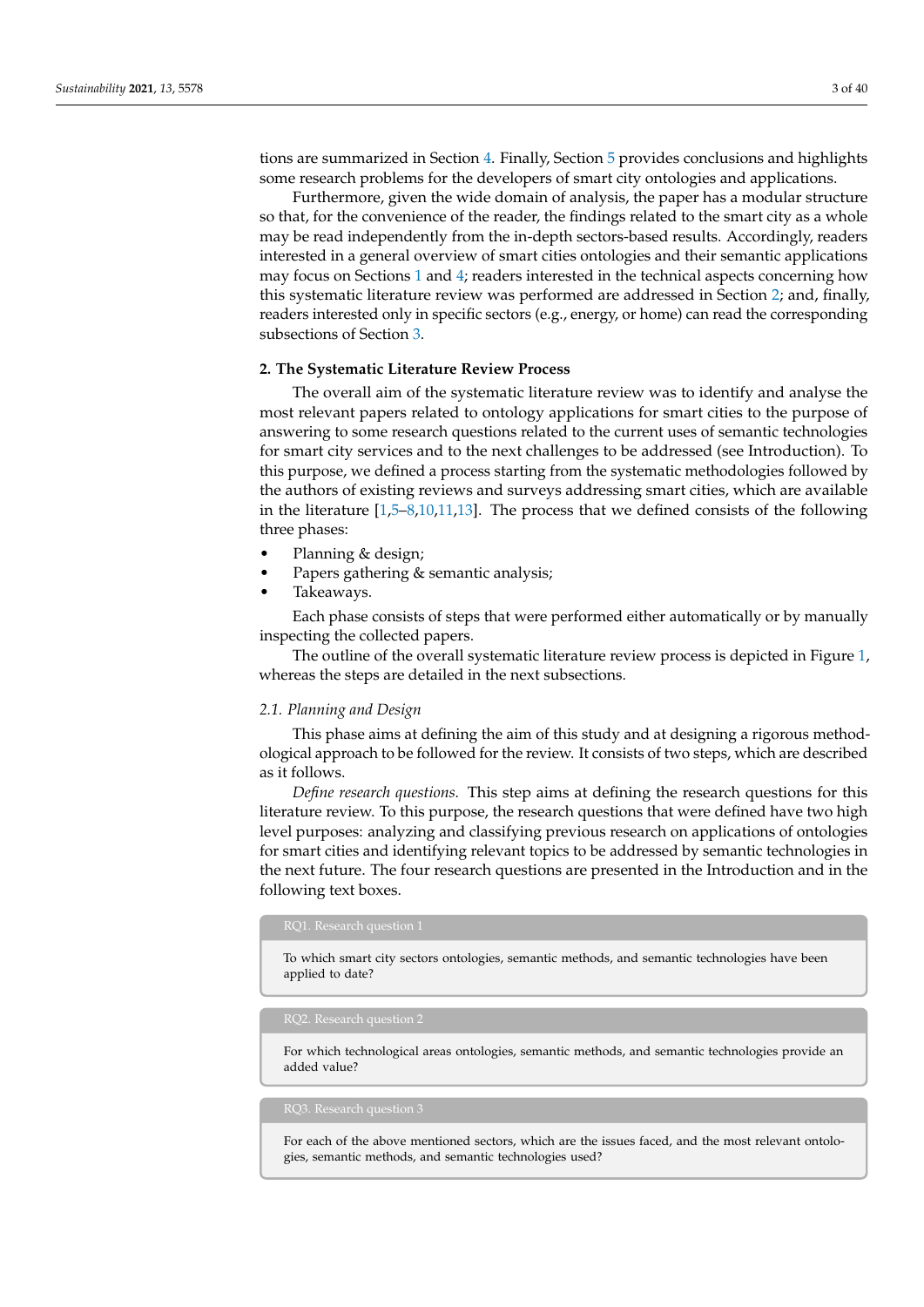tions are summarized in Section [4.](#page-25-0) Finally, Section [5](#page-28-0) provides conclusions and highlights some research problems for the developers of smart city ontologies and applications.

Furthermore, given the wide domain of analysis, the paper has a modular structure so that, for the convenience of the reader, the findings related to the smart city as a whole may be read independently from the in-depth sectors-based results. Accordingly, readers interested in a general overview of smart cities ontologies and their semantic applications may focus on Sections [1](#page-0-0) and [4;](#page-25-0) readers interested in the technical aspects concerning how this systematic literature review was performed are addressed in Section [2;](#page-2-0) and, finally, readers interested only in specific sectors (e.g., energy, or home) can read the corresponding subsections of Section [3.](#page-7-0)

## <span id="page-2-0"></span>**2. The Systematic Literature Review Process**

The overall aim of the systematic literature review was to identify and analyse the most relevant papers related to ontology applications for smart cities to the purpose of answering to some research questions related to the current uses of semantic technologies for smart city services and to the next challenges to be addressed (see Introduction). To this purpose, we defined a process starting from the systematic methodologies followed by the authors of existing reviews and surveys addressing smart cities, which are available in the literature [\[1,](#page-32-0)[5](#page-32-4)[–8](#page-32-6)[,10](#page-32-8)[,11](#page-32-12)[,13\]](#page-32-10). The process that we defined consists of the following three phases:

- Planning & design;
- Papers gathering & semantic analysis;
- Takeaways.

Each phase consists of steps that were performed either automatically or by manually inspecting the collected papers.

The outline of the overall systematic literature review process is depicted in Figure [1,](#page-4-0) whereas the steps are detailed in the next subsections.

### *2.1. Planning and Design*

This phase aims at defining the aim of this study and at designing a rigorous methodological approach to be followed for the review. It consists of two steps, which are described as it follows.

*Define research questions.* This step aims at defining the research questions for this literature review. To this purpose, the research questions that were defined have two high level purposes: analyzing and classifying previous research on applications of ontologies for smart cities and identifying relevant topics to be addressed by semantic technologies in the next future. The four research questions are presented in the Introduction and in the following text boxes.

To which smart city sectors ontologies, semantic methods, and semantic technologies have been applied to date?

For which technological areas ontologies, semantic methods, and semantic technologies provide an added value?

For each of the above mentioned sectors, which are the issues faced, and the most relevant ontologies, semantic methods, and semantic technologies used?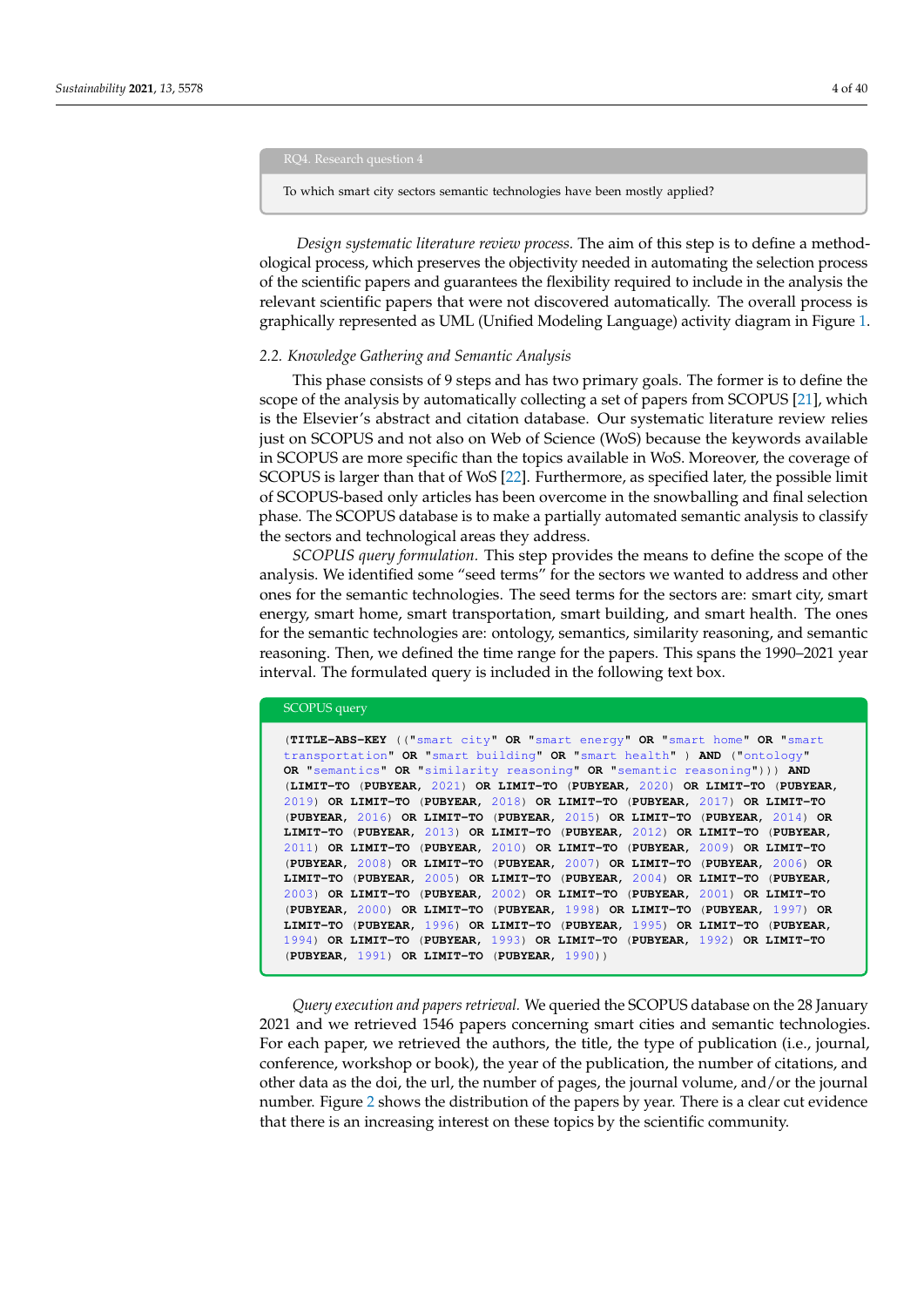RQ4. Research question 4

To which smart city sectors semantic technologies have been mostly applied?

*Design systematic literature review process.* The aim of this step is to define a methodological process, which preserves the objectivity needed in automating the selection process of the scientific papers and guarantees the flexibility required to include in the analysis the relevant scientific papers that were not discovered automatically. The overall process is graphically represented as UML (Unified Modeling Language) activity diagram in Figure [1.](#page-4-0)

#### *2.2. Knowledge Gathering and Semantic Analysis*

This phase consists of 9 steps and has two primary goals. The former is to define the scope of the analysis by automatically collecting a set of papers from SCOPUS [\[21\]](#page-33-6), which is the Elsevier's abstract and citation database. Our systematic literature review relies just on SCOPUS and not also on Web of Science (WoS) because the keywords available in SCOPUS are more specific than the topics available in WoS. Moreover, the coverage of SCOPUS is larger than that of WoS [\[22\]](#page-33-7). Furthermore, as specified later, the possible limit of SCOPUS-based only articles has been overcome in the snowballing and final selection phase. The SCOPUS database is to make a partially automated semantic analysis to classify the sectors and technological areas they address.

*SCOPUS query formulation.* This step provides the means to define the scope of the analysis. We identified some "seed terms" for the sectors we wanted to address and other ones for the semantic technologies. The seed terms for the sectors are: smart city, smart energy, smart home, smart transportation, smart building, and smart health. The ones for the semantic technologies are: ontology, semantics, similarity reasoning, and semantic reasoning. Then, we defined the time range for the papers. This spans the 1990–2021 year interval. The formulated query is included in the following text box.

```
SCOPUS query
(TITLE-ABS-KEY (("smart city" OR "smart energy" OR "smart home" OR "smart
transportation" OR "smart building" OR "smart health" ) AND ("ontology"
OR "semantics" OR "similarity reasoning" OR "semantic reasoning"))) AND
(LIMIT-TO (PUBYEAR, 2021) OR LIMIT-TO (PUBYEAR, 2020) OR LIMIT-TO (PUBYEAR,
2019) OR LIMIT-TO (PUBYEAR, 2018) OR LIMIT-TO (PUBYEAR, 2017) OR LIMIT-TO
(PUBYEAR, 2016) OR LIMIT-TO (PUBYEAR, 2015) OR LIMIT-TO (PUBYEAR, 2014) OR
LIMIT-TO (PUBYEAR, 2013) OR LIMIT-TO (PUBYEAR, 2012) OR LIMIT-TO (PUBYEAR,
2011) OR LIMIT-TO (PUBYEAR, 2010) OR LIMIT-TO (PUBYEAR, 2009) OR LIMIT-TO
(PUBYEAR, 2008) OR LIMIT-TO (PUBYEAR, 2007) OR LIMIT-TO (PUBYEAR, 2006) OR
LIMIT-TO (PUBYEAR, 2005) OR LIMIT-TO (PUBYEAR, 2004) OR LIMIT-TO (PUBYEAR,
2003) OR LIMIT-TO (PUBYEAR, 2002) OR LIMIT-TO (PUBYEAR, 2001) OR LIMIT-TO
(PUBYEAR, 2000) OR LIMIT-TO (PUBYEAR, 1998) OR LIMIT-TO (PUBYEAR, 1997) OR
LIMIT-TO (PUBYEAR, 1996) OR LIMIT-TO (PUBYEAR, 1995) OR LIMIT-TO (PUBYEAR,
1994) OR LIMIT-TO (PUBYEAR, 1993) OR LIMIT-TO (PUBYEAR, 1992) OR LIMIT-TO
(PUBYEAR, 1991) OR LIMIT-TO (PUBYEAR, 1990))
```
*Query execution and papers retrieval.* We queried the SCOPUS database on the 28 January 2021 and we retrieved 1546 papers concerning smart cities and semantic technologies. For each paper, we retrieved the authors, the title, the type of publication (i.e., journal, conference, workshop or book), the year of the publication, the number of citations, and other data as the doi, the url, the number of pages, the journal volume, and/or the journal number. Figure [2](#page-5-0) shows the distribution of the papers by year. There is a clear cut evidence that there is an increasing interest on these topics by the scientific community.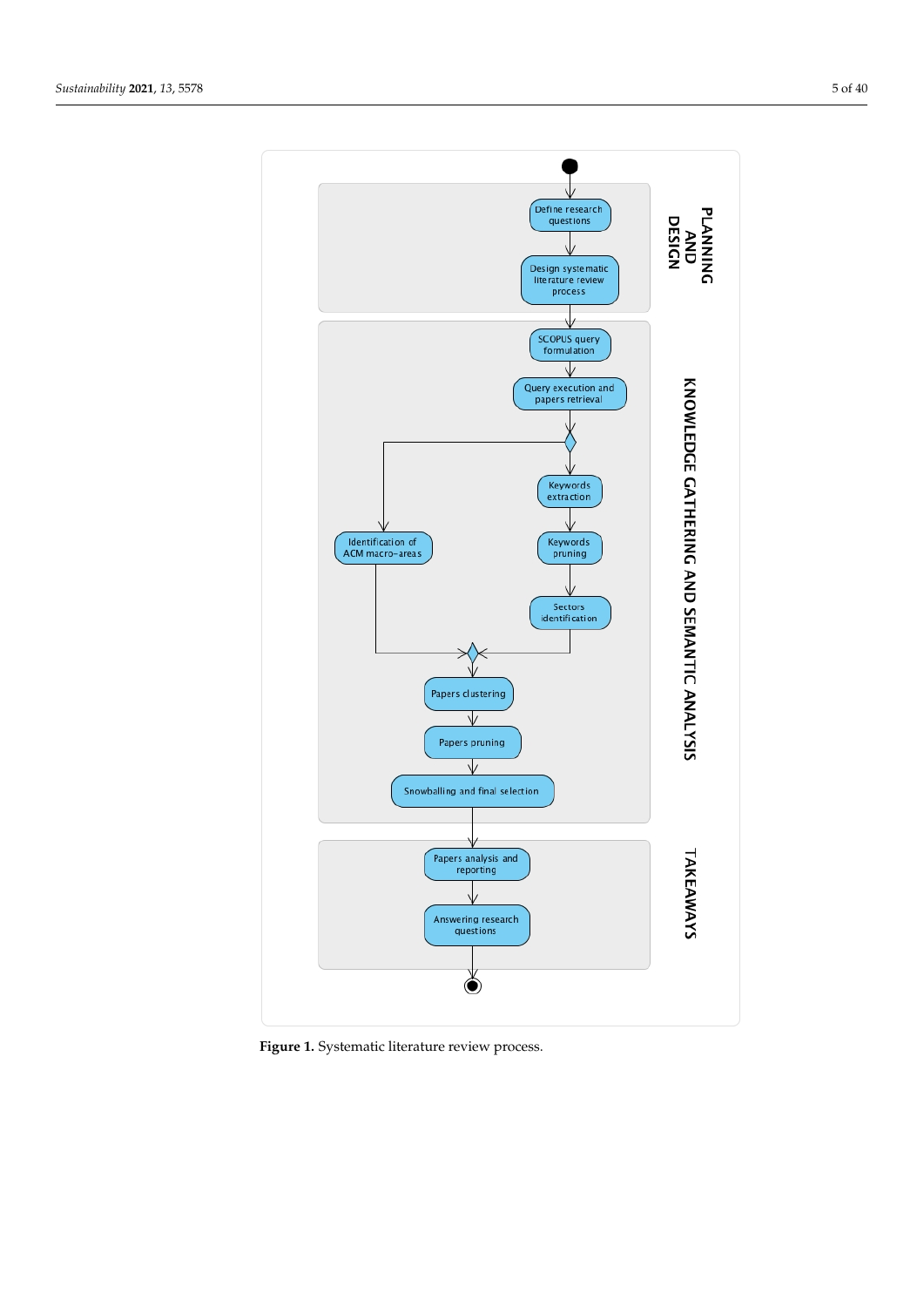<span id="page-4-0"></span>

**Figure 1.** Systematic literature review process.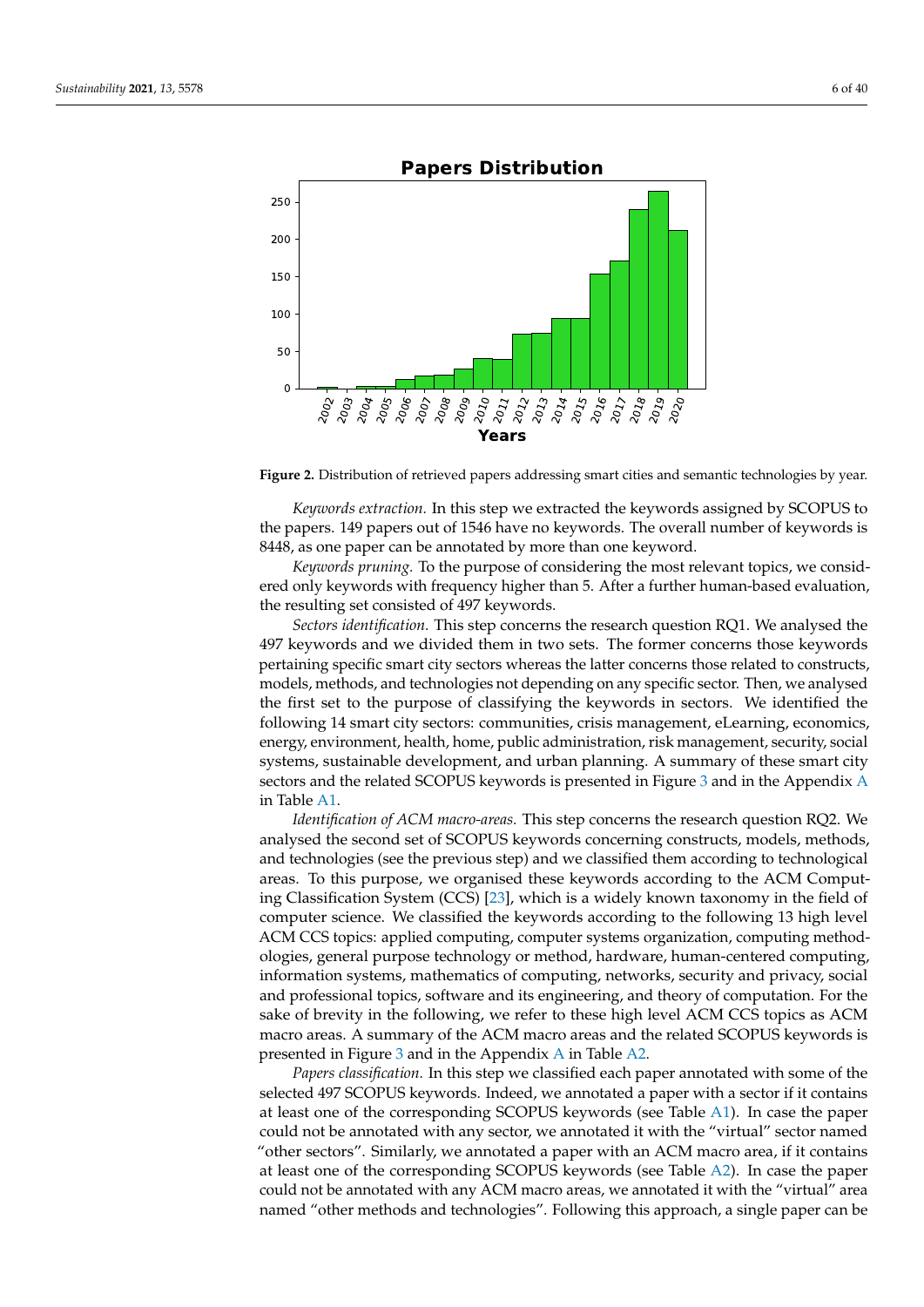<span id="page-5-0"></span>

**Figure 2.** Distribution of retrieved papers addressing smart cities and semantic technologies by year.

*Keywords extraction.* In this step we extracted the keywords assigned by SCOPUS to the papers. 149 papers out of 1546 have no keywords. The overall number of keywords is 8448, as one paper can be annotated by more than one keyword.

*Keywords pruning.* To the purpose of considering the most relevant topics, we considered only keywords with frequency higher than 5. After a further human-based evaluation, the resulting set consisted of 497 keywords.

*Sectors identification.* This step concerns the research question RQ1. We analysed the 497 keywords and we divided them in two sets. The former concerns those keywords pertaining specific smart city sectors whereas the latter concerns those related to constructs, models, methods, and technologies not depending on any specific sector. Then, we analysed the first set to the purpose of classifying the keywords in sectors. We identified the following 14 smart city sectors: communities, crisis management, eLearning, economics, energy, environment, health, home, public administration, risk management, security, social systems, sustainable development, and urban planning. A summary of these smart city sectors and the related SCOPUS keywords is presented in Figure [3](#page-6-0) and in the Appendix [A](#page-29-0) in Table [A1.](#page-30-0)

*Identification of ACM macro-areas.* This step concerns the research question RQ2. We analysed the second set of SCOPUS keywords concerning constructs, models, methods, and technologies (see the previous step) and we classified them according to technological areas. To this purpose, we organised these keywords according to the ACM Computing Classification System (CCS) [\[23\]](#page-33-8), which is a widely known taxonomy in the field of computer science. We classified the keywords according to the following 13 high level ACM CCS topics: applied computing, computer systems organization, computing methodologies, general purpose technology or method, hardware, human-centered computing, information systems, mathematics of computing, networks, security and privacy, social and professional topics, software and its engineering, and theory of computation. For the sake of brevity in the following, we refer to these high level ACM CCS topics as ACM macro areas. A summary of the ACM macro areas and the related SCOPUS keywords is presented in Figure [3](#page-6-0) and in the Appendix [A](#page-29-0) in Table [A2.](#page-32-13)

*Papers classification.* In this step we classified each paper annotated with some of the selected 497 SCOPUS keywords. Indeed, we annotated a paper with a sector if it contains at least one of the corresponding SCOPUS keywords (see Table [A1\)](#page-30-0). In case the paper could not be annotated with any sector, we annotated it with the "virtual" sector named "other sectors". Similarly, we annotated a paper with an ACM macro area, if it contains at least one of the corresponding SCOPUS keywords (see Table [A2\)](#page-32-13). In case the paper could not be annotated with any ACM macro areas, we annotated it with the "virtual" area named "other methods and technologies". Following this approach, a single paper can be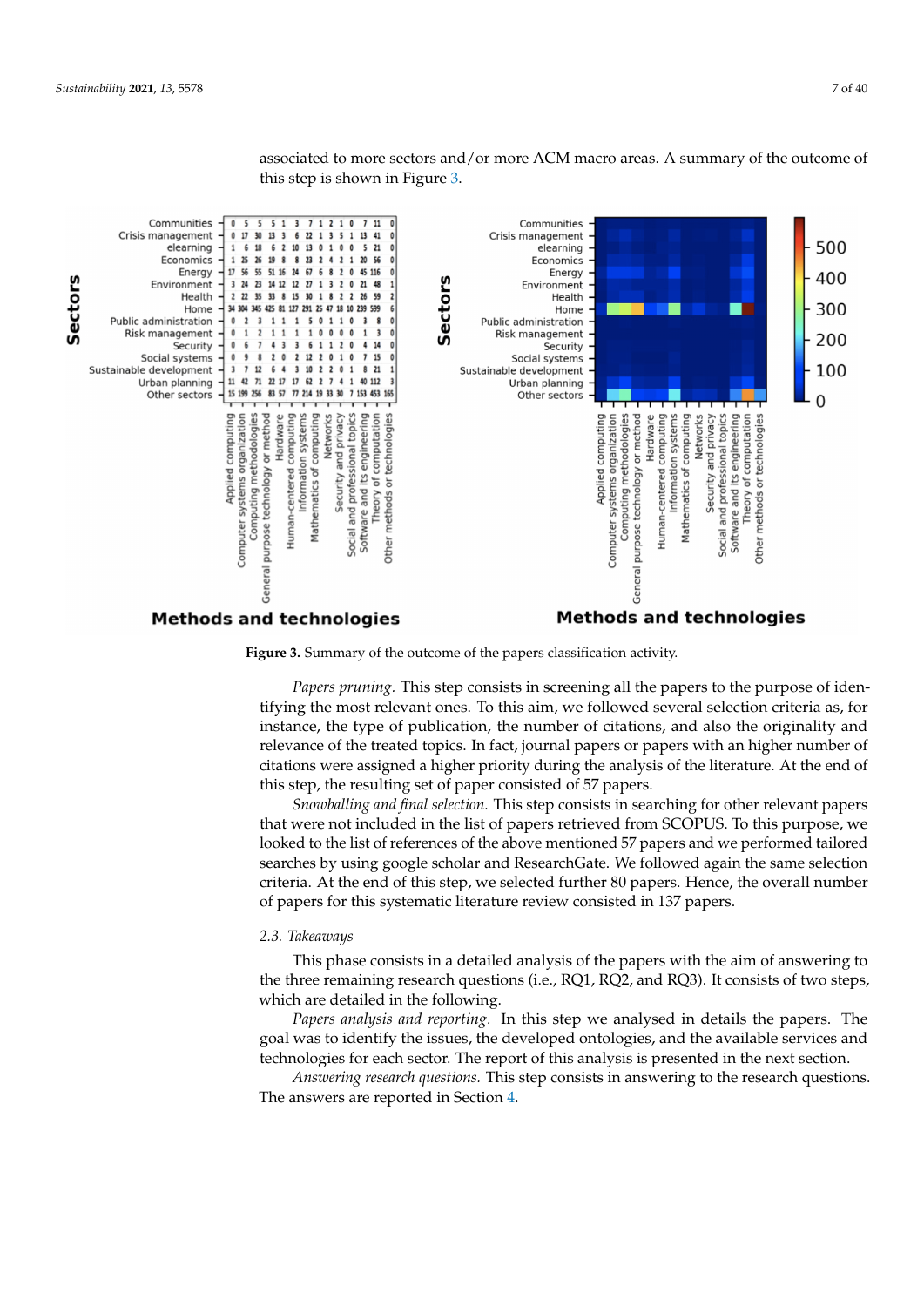**Sectors** 

<span id="page-6-0"></span>

associated to more sectors and/or more ACM macro areas. A summary of the outcome of this step is shown in Figure [3.](#page-6-0)

## **Methods and technologies**

## **Methods and technologies**

**Figure 3.** Summary of the outcome of the papers classification activity.

*Papers pruning.* This step consists in screening all the papers to the purpose of identifying the most relevant ones. To this aim, we followed several selection criteria as, for instance, the type of publication, the number of citations, and also the originality and relevance of the treated topics. In fact, journal papers or papers with an higher number of citations were assigned a higher priority during the analysis of the literature. At the end of this step, the resulting set of paper consisted of 57 papers.

*Snowballing and final selection.* This step consists in searching for other relevant papers that were not included in the list of papers retrieved from SCOPUS. To this purpose, we looked to the list of references of the above mentioned 57 papers and we performed tailored searches by using google scholar and ResearchGate. We followed again the same selection criteria. At the end of this step, we selected further 80 papers. Hence, the overall number of papers for this systematic literature review consisted in 137 papers.

#### *2.3. Takeaways*

This phase consists in a detailed analysis of the papers with the aim of answering to the three remaining research questions (i.e., RQ1, RQ2, and RQ3). It consists of two steps, which are detailed in the following.

*Papers analysis and reporting.* In this step we analysed in details the papers. The goal was to identify the issues, the developed ontologies, and the available services and technologies for each sector. The report of this analysis is presented in the next section.

*Answering research questions.* This step consists in answering to the research questions. The answers are reported in Section [4.](#page-25-0)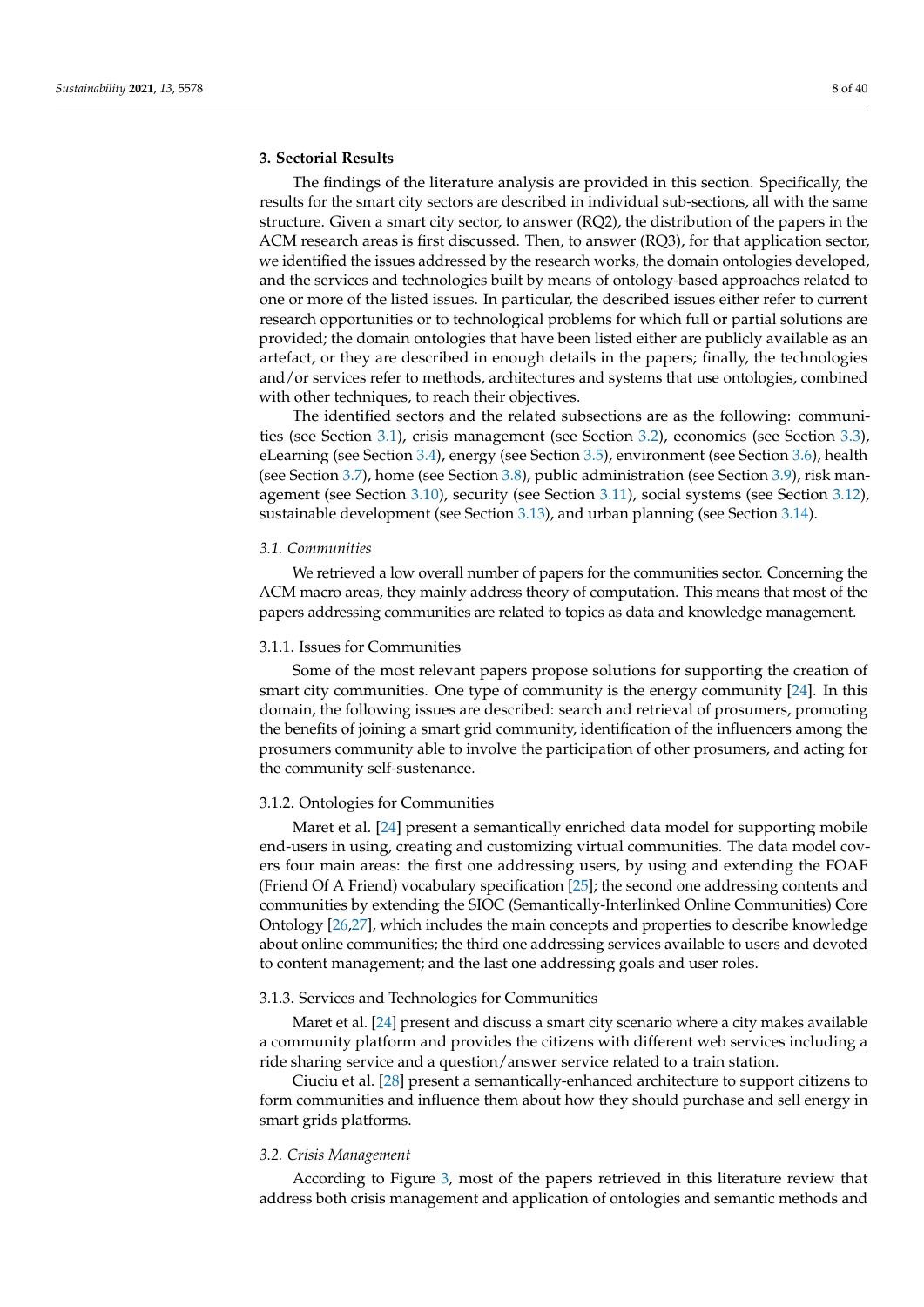## <span id="page-7-0"></span>**3. Sectorial Results**

The findings of the literature analysis are provided in this section. Specifically, the results for the smart city sectors are described in individual sub-sections, all with the same structure. Given a smart city sector, to answer (RQ2), the distribution of the papers in the ACM research areas is first discussed. Then, to answer (RQ3), for that application sector, we identified the issues addressed by the research works, the domain ontologies developed, and the services and technologies built by means of ontology-based approaches related to one or more of the listed issues. In particular, the described issues either refer to current research opportunities or to technological problems for which full or partial solutions are provided; the domain ontologies that have been listed either are publicly available as an artefact, or they are described in enough details in the papers; finally, the technologies and/or services refer to methods, architectures and systems that use ontologies, combined with other techniques, to reach their objectives.

The identified sectors and the related subsections are as the following: communities (see Section [3.1\)](#page-7-1), crisis management (see Section [3.2\)](#page-7-2), economics (see Section [3.3\)](#page-9-0), eLearning (see Section [3.4\)](#page-10-0), energy (see Section [3.5\)](#page-11-0), environment (see Section [3.6\)](#page-13-0), health (see Section [3.7\)](#page-14-0), home (see Section [3.8\)](#page-16-0), public administration (see Section [3.9\)](#page-18-0), risk management (see Section [3.10\)](#page-19-0), security (see Section [3.11\)](#page-20-0), social systems (see Section [3.12\)](#page-21-0), sustainable development (see Section [3.13\)](#page-22-0), and urban planning (see Section [3.14\)](#page-23-0).

#### <span id="page-7-1"></span>*3.1. Communities*

We retrieved a low overall number of papers for the communities sector. Concerning the ACM macro areas, they mainly address theory of computation. This means that most of the papers addressing communities are related to topics as data and knowledge management.

#### 3.1.1. Issues for Communities

Some of the most relevant papers propose solutions for supporting the creation of smart city communities. One type of community is the energy community [\[24\]](#page-33-9). In this domain, the following issues are described: search and retrieval of prosumers, promoting the benefits of joining a smart grid community, identification of the influencers among the prosumers community able to involve the participation of other prosumers, and acting for the community self-sustenance.

#### 3.1.2. Ontologies for Communities

Maret et al. [\[24\]](#page-33-9) present a semantically enriched data model for supporting mobile end-users in using, creating and customizing virtual communities. The data model covers four main areas: the first one addressing users, by using and extending the FOAF (Friend Of A Friend) vocabulary specification [\[25\]](#page-33-10); the second one addressing contents and communities by extending the SIOC (Semantically-Interlinked Online Communities) Core Ontology [\[26,](#page-33-11)[27\]](#page-33-12), which includes the main concepts and properties to describe knowledge about online communities; the third one addressing services available to users and devoted to content management; and the last one addressing goals and user roles.

## 3.1.3. Services and Technologies for Communities

Maret et al. [\[24\]](#page-33-9) present and discuss a smart city scenario where a city makes available a community platform and provides the citizens with different web services including a ride sharing service and a question/answer service related to a train station.

Ciuciu et al. [\[28\]](#page-33-13) present a semantically-enhanced architecture to support citizens to form communities and influence them about how they should purchase and sell energy in smart grids platforms.

## <span id="page-7-2"></span>*3.2. Crisis Management*

According to Figure [3,](#page-6-0) most of the papers retrieved in this literature review that address both crisis management and application of ontologies and semantic methods and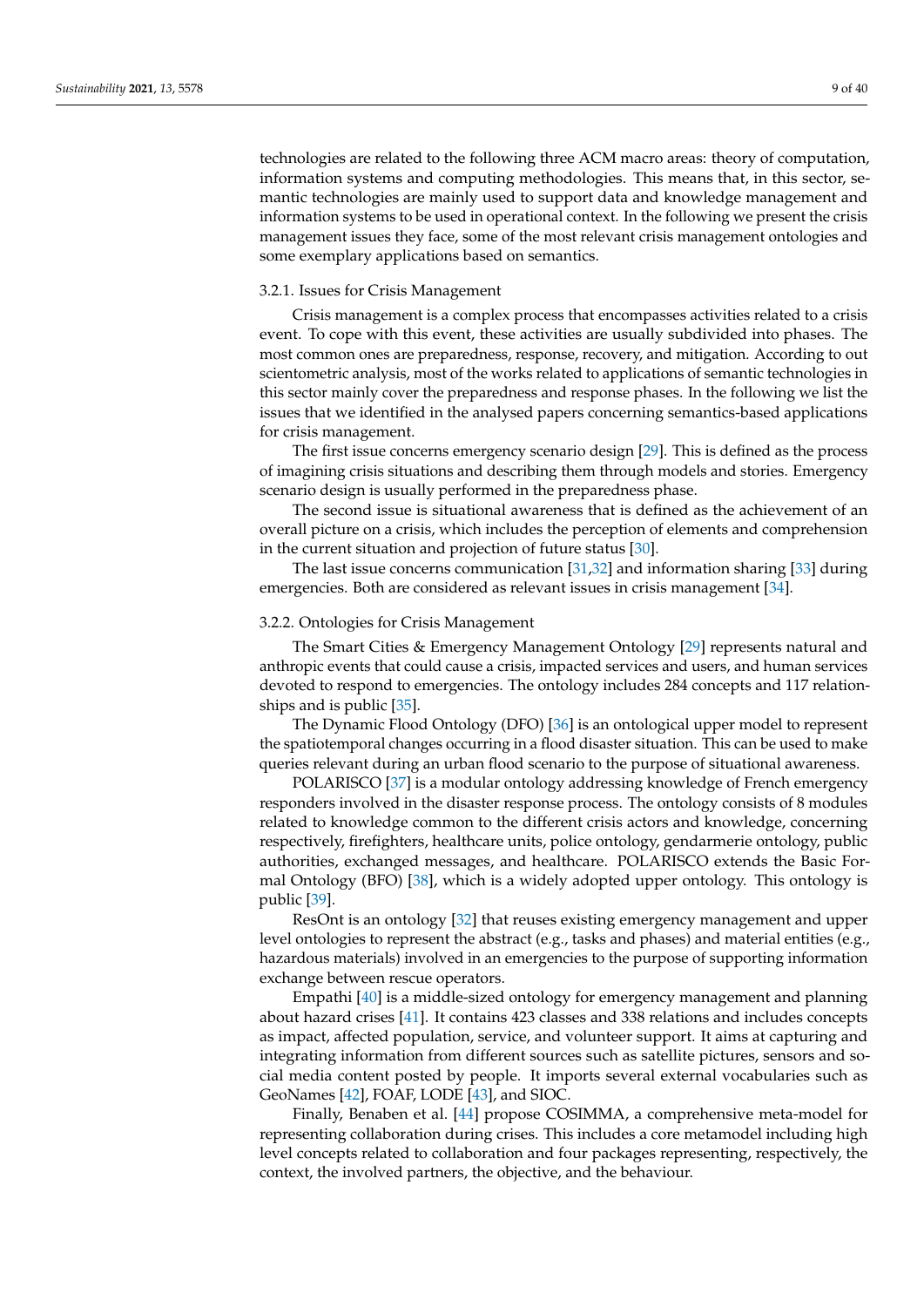technologies are related to the following three ACM macro areas: theory of computation, information systems and computing methodologies. This means that, in this sector, semantic technologies are mainly used to support data and knowledge management and information systems to be used in operational context. In the following we present the crisis management issues they face, some of the most relevant crisis management ontologies and some exemplary applications based on semantics.

#### 3.2.1. Issues for Crisis Management

Crisis management is a complex process that encompasses activities related to a crisis event. To cope with this event, these activities are usually subdivided into phases. The most common ones are preparedness, response, recovery, and mitigation. According to out scientometric analysis, most of the works related to applications of semantic technologies in this sector mainly cover the preparedness and response phases. In the following we list the issues that we identified in the analysed papers concerning semantics-based applications for crisis management.

The first issue concerns emergency scenario design [\[29\]](#page-33-14). This is defined as the process of imagining crisis situations and describing them through models and stories. Emergency scenario design is usually performed in the preparedness phase.

The second issue is situational awareness that is defined as the achievement of an overall picture on a crisis, which includes the perception of elements and comprehension in the current situation and projection of future status [\[30\]](#page-33-15).

The last issue concerns communication [\[31,](#page-33-16)[32\]](#page-33-17) and information sharing [\[33\]](#page-33-18) during emergencies. Both are considered as relevant issues in crisis management [\[34\]](#page-33-19).

#### 3.2.2. Ontologies for Crisis Management

The Smart Cities & Emergency Management Ontology [\[29\]](#page-33-14) represents natural and anthropic events that could cause a crisis, impacted services and users, and human services devoted to respond to emergencies. The ontology includes 284 concepts and 117 relationships and is public [\[35\]](#page-33-20).

The Dynamic Flood Ontology (DFO) [\[36\]](#page-33-21) is an ontological upper model to represent the spatiotemporal changes occurring in a flood disaster situation. This can be used to make queries relevant during an urban flood scenario to the purpose of situational awareness.

POLARISCO [\[37\]](#page-33-22) is a modular ontology addressing knowledge of French emergency responders involved in the disaster response process. The ontology consists of 8 modules related to knowledge common to the different crisis actors and knowledge, concerning respectively, firefighters, healthcare units, police ontology, gendarmerie ontology, public authorities, exchanged messages, and healthcare. POLARISCO extends the Basic Formal Ontology (BFO) [\[38\]](#page-33-23), which is a widely adopted upper ontology. This ontology is public [\[39\]](#page-33-24).

ResOnt is an ontology [\[32\]](#page-33-17) that reuses existing emergency management and upper level ontologies to represent the abstract (e.g., tasks and phases) and material entities (e.g., hazardous materials) involved in an emergencies to the purpose of supporting information exchange between rescue operators.

Empathi [\[40\]](#page-33-25) is a middle-sized ontology for emergency management and planning about hazard crises [\[41\]](#page-33-26). It contains 423 classes and 338 relations and includes concepts as impact, affected population, service, and volunteer support. It aims at capturing and integrating information from different sources such as satellite pictures, sensors and social media content posted by people. It imports several external vocabularies such as GeoNames [\[42\]](#page-33-27), FOAF, LODE [\[43\]](#page-33-28), and SIOC.

Finally, Benaben et al. [\[44\]](#page-33-29) propose COSIMMA, a comprehensive meta-model for representing collaboration during crises. This includes a core metamodel including high level concepts related to collaboration and four packages representing, respectively, the context, the involved partners, the objective, and the behaviour.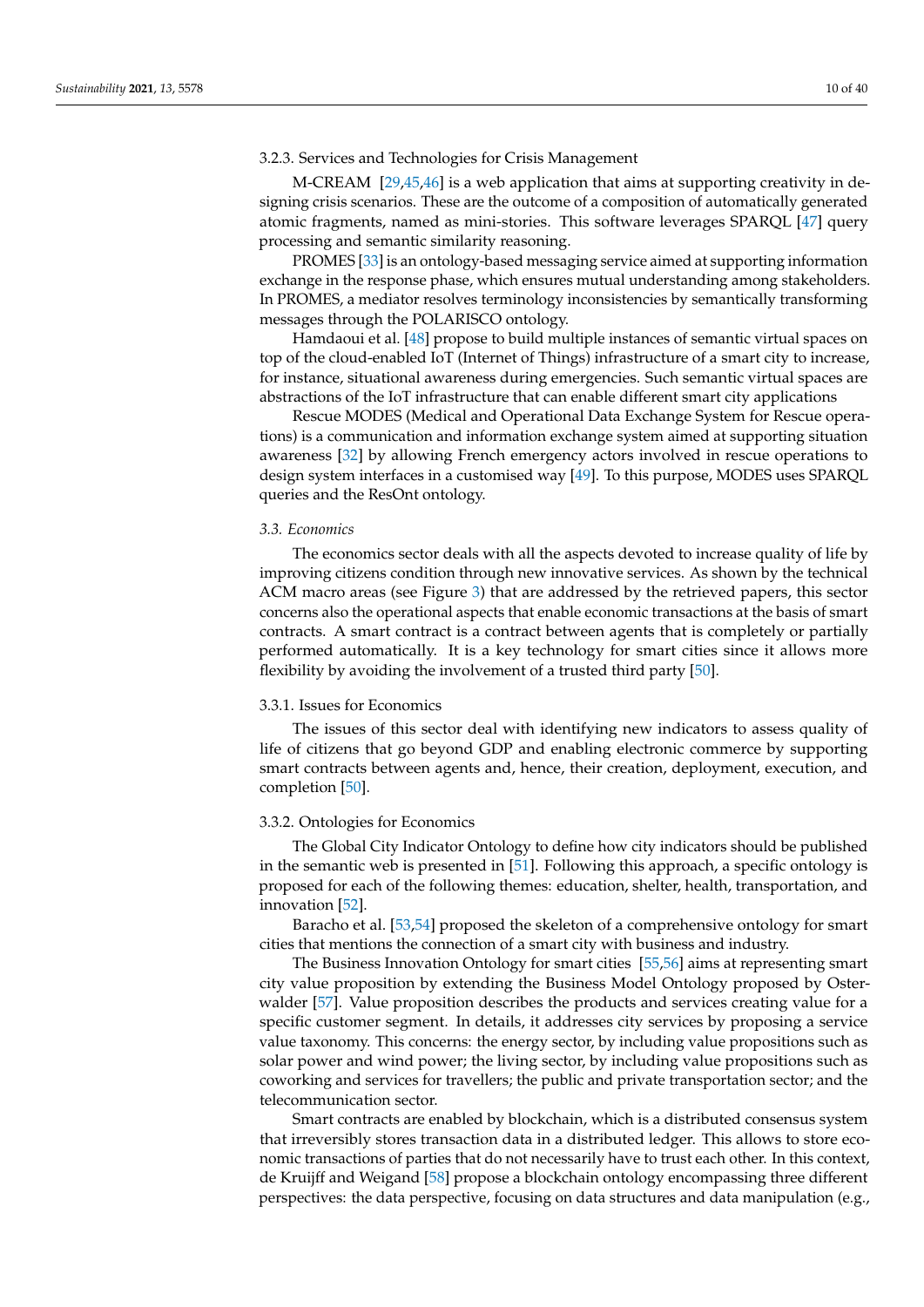## 3.2.3. Services and Technologies for Crisis Management

M-CREAM  $[29,45,46]$  $[29,45,46]$  $[29,45,46]$  is a web application that aims at supporting creativity in designing crisis scenarios. These are the outcome of a composition of automatically generated atomic fragments, named as mini-stories. This software leverages SPARQL [\[47\]](#page-34-2) query processing and semantic similarity reasoning.

PROMES [\[33\]](#page-33-18) is an ontology-based messaging service aimed at supporting information exchange in the response phase, which ensures mutual understanding among stakeholders. In PROMES, a mediator resolves terminology inconsistencies by semantically transforming messages through the POLARISCO ontology.

Hamdaoui et al. [\[48\]](#page-34-3) propose to build multiple instances of semantic virtual spaces on top of the cloud-enabled IoT (Internet of Things) infrastructure of a smart city to increase, for instance, situational awareness during emergencies. Such semantic virtual spaces are abstractions of the IoT infrastructure that can enable different smart city applications

Rescue MODES (Medical and Operational Data Exchange System for Rescue operations) is a communication and information exchange system aimed at supporting situation awareness [\[32\]](#page-33-17) by allowing French emergency actors involved in rescue operations to design system interfaces in a customised way [\[49\]](#page-34-4). To this purpose, MODES uses SPARQL queries and the ResOnt ontology.

#### <span id="page-9-0"></span>*3.3. Economics*

The economics sector deals with all the aspects devoted to increase quality of life by improving citizens condition through new innovative services. As shown by the technical ACM macro areas (see Figure [3\)](#page-6-0) that are addressed by the retrieved papers, this sector concerns also the operational aspects that enable economic transactions at the basis of smart contracts. A smart contract is a contract between agents that is completely or partially performed automatically. It is a key technology for smart cities since it allows more flexibility by avoiding the involvement of a trusted third party [\[50\]](#page-34-5).

## 3.3.1. Issues for Economics

The issues of this sector deal with identifying new indicators to assess quality of life of citizens that go beyond GDP and enabling electronic commerce by supporting smart contracts between agents and, hence, their creation, deployment, execution, and completion [\[50\]](#page-34-5).

### 3.3.2. Ontologies for Economics

The Global City Indicator Ontology to define how city indicators should be published in the semantic web is presented in [\[51\]](#page-34-6). Following this approach, a specific ontology is proposed for each of the following themes: education, shelter, health, transportation, and innovation [\[52\]](#page-34-7).

Baracho et al. [\[53](#page-34-8)[,54\]](#page-34-9) proposed the skeleton of a comprehensive ontology for smart cities that mentions the connection of a smart city with business and industry.

The Business Innovation Ontology for smart cities [\[55,](#page-34-10)[56\]](#page-34-11) aims at representing smart city value proposition by extending the Business Model Ontology proposed by Osterwalder [\[57\]](#page-34-12). Value proposition describes the products and services creating value for a specific customer segment. In details, it addresses city services by proposing a service value taxonomy. This concerns: the energy sector, by including value propositions such as solar power and wind power; the living sector, by including value propositions such as coworking and services for travellers; the public and private transportation sector; and the telecommunication sector.

Smart contracts are enabled by blockchain, which is a distributed consensus system that irreversibly stores transaction data in a distributed ledger. This allows to store economic transactions of parties that do not necessarily have to trust each other. In this context, de Kruijff and Weigand [\[58\]](#page-34-13) propose a blockchain ontology encompassing three different perspectives: the data perspective, focusing on data structures and data manipulation (e.g.,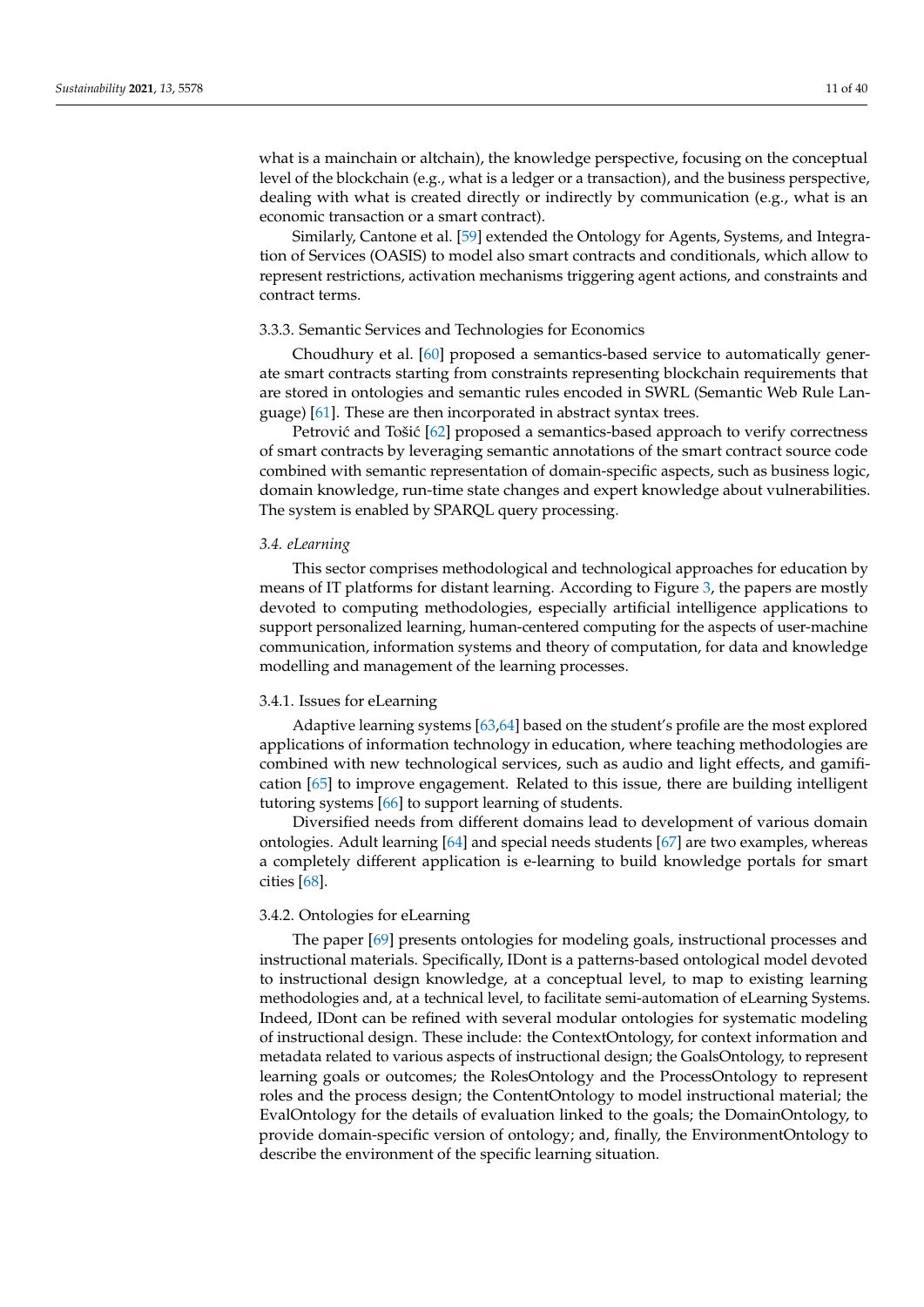what is a mainchain or altchain), the knowledge perspective, focusing on the conceptual level of the blockchain (e.g., what is a ledger or a transaction), and the business perspective, dealing with what is created directly or indirectly by communication (e.g., what is an economic transaction or a smart contract).

Similarly, Cantone et al. [\[59\]](#page-34-14) extended the Ontology for Agents, Systems, and Integration of Services (OASIS) to model also smart contracts and conditionals, which allow to represent restrictions, activation mechanisms triggering agent actions, and constraints and contract terms.

## 3.3.3. Semantic Services and Technologies for Economics

Choudhury et al. [\[60\]](#page-34-15) proposed a semantics-based service to automatically generate smart contracts starting from constraints representing blockchain requirements that are stored in ontologies and semantic rules encoded in SWRL (Semantic Web Rule Language) [\[61\]](#page-34-16). These are then incorporated in abstract syntax trees.

Petrović and Tošić [\[62\]](#page-34-17) proposed a semantics-based approach to verify correctness of smart contracts by leveraging semantic annotations of the smart contract source code combined with semantic representation of domain-specific aspects, such as business logic, domain knowledge, run-time state changes and expert knowledge about vulnerabilities. The system is enabled by SPARQL query processing.

#### <span id="page-10-0"></span>*3.4. eLearning*

This sector comprises methodological and technological approaches for education by means of IT platforms for distant learning. According to Figure [3,](#page-6-0) the papers are mostly devoted to computing methodologies, especially artificial intelligence applications to support personalized learning, human-centered computing for the aspects of user-machine communication, information systems and theory of computation, for data and knowledge modelling and management of the learning processes.

## 3.4.1. Issues for eLearning

Adaptive learning systems [\[63](#page-34-18)[,64\]](#page-34-19) based on the student's profile are the most explored applications of information technology in education, where teaching methodologies are combined with new technological services, such as audio and light effects, and gamification [\[65\]](#page-34-20) to improve engagement. Related to this issue, there are building intelligent tutoring systems [\[66\]](#page-34-21) to support learning of students.

Diversified needs from different domains lead to development of various domain ontologies. Adult learning [\[64\]](#page-34-19) and special needs students [\[67\]](#page-34-22) are two examples, whereas a completely different application is e-learning to build knowledge portals for smart cities [\[68\]](#page-34-23).

## 3.4.2. Ontologies for eLearning

The paper [\[69\]](#page-34-24) presents ontologies for modeling goals, instructional processes and instructional materials. Specifically, IDont is a patterns-based ontological model devoted to instructional design knowledge, at a conceptual level, to map to existing learning methodologies and, at a technical level, to facilitate semi-automation of eLearning Systems. Indeed, IDont can be refined with several modular ontologies for systematic modeling of instructional design. These include: the ContextOntology, for context information and metadata related to various aspects of instructional design; the GoalsOntology, to represent learning goals or outcomes; the RolesOntology and the ProcessOntology to represent roles and the process design; the ContentOntology to model instructional material; the EvalOntology for the details of evaluation linked to the goals; the DomainOntology, to provide domain-specific version of ontology; and, finally, the EnvironmentOntology to describe the environment of the specific learning situation.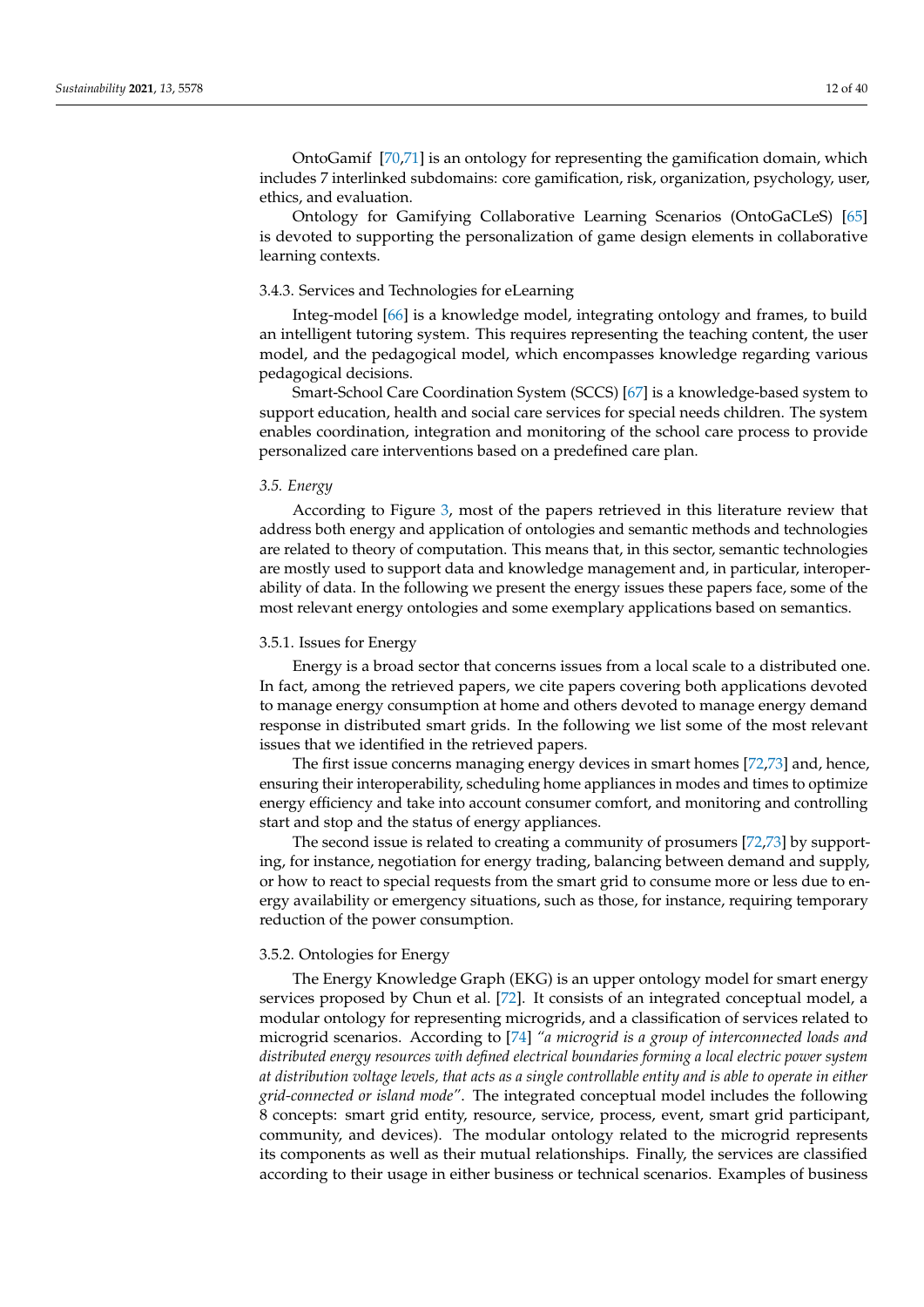OntoGamif [\[70](#page-35-0)[,71\]](#page-35-1) is an ontology for representing the gamification domain, which includes 7 interlinked subdomains: core gamification, risk, organization, psychology, user, ethics, and evaluation.

Ontology for Gamifying Collaborative Learning Scenarios (OntoGaCLeS) [\[65\]](#page-34-20) is devoted to supporting the personalization of game design elements in collaborative learning contexts.

#### 3.4.3. Services and Technologies for eLearning

Integ-model [\[66\]](#page-34-21) is a knowledge model, integrating ontology and frames, to build an intelligent tutoring system. This requires representing the teaching content, the user model, and the pedagogical model, which encompasses knowledge regarding various pedagogical decisions.

Smart-School Care Coordination System (SCCS) [\[67\]](#page-34-22) is a knowledge-based system to support education, health and social care services for special needs children. The system enables coordination, integration and monitoring of the school care process to provide personalized care interventions based on a predefined care plan.

#### <span id="page-11-0"></span>*3.5. Energy*

According to Figure [3,](#page-6-0) most of the papers retrieved in this literature review that address both energy and application of ontologies and semantic methods and technologies are related to theory of computation. This means that, in this sector, semantic technologies are mostly used to support data and knowledge management and, in particular, interoperability of data. In the following we present the energy issues these papers face, some of the most relevant energy ontologies and some exemplary applications based on semantics.

#### 3.5.1. Issues for Energy

Energy is a broad sector that concerns issues from a local scale to a distributed one. In fact, among the retrieved papers, we cite papers covering both applications devoted to manage energy consumption at home and others devoted to manage energy demand response in distributed smart grids. In the following we list some of the most relevant issues that we identified in the retrieved papers.

The first issue concerns managing energy devices in smart homes [\[72](#page-35-2)[,73\]](#page-35-3) and, hence, ensuring their interoperability, scheduling home appliances in modes and times to optimize energy efficiency and take into account consumer comfort, and monitoring and controlling start and stop and the status of energy appliances.

The second issue is related to creating a community of prosumers [\[72,](#page-35-2)[73\]](#page-35-3) by supporting, for instance, negotiation for energy trading, balancing between demand and supply, or how to react to special requests from the smart grid to consume more or less due to energy availability or emergency situations, such as those, for instance, requiring temporary reduction of the power consumption.

#### 3.5.2. Ontologies for Energy

The Energy Knowledge Graph (EKG) is an upper ontology model for smart energy services proposed by Chun et al. [\[72\]](#page-35-2). It consists of an integrated conceptual model, a modular ontology for representing microgrids, and a classification of services related to microgrid scenarios. According to [\[74\]](#page-35-4) *"a microgrid is a group of interconnected loads and distributed energy resources with defined electrical boundaries forming a local electric power system at distribution voltage levels, that acts as a single controllable entity and is able to operate in either grid-connected or island mode"*. The integrated conceptual model includes the following 8 concepts: smart grid entity, resource, service, process, event, smart grid participant, community, and devices). The modular ontology related to the microgrid represents its components as well as their mutual relationships. Finally, the services are classified according to their usage in either business or technical scenarios. Examples of business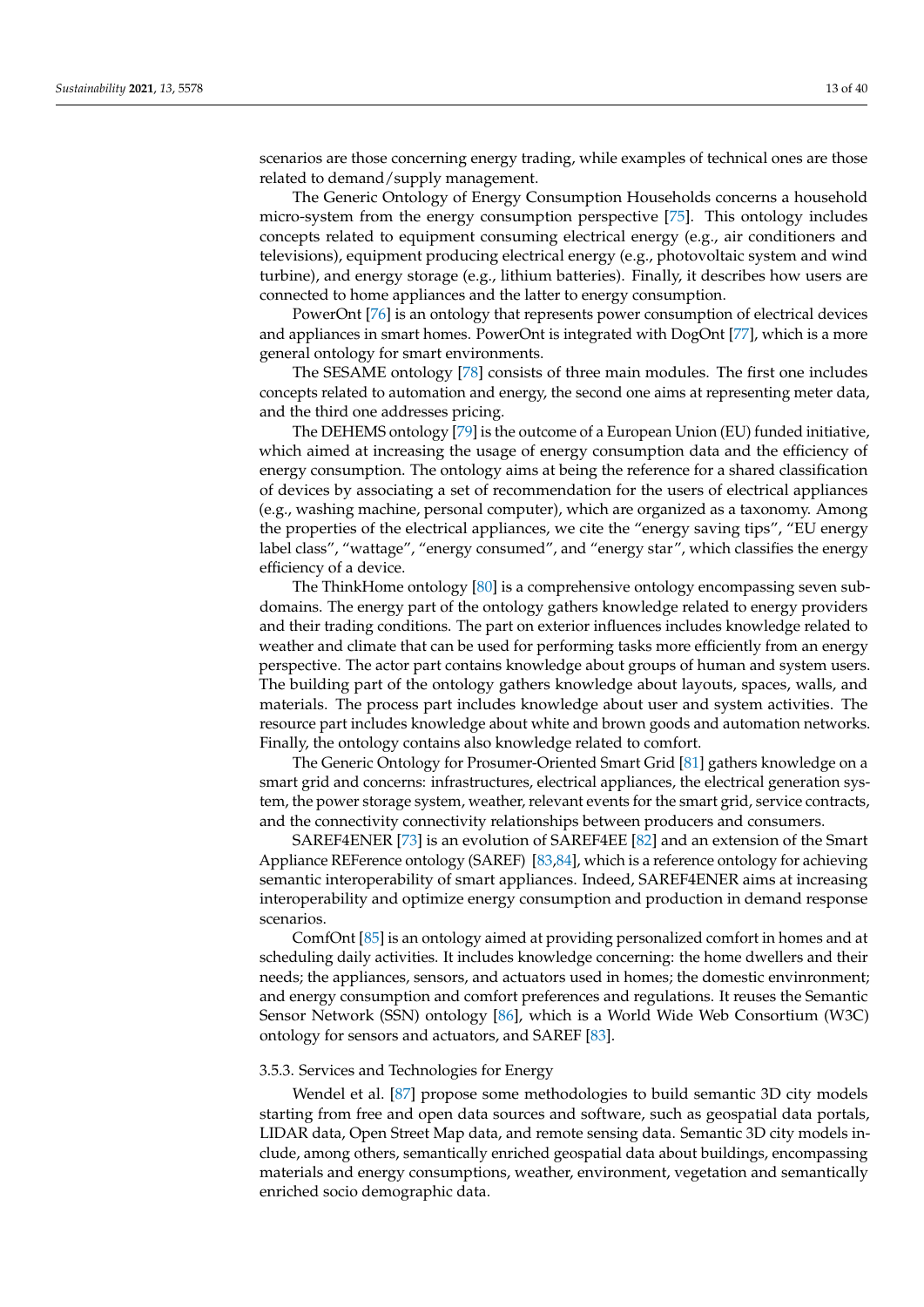scenarios are those concerning energy trading, while examples of technical ones are those related to demand/supply management.

The Generic Ontology of Energy Consumption Households concerns a household micro-system from the energy consumption perspective [\[75\]](#page-35-5). This ontology includes concepts related to equipment consuming electrical energy (e.g., air conditioners and televisions), equipment producing electrical energy (e.g., photovoltaic system and wind turbine), and energy storage (e.g., lithium batteries). Finally, it describes how users are connected to home appliances and the latter to energy consumption.

PowerOnt [\[76\]](#page-35-6) is an ontology that represents power consumption of electrical devices and appliances in smart homes. PowerOnt is integrated with DogOnt [\[77\]](#page-35-7), which is a more general ontology for smart environments.

The SESAME ontology [\[78\]](#page-35-8) consists of three main modules. The first one includes concepts related to automation and energy, the second one aims at representing meter data, and the third one addresses pricing.

The DEHEMS ontology [\[79\]](#page-35-9) is the outcome of a European Union (EU) funded initiative, which aimed at increasing the usage of energy consumption data and the efficiency of energy consumption. The ontology aims at being the reference for a shared classification of devices by associating a set of recommendation for the users of electrical appliances (e.g., washing machine, personal computer), which are organized as a taxonomy. Among the properties of the electrical appliances, we cite the "energy saving tips", "EU energy label class", "wattage", "energy consumed", and "energy star", which classifies the energy efficiency of a device.

The ThinkHome ontology [\[80\]](#page-35-10) is a comprehensive ontology encompassing seven subdomains. The energy part of the ontology gathers knowledge related to energy providers and their trading conditions. The part on exterior influences includes knowledge related to weather and climate that can be used for performing tasks more efficiently from an energy perspective. The actor part contains knowledge about groups of human and system users. The building part of the ontology gathers knowledge about layouts, spaces, walls, and materials. The process part includes knowledge about user and system activities. The resource part includes knowledge about white and brown goods and automation networks. Finally, the ontology contains also knowledge related to comfort.

The Generic Ontology for Prosumer-Oriented Smart Grid [\[81\]](#page-35-11) gathers knowledge on a smart grid and concerns: infrastructures, electrical appliances, the electrical generation system, the power storage system, weather, relevant events for the smart grid, service contracts, and the connectivity connectivity relationships between producers and consumers.

SAREF4ENER [\[73\]](#page-35-3) is an evolution of SAREF4EE [\[82\]](#page-35-12) and an extension of the Smart Appliance REFerence ontology (SAREF) [\[83,](#page-35-13)[84\]](#page-35-14), which is a reference ontology for achieving semantic interoperability of smart appliances. Indeed, SAREF4ENER aims at increasing interoperability and optimize energy consumption and production in demand response scenarios.

ComfOnt [\[85\]](#page-35-15) is an ontology aimed at providing personalized comfort in homes and at scheduling daily activities. It includes knowledge concerning: the home dwellers and their needs; the appliances, sensors, and actuators used in homes; the domestic envinronment; and energy consumption and comfort preferences and regulations. It reuses the Semantic Sensor Network (SSN) ontology [\[86\]](#page-35-16), which is a World Wide Web Consortium (W3C) ontology for sensors and actuators, and SAREF [\[83\]](#page-35-13).

#### 3.5.3. Services and Technologies for Energy

Wendel et al. [\[87\]](#page-35-17) propose some methodologies to build semantic 3D city models starting from free and open data sources and software, such as geospatial data portals, LIDAR data, Open Street Map data, and remote sensing data. Semantic 3D city models include, among others, semantically enriched geospatial data about buildings, encompassing materials and energy consumptions, weather, environment, vegetation and semantically enriched socio demographic data.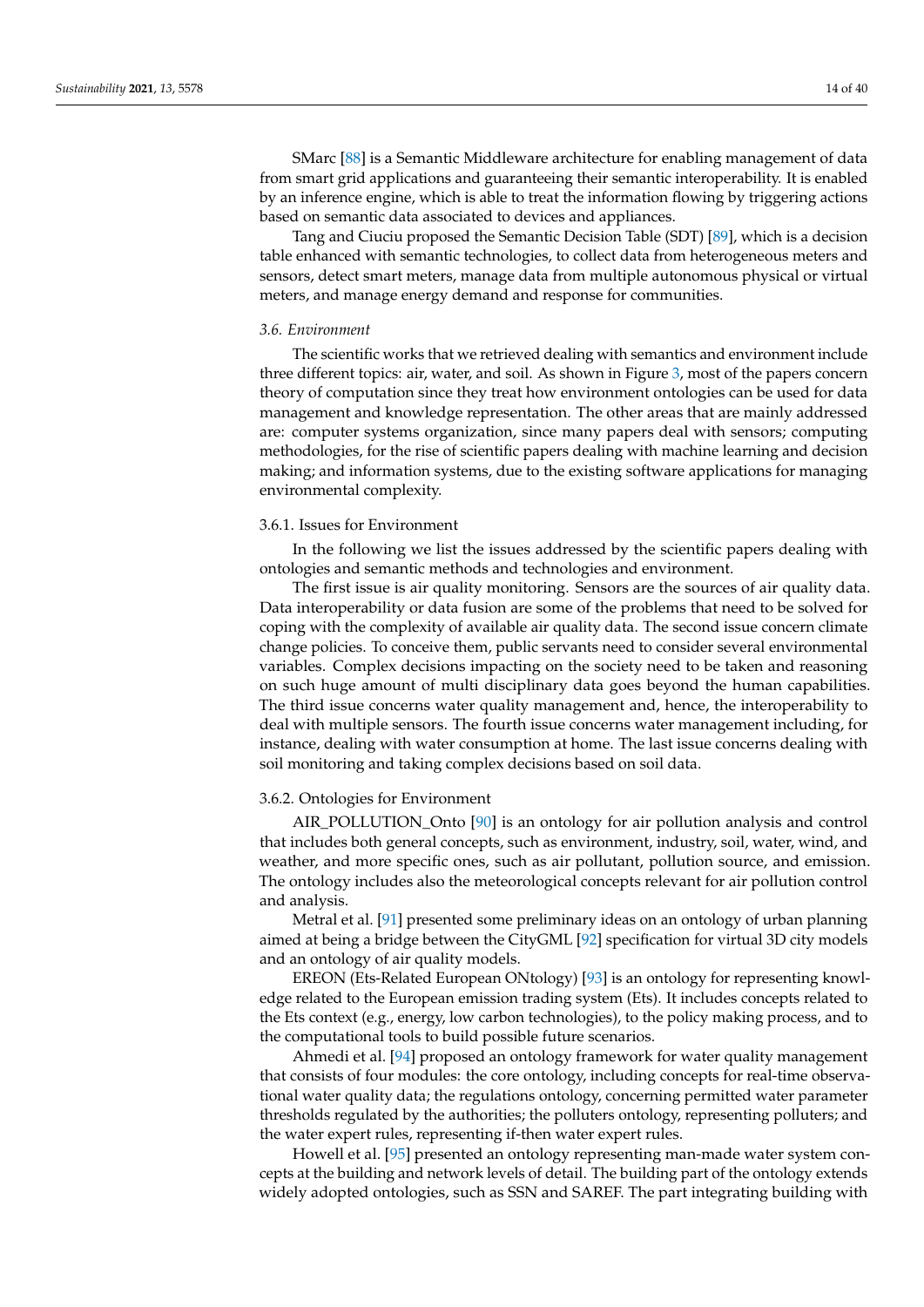SMarc [\[88\]](#page-35-18) is a Semantic Middleware architecture for enabling management of data from smart grid applications and guaranteeing their semantic interoperability. It is enabled by an inference engine, which is able to treat the information flowing by triggering actions based on semantic data associated to devices and appliances.

Tang and Ciuciu proposed the Semantic Decision Table (SDT) [\[89\]](#page-35-19), which is a decision table enhanced with semantic technologies, to collect data from heterogeneous meters and sensors, detect smart meters, manage data from multiple autonomous physical or virtual meters, and manage energy demand and response for communities.

#### <span id="page-13-0"></span>*3.6. Environment*

The scientific works that we retrieved dealing with semantics and environment include three different topics: air, water, and soil. As shown in Figure [3,](#page-6-0) most of the papers concern theory of computation since they treat how environment ontologies can be used for data management and knowledge representation. The other areas that are mainly addressed are: computer systems organization, since many papers deal with sensors; computing methodologies, for the rise of scientific papers dealing with machine learning and decision making; and information systems, due to the existing software applications for managing environmental complexity.

#### 3.6.1. Issues for Environment

In the following we list the issues addressed by the scientific papers dealing with ontologies and semantic methods and technologies and environment.

The first issue is air quality monitoring. Sensors are the sources of air quality data. Data interoperability or data fusion are some of the problems that need to be solved for coping with the complexity of available air quality data. The second issue concern climate change policies. To conceive them, public servants need to consider several environmental variables. Complex decisions impacting on the society need to be taken and reasoning on such huge amount of multi disciplinary data goes beyond the human capabilities. The third issue concerns water quality management and, hence, the interoperability to deal with multiple sensors. The fourth issue concerns water management including, for instance, dealing with water consumption at home. The last issue concerns dealing with soil monitoring and taking complex decisions based on soil data.

#### 3.6.2. Ontologies for Environment

AIR\_POLLUTION\_Onto [\[90\]](#page-35-20) is an ontology for air pollution analysis and control that includes both general concepts, such as environment, industry, soil, water, wind, and weather, and more specific ones, such as air pollutant, pollution source, and emission. The ontology includes also the meteorological concepts relevant for air pollution control and analysis.

Metral et al. [\[91\]](#page-35-21) presented some preliminary ideas on an ontology of urban planning aimed at being a bridge between the CityGML [\[92\]](#page-35-22) specification for virtual 3D city models and an ontology of air quality models.

EREON (Ets-Related European ONtology) [\[93\]](#page-35-23) is an ontology for representing knowledge related to the European emission trading system (Ets). It includes concepts related to the Ets context (e.g., energy, low carbon technologies), to the policy making process, and to the computational tools to build possible future scenarios.

Ahmedi et al. [\[94\]](#page-35-24) proposed an ontology framework for water quality management that consists of four modules: the core ontology, including concepts for real-time observational water quality data; the regulations ontology, concerning permitted water parameter thresholds regulated by the authorities; the polluters ontology, representing polluters; and the water expert rules, representing if-then water expert rules.

Howell et al. [\[95\]](#page-35-25) presented an ontology representing man-made water system concepts at the building and network levels of detail. The building part of the ontology extends widely adopted ontologies, such as SSN and SAREF. The part integrating building with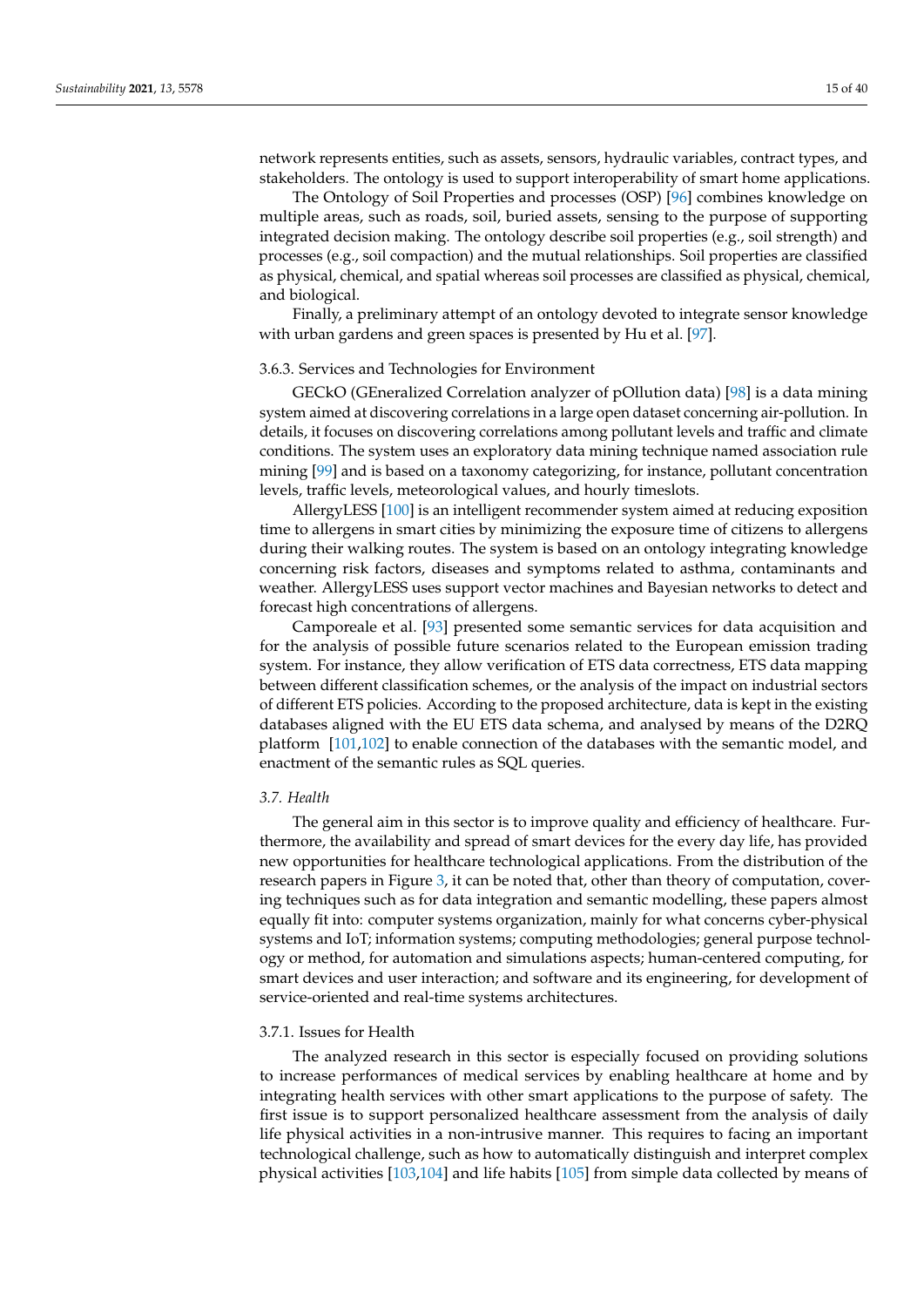network represents entities, such as assets, sensors, hydraulic variables, contract types, and stakeholders. The ontology is used to support interoperability of smart home applications.

The Ontology of Soil Properties and processes (OSP) [\[96\]](#page-35-26) combines knowledge on multiple areas, such as roads, soil, buried assets, sensing to the purpose of supporting integrated decision making. The ontology describe soil properties (e.g., soil strength) and processes (e.g., soil compaction) and the mutual relationships. Soil properties are classified as physical, chemical, and spatial whereas soil processes are classified as physical, chemical, and biological.

Finally, a preliminary attempt of an ontology devoted to integrate sensor knowledge with urban gardens and green spaces is presented by Hu et al. [\[97\]](#page-36-0).

#### 3.6.3. Services and Technologies for Environment

GECkO (GEneralized Correlation analyzer of pOllution data) [\[98\]](#page-36-1) is a data mining system aimed at discovering correlations in a large open dataset concerning air-pollution. In details, it focuses on discovering correlations among pollutant levels and traffic and climate conditions. The system uses an exploratory data mining technique named association rule mining [\[99\]](#page-36-2) and is based on a taxonomy categorizing, for instance, pollutant concentration levels, traffic levels, meteorological values, and hourly timeslots.

AllergyLESS [\[100\]](#page-36-3) is an intelligent recommender system aimed at reducing exposition time to allergens in smart cities by minimizing the exposure time of citizens to allergens during their walking routes. The system is based on an ontology integrating knowledge concerning risk factors, diseases and symptoms related to asthma, contaminants and weather. AllergyLESS uses support vector machines and Bayesian networks to detect and forecast high concentrations of allergens.

Camporeale et al. [\[93\]](#page-35-23) presented some semantic services for data acquisition and for the analysis of possible future scenarios related to the European emission trading system. For instance, they allow verification of ETS data correctness, ETS data mapping between different classification schemes, or the analysis of the impact on industrial sectors of different ETS policies. According to the proposed architecture, data is kept in the existing databases aligned with the EU ETS data schema, and analysed by means of the D2RQ platform [\[101](#page-36-4)[,102\]](#page-36-5) to enable connection of the databases with the semantic model, and enactment of the semantic rules as SQL queries.

#### <span id="page-14-0"></span>*3.7. Health*

The general aim in this sector is to improve quality and efficiency of healthcare. Furthermore, the availability and spread of smart devices for the every day life, has provided new opportunities for healthcare technological applications. From the distribution of the research papers in Figure [3,](#page-6-0) it can be noted that, other than theory of computation, covering techniques such as for data integration and semantic modelling, these papers almost equally fit into: computer systems organization, mainly for what concerns cyber-physical systems and IoT; information systems; computing methodologies; general purpose technology or method, for automation and simulations aspects; human-centered computing, for smart devices and user interaction; and software and its engineering, for development of service-oriented and real-time systems architectures.

#### 3.7.1. Issues for Health

The analyzed research in this sector is especially focused on providing solutions to increase performances of medical services by enabling healthcare at home and by integrating health services with other smart applications to the purpose of safety. The first issue is to support personalized healthcare assessment from the analysis of daily life physical activities in a non-intrusive manner. This requires to facing an important technological challenge, such as how to automatically distinguish and interpret complex physical activities [\[103,](#page-36-6)[104\]](#page-36-7) and life habits [\[105\]](#page-36-8) from simple data collected by means of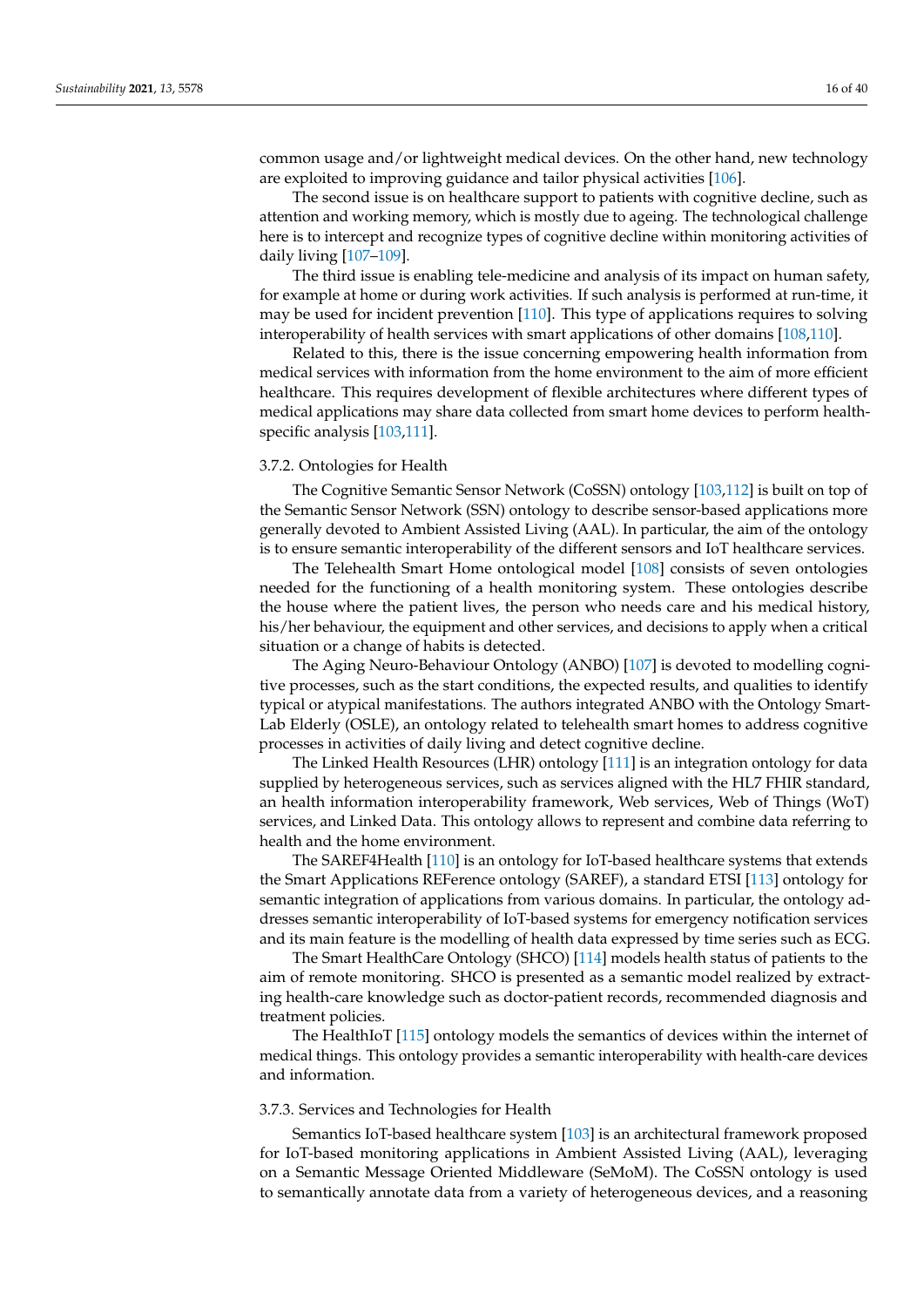common usage and/or lightweight medical devices. On the other hand, new technology are exploited to improving guidance and tailor physical activities [\[106\]](#page-36-9).

The second issue is on healthcare support to patients with cognitive decline, such as attention and working memory, which is mostly due to ageing. The technological challenge here is to intercept and recognize types of cognitive decline within monitoring activities of daily living [\[107–](#page-36-10)[109\]](#page-36-11).

The third issue is enabling tele-medicine and analysis of its impact on human safety, for example at home or during work activities. If such analysis is performed at run-time, it may be used for incident prevention [\[110\]](#page-36-12). This type of applications requires to solving interoperability of health services with smart applications of other domains [\[108,](#page-36-13)[110\]](#page-36-12).

Related to this, there is the issue concerning empowering health information from medical services with information from the home environment to the aim of more efficient healthcare. This requires development of flexible architectures where different types of medical applications may share data collected from smart home devices to perform healthspecific analysis [\[103,](#page-36-6)[111\]](#page-36-14).

## 3.7.2. Ontologies for Health

The Cognitive Semantic Sensor Network (CoSSN) ontology [\[103,](#page-36-6)[112\]](#page-36-15) is built on top of the Semantic Sensor Network (SSN) ontology to describe sensor-based applications more generally devoted to Ambient Assisted Living (AAL). In particular, the aim of the ontology is to ensure semantic interoperability of the different sensors and IoT healthcare services.

The Telehealth Smart Home ontological model [\[108\]](#page-36-13) consists of seven ontologies needed for the functioning of a health monitoring system. These ontologies describe the house where the patient lives, the person who needs care and his medical history, his/her behaviour, the equipment and other services, and decisions to apply when a critical situation or a change of habits is detected.

The Aging Neuro-Behaviour Ontology (ANBO) [\[107\]](#page-36-10) is devoted to modelling cognitive processes, such as the start conditions, the expected results, and qualities to identify typical or atypical manifestations. The authors integrated ANBO with the Ontology Smart-Lab Elderly (OSLE), an ontology related to telehealth smart homes to address cognitive processes in activities of daily living and detect cognitive decline.

The Linked Health Resources (LHR) ontology [\[111\]](#page-36-14) is an integration ontology for data supplied by heterogeneous services, such as services aligned with the HL7 FHIR standard, an health information interoperability framework, Web services, Web of Things (WoT) services, and Linked Data. This ontology allows to represent and combine data referring to health and the home environment.

The SAREF4Health [\[110\]](#page-36-12) is an ontology for IoT-based healthcare systems that extends the Smart Applications REFerence ontology (SAREF), a standard ETSI [\[113\]](#page-36-16) ontology for semantic integration of applications from various domains. In particular, the ontology addresses semantic interoperability of IoT-based systems for emergency notification services and its main feature is the modelling of health data expressed by time series such as ECG.

The Smart HealthCare Ontology (SHCO) [\[114\]](#page-36-17) models health status of patients to the aim of remote monitoring. SHCO is presented as a semantic model realized by extracting health-care knowledge such as doctor-patient records, recommended diagnosis and treatment policies.

The HealthIoT [\[115\]](#page-36-18) ontology models the semantics of devices within the internet of medical things. This ontology provides a semantic interoperability with health-care devices and information.

### 3.7.3. Services and Technologies for Health

Semantics IoT-based healthcare system [\[103\]](#page-36-6) is an architectural framework proposed for IoT-based monitoring applications in Ambient Assisted Living (AAL), leveraging on a Semantic Message Oriented Middleware (SeMoM). The CoSSN ontology is used to semantically annotate data from a variety of heterogeneous devices, and a reasoning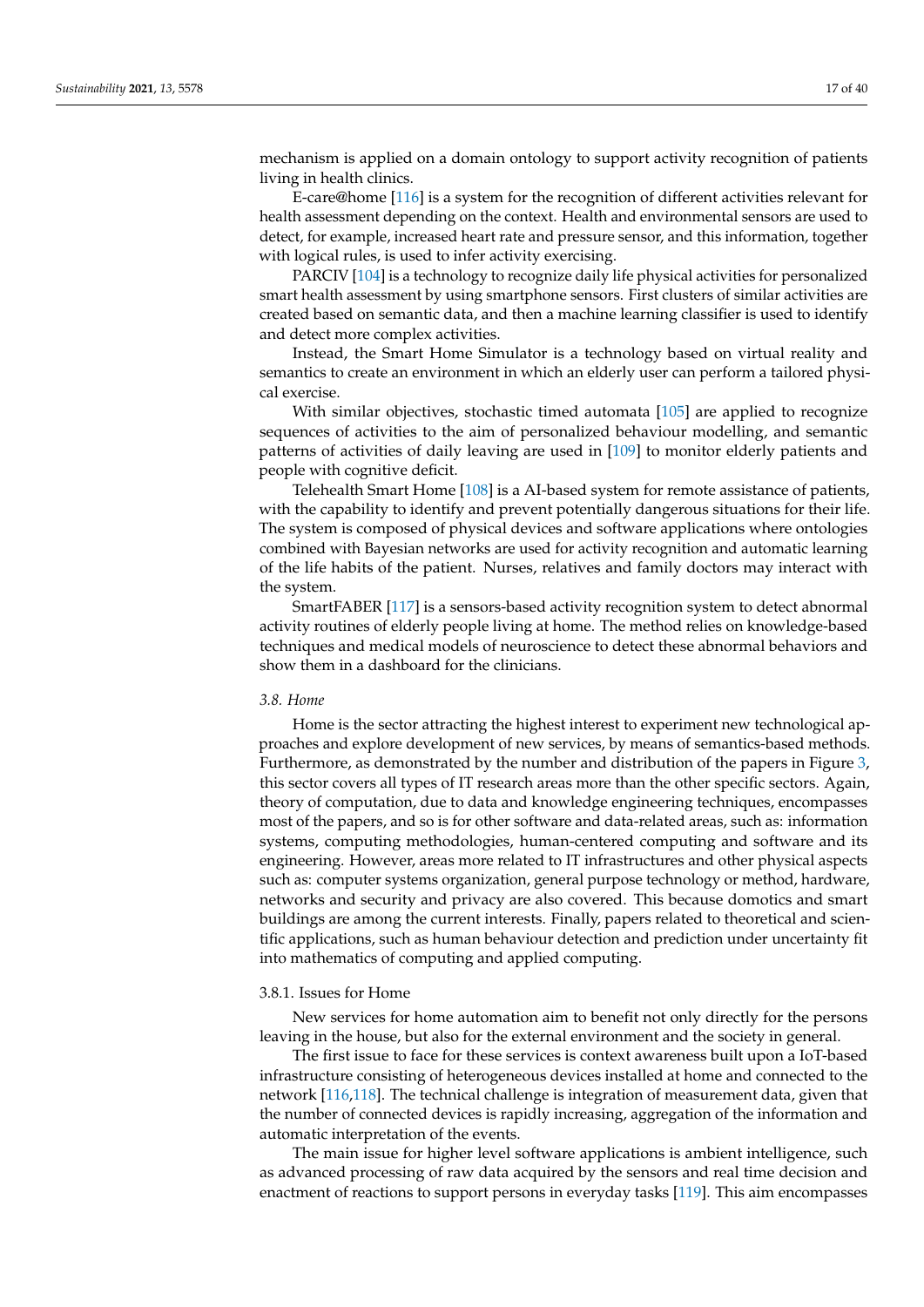mechanism is applied on a domain ontology to support activity recognition of patients living in health clinics.

E-care@home [\[116\]](#page-36-19) is a system for the recognition of different activities relevant for health assessment depending on the context. Health and environmental sensors are used to detect, for example, increased heart rate and pressure sensor, and this information, together with logical rules, is used to infer activity exercising.

PARCIV [\[104\]](#page-36-7) is a technology to recognize daily life physical activities for personalized smart health assessment by using smartphone sensors. First clusters of similar activities are created based on semantic data, and then a machine learning classifier is used to identify and detect more complex activities.

Instead, the Smart Home Simulator is a technology based on virtual reality and semantics to create an environment in which an elderly user can perform a tailored physical exercise.

With similar objectives, stochastic timed automata [\[105\]](#page-36-8) are applied to recognize sequences of activities to the aim of personalized behaviour modelling, and semantic patterns of activities of daily leaving are used in [\[109\]](#page-36-11) to monitor elderly patients and people with cognitive deficit.

Telehealth Smart Home [\[108\]](#page-36-13) is a AI-based system for remote assistance of patients, with the capability to identify and prevent potentially dangerous situations for their life. The system is composed of physical devices and software applications where ontologies combined with Bayesian networks are used for activity recognition and automatic learning of the life habits of the patient. Nurses, relatives and family doctors may interact with the system.

SmartFABER [\[117\]](#page-36-20) is a sensors-based activity recognition system to detect abnormal activity routines of elderly people living at home. The method relies on knowledge-based techniques and medical models of neuroscience to detect these abnormal behaviors and show them in a dashboard for the clinicians.

#### <span id="page-16-0"></span>*3.8. Home*

Home is the sector attracting the highest interest to experiment new technological approaches and explore development of new services, by means of semantics-based methods. Furthermore, as demonstrated by the number and distribution of the papers in Figure [3,](#page-6-0) this sector covers all types of IT research areas more than the other specific sectors. Again, theory of computation, due to data and knowledge engineering techniques, encompasses most of the papers, and so is for other software and data-related areas, such as: information systems, computing methodologies, human-centered computing and software and its engineering. However, areas more related to IT infrastructures and other physical aspects such as: computer systems organization, general purpose technology or method, hardware, networks and security and privacy are also covered. This because domotics and smart buildings are among the current interests. Finally, papers related to theoretical and scientific applications, such as human behaviour detection and prediction under uncertainty fit into mathematics of computing and applied computing.

#### 3.8.1. Issues for Home

New services for home automation aim to benefit not only directly for the persons leaving in the house, but also for the external environment and the society in general.

The first issue to face for these services is context awareness built upon a IoT-based infrastructure consisting of heterogeneous devices installed at home and connected to the network [\[116,](#page-36-19)[118\]](#page-36-21). The technical challenge is integration of measurement data, given that the number of connected devices is rapidly increasing, aggregation of the information and automatic interpretation of the events.

The main issue for higher level software applications is ambient intelligence, such as advanced processing of raw data acquired by the sensors and real time decision and enactment of reactions to support persons in everyday tasks [\[119\]](#page-36-22). This aim encompasses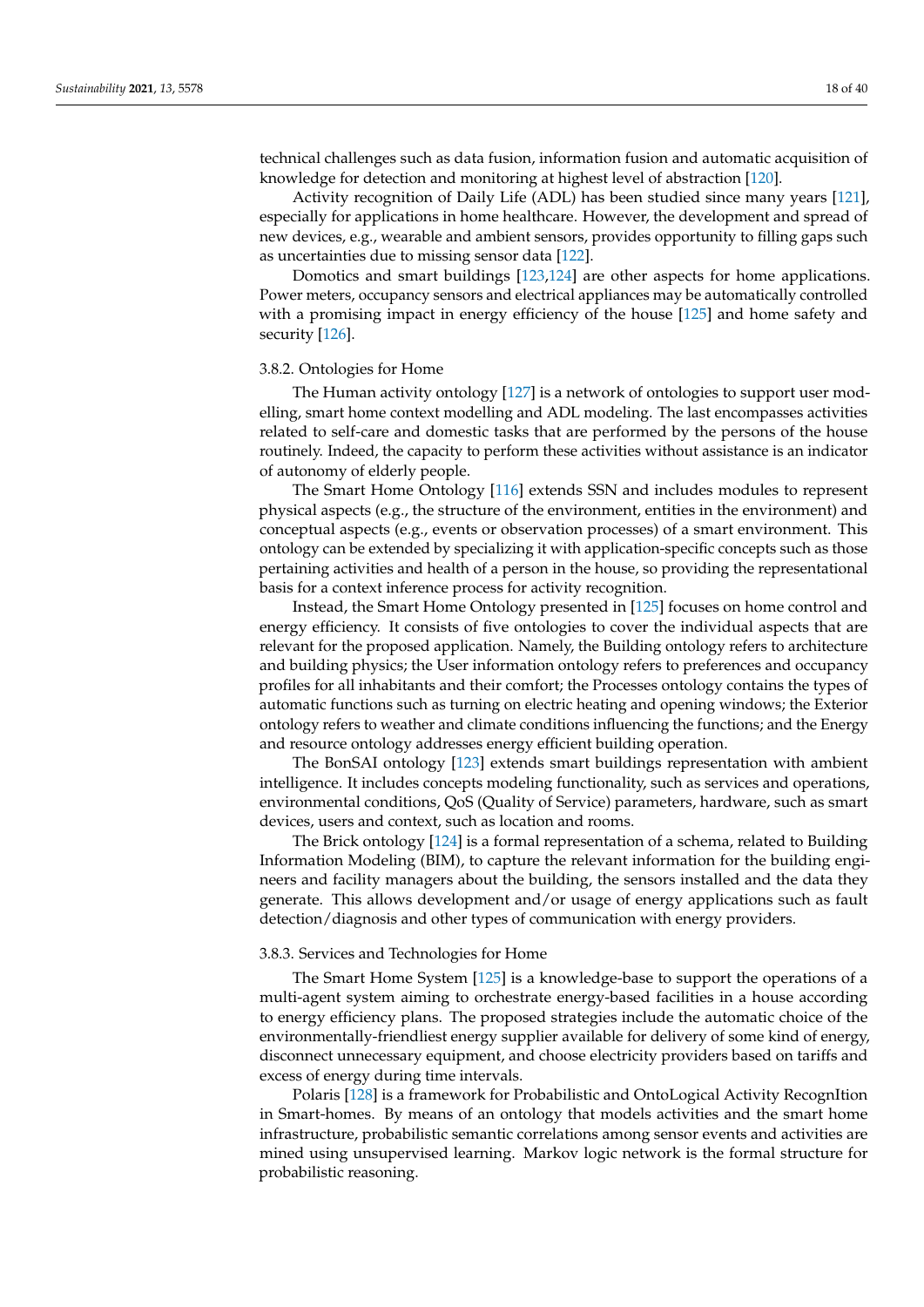technical challenges such as data fusion, information fusion and automatic acquisition of knowledge for detection and monitoring at highest level of abstraction [\[120\]](#page-36-23).

Activity recognition of Daily Life (ADL) has been studied since many years [\[121\]](#page-36-24), especially for applications in home healthcare. However, the development and spread of new devices, e.g., wearable and ambient sensors, provides opportunity to filling gaps such as uncertainties due to missing sensor data [\[122\]](#page-36-25).

Domotics and smart buildings [\[123,](#page-36-26)[124\]](#page-37-0) are other aspects for home applications. Power meters, occupancy sensors and electrical appliances may be automatically controlled with a promising impact in energy efficiency of the house [\[125\]](#page-37-1) and home safety and security [\[126\]](#page-37-2).

#### 3.8.2. Ontologies for Home

The Human activity ontology [\[127\]](#page-37-3) is a network of ontologies to support user modelling, smart home context modelling and ADL modeling. The last encompasses activities related to self-care and domestic tasks that are performed by the persons of the house routinely. Indeed, the capacity to perform these activities without assistance is an indicator of autonomy of elderly people.

The Smart Home Ontology [\[116\]](#page-36-19) extends SSN and includes modules to represent physical aspects (e.g., the structure of the environment, entities in the environment) and conceptual aspects (e.g., events or observation processes) of a smart environment. This ontology can be extended by specializing it with application-specific concepts such as those pertaining activities and health of a person in the house, so providing the representational basis for a context inference process for activity recognition.

Instead, the Smart Home Ontology presented in [\[125\]](#page-37-1) focuses on home control and energy efficiency. It consists of five ontologies to cover the individual aspects that are relevant for the proposed application. Namely, the Building ontology refers to architecture and building physics; the User information ontology refers to preferences and occupancy profiles for all inhabitants and their comfort; the Processes ontology contains the types of automatic functions such as turning on electric heating and opening windows; the Exterior ontology refers to weather and climate conditions influencing the functions; and the Energy and resource ontology addresses energy efficient building operation.

The BonSAI ontology [\[123\]](#page-36-26) extends smart buildings representation with ambient intelligence. It includes concepts modeling functionality, such as services and operations, environmental conditions, QoS (Quality of Service) parameters, hardware, such as smart devices, users and context, such as location and rooms.

The Brick ontology [\[124\]](#page-37-0) is a formal representation of a schema, related to Building Information Modeling (BIM), to capture the relevant information for the building engineers and facility managers about the building, the sensors installed and the data they generate. This allows development and/or usage of energy applications such as fault detection/diagnosis and other types of communication with energy providers.

#### 3.8.3. Services and Technologies for Home

The Smart Home System [\[125\]](#page-37-1) is a knowledge-base to support the operations of a multi-agent system aiming to orchestrate energy-based facilities in a house according to energy efficiency plans. The proposed strategies include the automatic choice of the environmentally-friendliest energy supplier available for delivery of some kind of energy, disconnect unnecessary equipment, and choose electricity providers based on tariffs and excess of energy during time intervals.

Polaris [\[128\]](#page-37-4) is a framework for Probabilistic and OntoLogical Activity RecognItion in Smart-homes. By means of an ontology that models activities and the smart home infrastructure, probabilistic semantic correlations among sensor events and activities are mined using unsupervised learning. Markov logic network is the formal structure for probabilistic reasoning.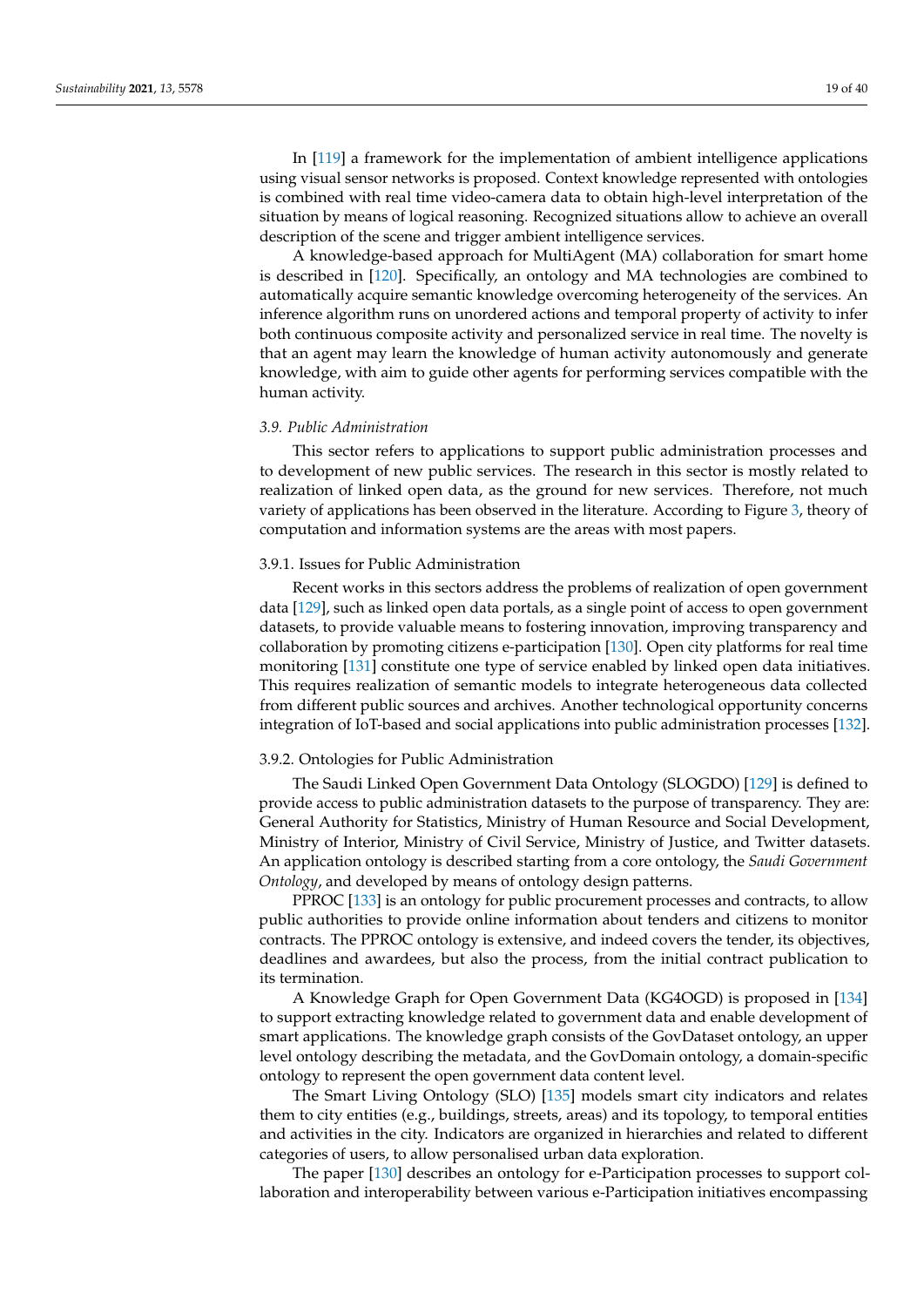In [\[119\]](#page-36-22) a framework for the implementation of ambient intelligence applications using visual sensor networks is proposed. Context knowledge represented with ontologies is combined with real time video-camera data to obtain high-level interpretation of the situation by means of logical reasoning. Recognized situations allow to achieve an overall description of the scene and trigger ambient intelligence services.

A knowledge-based approach for MultiAgent (MA) collaboration for smart home is described in [\[120\]](#page-36-23). Specifically, an ontology and MA technologies are combined to automatically acquire semantic knowledge overcoming heterogeneity of the services. An inference algorithm runs on unordered actions and temporal property of activity to infer both continuous composite activity and personalized service in real time. The novelty is that an agent may learn the knowledge of human activity autonomously and generate knowledge, with aim to guide other agents for performing services compatible with the human activity.

#### <span id="page-18-0"></span>*3.9. Public Administration*

This sector refers to applications to support public administration processes and to development of new public services. The research in this sector is mostly related to realization of linked open data, as the ground for new services. Therefore, not much variety of applications has been observed in the literature. According to Figure [3,](#page-6-0) theory of computation and information systems are the areas with most papers.

#### 3.9.1. Issues for Public Administration

Recent works in this sectors address the problems of realization of open government data [\[129\]](#page-37-5), such as linked open data portals, as a single point of access to open government datasets, to provide valuable means to fostering innovation, improving transparency and collaboration by promoting citizens e-participation [\[130\]](#page-37-6). Open city platforms for real time monitoring [\[131\]](#page-37-7) constitute one type of service enabled by linked open data initiatives. This requires realization of semantic models to integrate heterogeneous data collected from different public sources and archives. Another technological opportunity concerns integration of IoT-based and social applications into public administration processes [\[132\]](#page-37-8).

#### 3.9.2. Ontologies for Public Administration

The Saudi Linked Open Government Data Ontology (SLOGDO) [\[129\]](#page-37-5) is defined to provide access to public administration datasets to the purpose of transparency. They are: General Authority for Statistics, Ministry of Human Resource and Social Development, Ministry of Interior, Ministry of Civil Service, Ministry of Justice, and Twitter datasets. An application ontology is described starting from a core ontology, the *Saudi Government Ontology*, and developed by means of ontology design patterns.

PPROC [\[133\]](#page-37-9) is an ontology for public procurement processes and contracts, to allow public authorities to provide online information about tenders and citizens to monitor contracts. The PPROC ontology is extensive, and indeed covers the tender, its objectives, deadlines and awardees, but also the process, from the initial contract publication to its termination.

A Knowledge Graph for Open Government Data (KG4OGD) is proposed in [\[134\]](#page-37-10) to support extracting knowledge related to government data and enable development of smart applications. The knowledge graph consists of the GovDataset ontology, an upper level ontology describing the metadata, and the GovDomain ontology, a domain-specific ontology to represent the open government data content level.

The Smart Living Ontology (SLO) [\[135\]](#page-37-11) models smart city indicators and relates them to city entities (e.g., buildings, streets, areas) and its topology, to temporal entities and activities in the city. Indicators are organized in hierarchies and related to different categories of users, to allow personalised urban data exploration.

The paper [\[130\]](#page-37-6) describes an ontology for e-Participation processes to support collaboration and interoperability between various e-Participation initiatives encompassing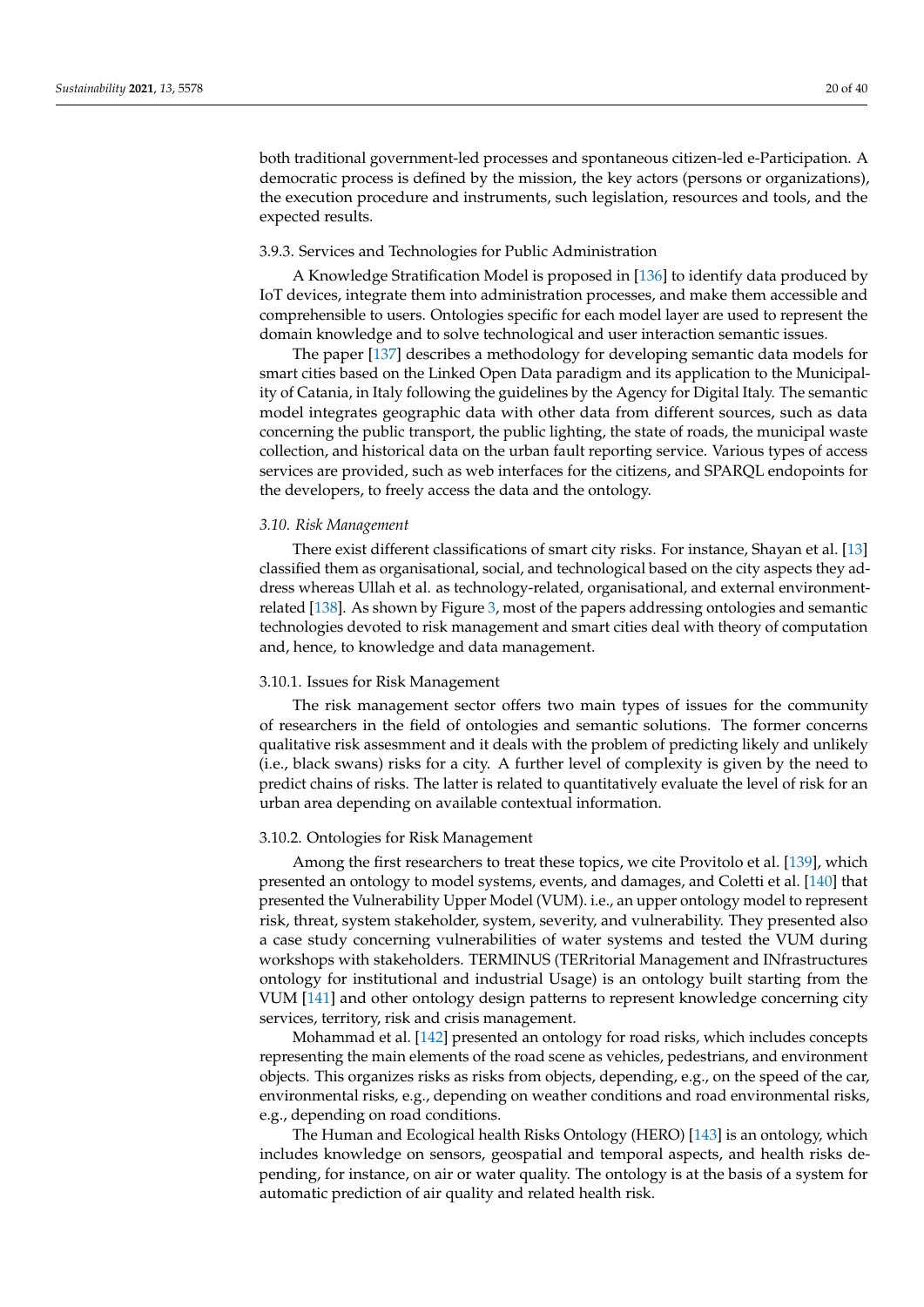both traditional government-led processes and spontaneous citizen-led e-Participation. A democratic process is defined by the mission, the key actors (persons or organizations), the execution procedure and instruments, such legislation, resources and tools, and the expected results.

#### 3.9.3. Services and Technologies for Public Administration

A Knowledge Stratification Model is proposed in [\[136\]](#page-37-12) to identify data produced by IoT devices, integrate them into administration processes, and make them accessible and comprehensible to users. Ontologies specific for each model layer are used to represent the domain knowledge and to solve technological and user interaction semantic issues.

The paper [\[137\]](#page-37-13) describes a methodology for developing semantic data models for smart cities based on the Linked Open Data paradigm and its application to the Municipality of Catania, in Italy following the guidelines by the Agency for Digital Italy. The semantic model integrates geographic data with other data from different sources, such as data concerning the public transport, the public lighting, the state of roads, the municipal waste collection, and historical data on the urban fault reporting service. Various types of access services are provided, such as web interfaces for the citizens, and SPARQL endopoints for the developers, to freely access the data and the ontology.

#### <span id="page-19-0"></span>*3.10. Risk Management*

There exist different classifications of smart city risks. For instance, Shayan et al. [\[13\]](#page-32-10) classified them as organisational, social, and technological based on the city aspects they address whereas Ullah et al. as technology-related, organisational, and external environmentrelated [\[138\]](#page-37-14). As shown by Figure [3,](#page-6-0) most of the papers addressing ontologies and semantic technologies devoted to risk management and smart cities deal with theory of computation and, hence, to knowledge and data management.

## 3.10.1. Issues for Risk Management

The risk management sector offers two main types of issues for the community of researchers in the field of ontologies and semantic solutions. The former concerns qualitative risk assesmment and it deals with the problem of predicting likely and unlikely (i.e., black swans) risks for a city. A further level of complexity is given by the need to predict chains of risks. The latter is related to quantitatively evaluate the level of risk for an urban area depending on available contextual information.

#### 3.10.2. Ontologies for Risk Management

Among the first researchers to treat these topics, we cite Provitolo et al. [\[139\]](#page-37-15), which presented an ontology to model systems, events, and damages, and Coletti et al. [\[140\]](#page-37-16) that presented the Vulnerability Upper Model (VUM). i.e., an upper ontology model to represent risk, threat, system stakeholder, system, severity, and vulnerability. They presented also a case study concerning vulnerabilities of water systems and tested the VUM during workshops with stakeholders. TERMINUS (TERritorial Management and INfrastructures ontology for institutional and industrial Usage) is an ontology built starting from the VUM [\[141\]](#page-37-17) and other ontology design patterns to represent knowledge concerning city services, territory, risk and crisis management.

Mohammad et al. [\[142\]](#page-37-18) presented an ontology for road risks, which includes concepts representing the main elements of the road scene as vehicles, pedestrians, and environment objects. This organizes risks as risks from objects, depending, e.g., on the speed of the car, environmental risks, e.g., depending on weather conditions and road environmental risks, e.g., depending on road conditions.

The Human and Ecological health Risks Ontology (HERO) [\[143\]](#page-37-19) is an ontology, which includes knowledge on sensors, geospatial and temporal aspects, and health risks depending, for instance, on air or water quality. The ontology is at the basis of a system for automatic prediction of air quality and related health risk.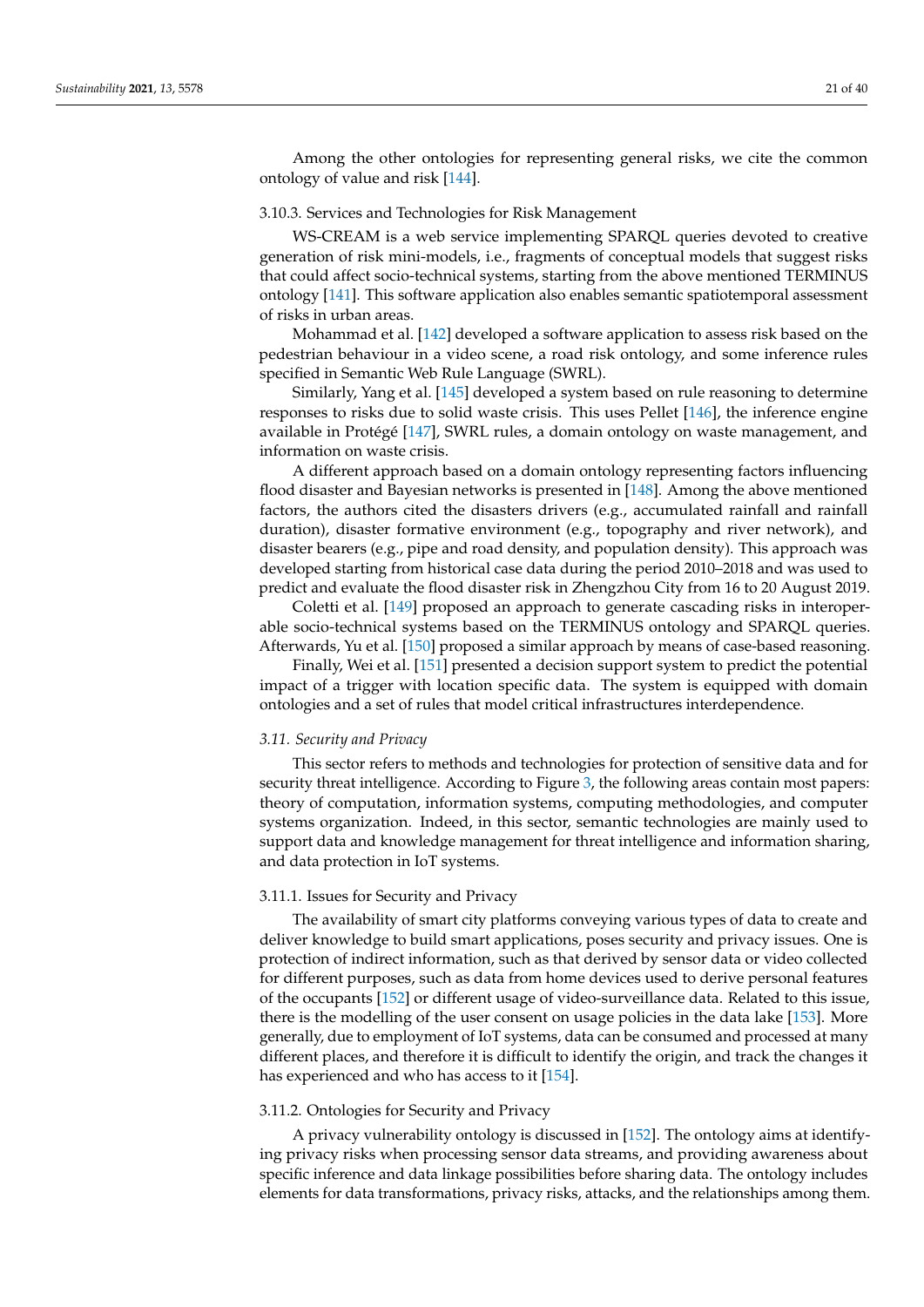Among the other ontologies for representing general risks, we cite the common ontology of value and risk [\[144\]](#page-37-20).

## 3.10.3. Services and Technologies for Risk Management

WS-CREAM is a web service implementing SPARQL queries devoted to creative generation of risk mini-models, i.e., fragments of conceptual models that suggest risks that could affect socio-technical systems, starting from the above mentioned TERMINUS ontology [\[141\]](#page-37-17). This software application also enables semantic spatiotemporal assessment of risks in urban areas.

Mohammad et al. [\[142\]](#page-37-18) developed a software application to assess risk based on the pedestrian behaviour in a video scene, a road risk ontology, and some inference rules specified in Semantic Web Rule Language (SWRL).

Similarly, Yang et al. [\[145\]](#page-37-21) developed a system based on rule reasoning to determine responses to risks due to solid waste crisis. This uses Pellet [\[146\]](#page-37-22), the inference engine available in Protégé [\[147\]](#page-37-23), SWRL rules, a domain ontology on waste management, and information on waste crisis.

A different approach based on a domain ontology representing factors influencing flood disaster and Bayesian networks is presented in [\[148\]](#page-37-24). Among the above mentioned factors, the authors cited the disasters drivers (e.g., accumulated rainfall and rainfall duration), disaster formative environment (e.g., topography and river network), and disaster bearers (e.g., pipe and road density, and population density). This approach was developed starting from historical case data during the period 2010–2018 and was used to predict and evaluate the flood disaster risk in Zhengzhou City from 16 to 20 August 2019.

Coletti et al. [\[149\]](#page-38-0) proposed an approach to generate cascading risks in interoperable socio-technical systems based on the TERMINUS ontology and SPARQL queries. Afterwards, Yu et al. [\[150\]](#page-38-1) proposed a similar approach by means of case-based reasoning.

Finally, Wei et al. [\[151\]](#page-38-2) presented a decision support system to predict the potential impact of a trigger with location specific data. The system is equipped with domain ontologies and a set of rules that model critical infrastructures interdependence.

#### <span id="page-20-0"></span>*3.11. Security and Privacy*

This sector refers to methods and technologies for protection of sensitive data and for security threat intelligence. According to Figure [3,](#page-6-0) the following areas contain most papers: theory of computation, information systems, computing methodologies, and computer systems organization. Indeed, in this sector, semantic technologies are mainly used to support data and knowledge management for threat intelligence and information sharing, and data protection in IoT systems.

#### 3.11.1. Issues for Security and Privacy

The availability of smart city platforms conveying various types of data to create and deliver knowledge to build smart applications, poses security and privacy issues. One is protection of indirect information, such as that derived by sensor data or video collected for different purposes, such as data from home devices used to derive personal features of the occupants [\[152\]](#page-38-3) or different usage of video-surveillance data. Related to this issue, there is the modelling of the user consent on usage policies in the data lake [\[153\]](#page-38-4). More generally, due to employment of IoT systems, data can be consumed and processed at many different places, and therefore it is difficult to identify the origin, and track the changes it has experienced and who has access to it [\[154\]](#page-38-5).

## 3.11.2. Ontologies for Security and Privacy

A privacy vulnerability ontology is discussed in [\[152\]](#page-38-3). The ontology aims at identifying privacy risks when processing sensor data streams, and providing awareness about specific inference and data linkage possibilities before sharing data. The ontology includes elements for data transformations, privacy risks, attacks, and the relationships among them.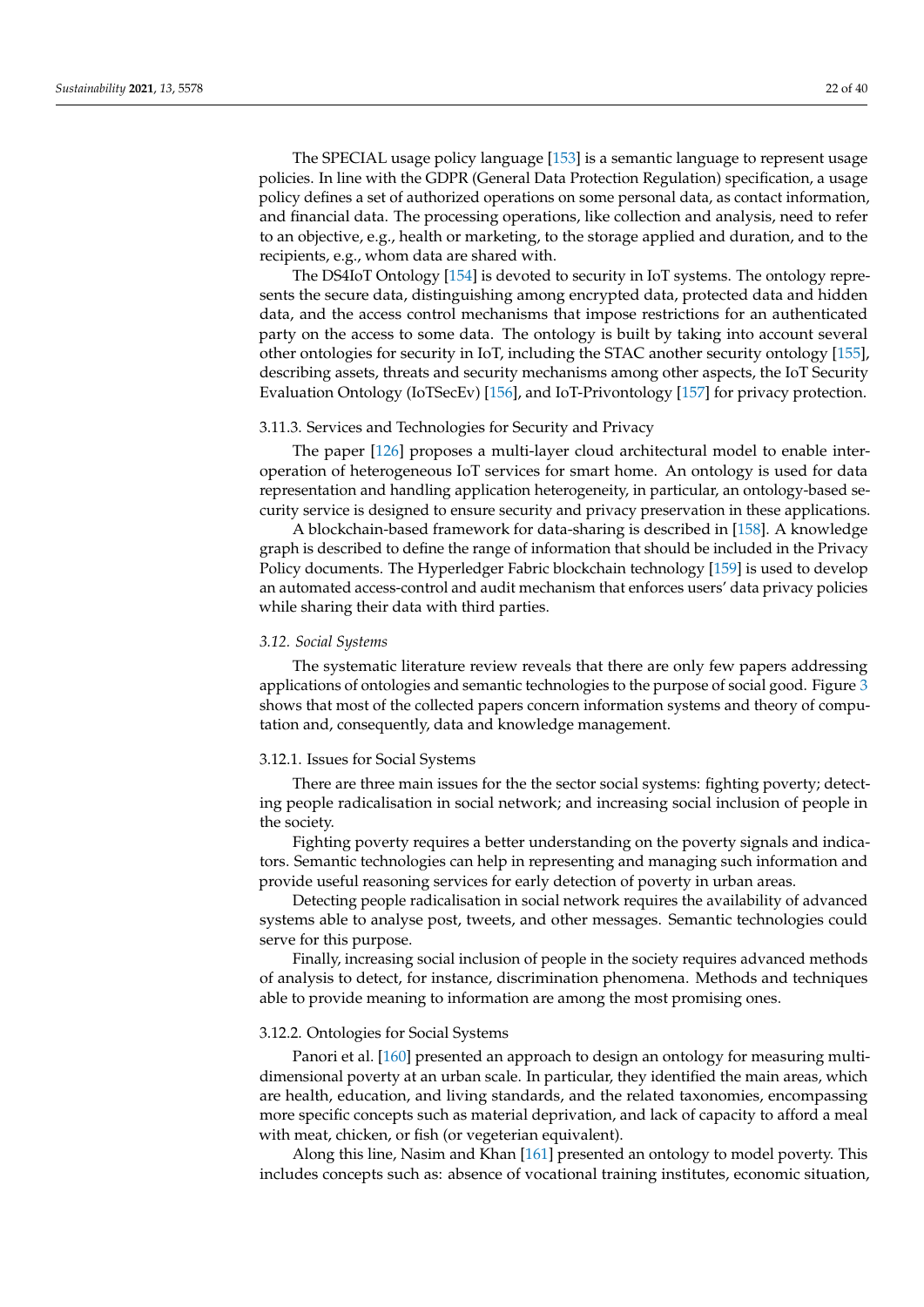The SPECIAL usage policy language [\[153\]](#page-38-4) is a semantic language to represent usage policies. In line with the GDPR (General Data Protection Regulation) specification, a usage policy defines a set of authorized operations on some personal data, as contact information, and financial data. The processing operations, like collection and analysis, need to refer to an objective, e.g., health or marketing, to the storage applied and duration, and to the recipients, e.g., whom data are shared with.

The DS4IoT Ontology [\[154\]](#page-38-5) is devoted to security in IoT systems. The ontology represents the secure data, distinguishing among encrypted data, protected data and hidden data, and the access control mechanisms that impose restrictions for an authenticated party on the access to some data. The ontology is built by taking into account several other ontologies for security in IoT, including the STAC another security ontology [\[155\]](#page-38-6), describing assets, threats and security mechanisms among other aspects, the IoT Security Evaluation Ontology (IoTSecEv) [\[156\]](#page-38-7), and IoT-Privontology [\[157\]](#page-38-8) for privacy protection.

#### 3.11.3. Services and Technologies for Security and Privacy

The paper [\[126\]](#page-37-2) proposes a multi-layer cloud architectural model to enable interoperation of heterogeneous IoT services for smart home. An ontology is used for data representation and handling application heterogeneity, in particular, an ontology-based security service is designed to ensure security and privacy preservation in these applications.

A blockchain-based framework for data-sharing is described in [\[158\]](#page-38-9). A knowledge graph is described to define the range of information that should be included in the Privacy Policy documents. The Hyperledger Fabric blockchain technology [\[159\]](#page-38-10) is used to develop an automated access-control and audit mechanism that enforces users' data privacy policies while sharing their data with third parties.

#### <span id="page-21-0"></span>*3.12. Social Systems*

The systematic literature review reveals that there are only few papers addressing applications of ontologies and semantic technologies to the purpose of social good. Figure [3](#page-6-0) shows that most of the collected papers concern information systems and theory of computation and, consequently, data and knowledge management.

#### 3.12.1. Issues for Social Systems

There are three main issues for the the sector social systems: fighting poverty; detecting people radicalisation in social network; and increasing social inclusion of people in the society.

Fighting poverty requires a better understanding on the poverty signals and indicators. Semantic technologies can help in representing and managing such information and provide useful reasoning services for early detection of poverty in urban areas.

Detecting people radicalisation in social network requires the availability of advanced systems able to analyse post, tweets, and other messages. Semantic technologies could serve for this purpose.

Finally, increasing social inclusion of people in the society requires advanced methods of analysis to detect, for instance, discrimination phenomena. Methods and techniques able to provide meaning to information are among the most promising ones.

### 3.12.2. Ontologies for Social Systems

Panori et al. [\[160\]](#page-38-11) presented an approach to design an ontology for measuring multidimensional poverty at an urban scale. In particular, they identified the main areas, which are health, education, and living standards, and the related taxonomies, encompassing more specific concepts such as material deprivation, and lack of capacity to afford a meal with meat, chicken, or fish (or vegeterian equivalent).

Along this line, Nasim and Khan [\[161\]](#page-38-12) presented an ontology to model poverty. This includes concepts such as: absence of vocational training institutes, economic situation,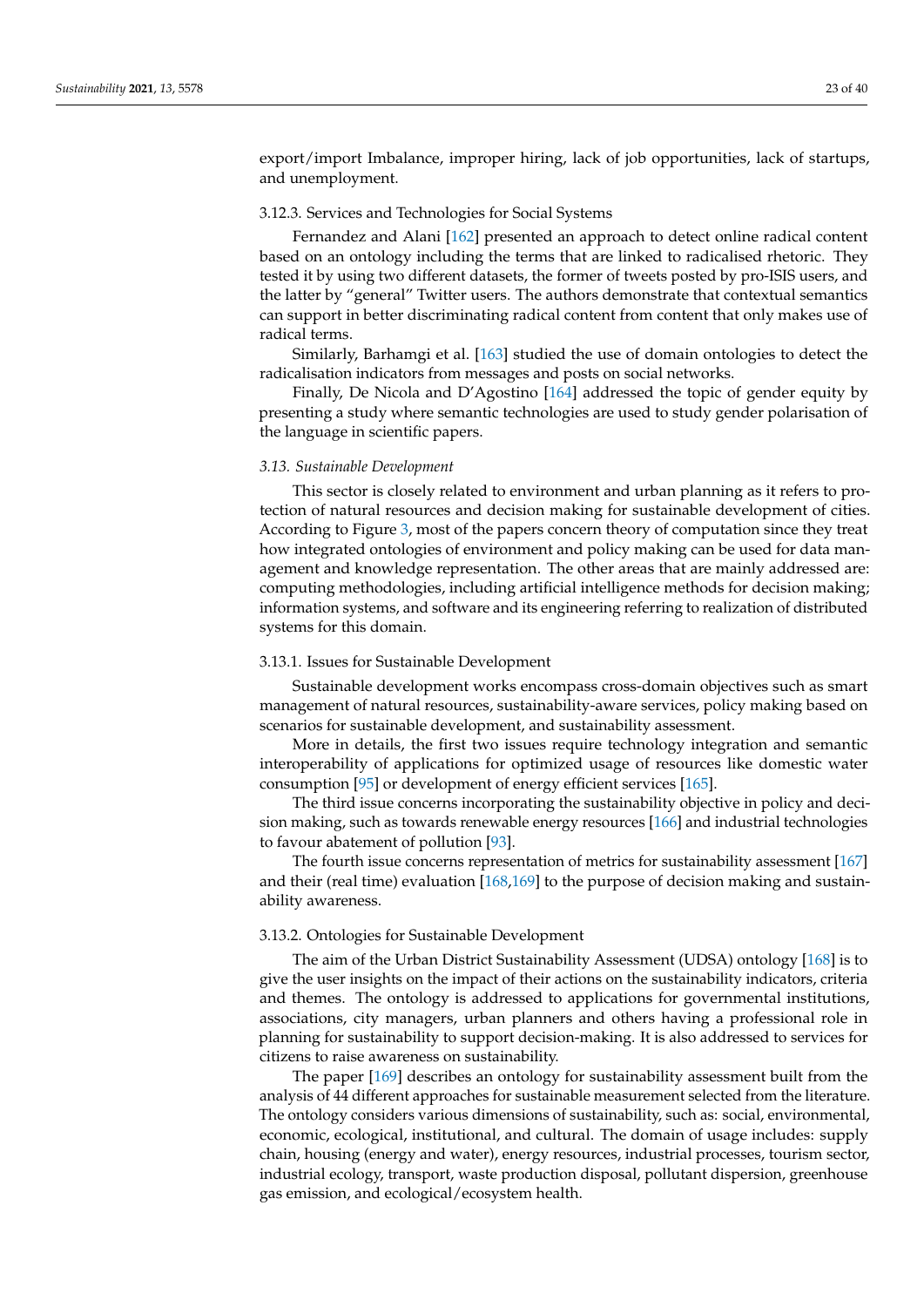export/import Imbalance, improper hiring, lack of job opportunities, lack of startups, and unemployment.

### 3.12.3. Services and Technologies for Social Systems

Fernandez and Alani [\[162\]](#page-38-13) presented an approach to detect online radical content based on an ontology including the terms that are linked to radicalised rhetoric. They tested it by using two different datasets, the former of tweets posted by pro-ISIS users, and the latter by "general" Twitter users. The authors demonstrate that contextual semantics can support in better discriminating radical content from content that only makes use of radical terms.

Similarly, Barhamgi et al. [\[163\]](#page-38-14) studied the use of domain ontologies to detect the radicalisation indicators from messages and posts on social networks.

Finally, De Nicola and D'Agostino [\[164\]](#page-38-15) addressed the topic of gender equity by presenting a study where semantic technologies are used to study gender polarisation of the language in scientific papers.

### <span id="page-22-0"></span>*3.13. Sustainable Development*

This sector is closely related to environment and urban planning as it refers to protection of natural resources and decision making for sustainable development of cities. According to Figure [3,](#page-6-0) most of the papers concern theory of computation since they treat how integrated ontologies of environment and policy making can be used for data management and knowledge representation. The other areas that are mainly addressed are: computing methodologies, including artificial intelligence methods for decision making; information systems, and software and its engineering referring to realization of distributed systems for this domain.

#### 3.13.1. Issues for Sustainable Development

Sustainable development works encompass cross-domain objectives such as smart management of natural resources, sustainability-aware services, policy making based on scenarios for sustainable development, and sustainability assessment.

More in details, the first two issues require technology integration and semantic interoperability of applications for optimized usage of resources like domestic water consumption [\[95\]](#page-35-25) or development of energy efficient services [\[165\]](#page-38-16).

The third issue concerns incorporating the sustainability objective in policy and decision making, such as towards renewable energy resources [\[166\]](#page-38-17) and industrial technologies to favour abatement of pollution [\[93\]](#page-35-23).

The fourth issue concerns representation of metrics for sustainability assessment [\[167\]](#page-38-18) and their (real time) evaluation [\[168](#page-38-19)[,169\]](#page-38-20) to the purpose of decision making and sustainability awareness.

#### 3.13.2. Ontologies for Sustainable Development

The aim of the Urban District Sustainability Assessment (UDSA) ontology [\[168\]](#page-38-19) is to give the user insights on the impact of their actions on the sustainability indicators, criteria and themes. The ontology is addressed to applications for governmental institutions, associations, city managers, urban planners and others having a professional role in planning for sustainability to support decision-making. It is also addressed to services for citizens to raise awareness on sustainability.

The paper [\[169\]](#page-38-20) describes an ontology for sustainability assessment built from the analysis of 44 different approaches for sustainable measurement selected from the literature. The ontology considers various dimensions of sustainability, such as: social, environmental, economic, ecological, institutional, and cultural. The domain of usage includes: supply chain, housing (energy and water), energy resources, industrial processes, tourism sector, industrial ecology, transport, waste production disposal, pollutant dispersion, greenhouse gas emission, and ecological/ecosystem health.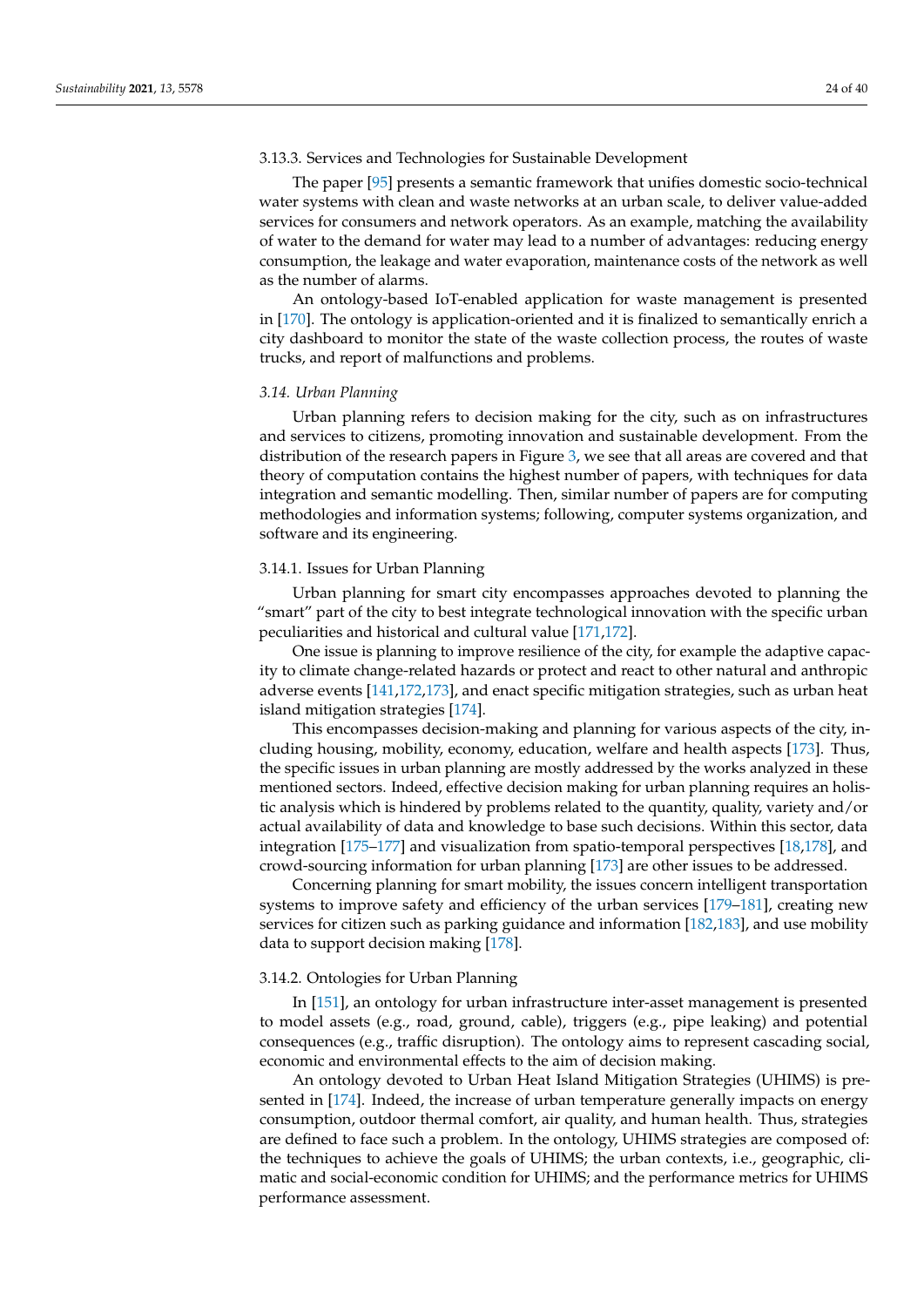## 3.13.3. Services and Technologies for Sustainable Development

The paper [\[95\]](#page-35-25) presents a semantic framework that unifies domestic socio-technical water systems with clean and waste networks at an urban scale, to deliver value-added services for consumers and network operators. As an example, matching the availability of water to the demand for water may lead to a number of advantages: reducing energy consumption, the leakage and water evaporation, maintenance costs of the network as well as the number of alarms.

An ontology-based IoT-enabled application for waste management is presented in [\[170\]](#page-38-21). The ontology is application-oriented and it is finalized to semantically enrich a city dashboard to monitor the state of the waste collection process, the routes of waste trucks, and report of malfunctions and problems.

#### <span id="page-23-0"></span>*3.14. Urban Planning*

Urban planning refers to decision making for the city, such as on infrastructures and services to citizens, promoting innovation and sustainable development. From the distribution of the research papers in Figure [3,](#page-6-0) we see that all areas are covered and that theory of computation contains the highest number of papers, with techniques for data integration and semantic modelling. Then, similar number of papers are for computing methodologies and information systems; following, computer systems organization, and software and its engineering.

#### 3.14.1. Issues for Urban Planning

Urban planning for smart city encompasses approaches devoted to planning the "smart" part of the city to best integrate technological innovation with the specific urban peculiarities and historical and cultural value [\[171](#page-38-22)[,172\]](#page-38-23).

One issue is planning to improve resilience of the city, for example the adaptive capacity to climate change-related hazards or protect and react to other natural and anthropic adverse events [\[141](#page-37-17)[,172](#page-38-23)[,173\]](#page-38-24), and enact specific mitigation strategies, such as urban heat island mitigation strategies [\[174\]](#page-39-0).

This encompasses decision-making and planning for various aspects of the city, including housing, mobility, economy, education, welfare and health aspects [\[173\]](#page-38-24). Thus, the specific issues in urban planning are mostly addressed by the works analyzed in these mentioned sectors. Indeed, effective decision making for urban planning requires an holistic analysis which is hindered by problems related to the quantity, quality, variety and/or actual availability of data and knowledge to base such decisions. Within this sector, data integration [\[175–](#page-39-1)[177\]](#page-39-2) and visualization from spatio-temporal perspectives [\[18](#page-33-3)[,178\]](#page-39-3), and crowd-sourcing information for urban planning [\[173\]](#page-38-24) are other issues to be addressed.

Concerning planning for smart mobility, the issues concern intelligent transportation systems to improve safety and efficiency of the urban services [\[179–](#page-39-4)[181\]](#page-39-5), creating new services for citizen such as parking guidance and information [\[182,](#page-39-6)[183\]](#page-39-7), and use mobility data to support decision making [\[178\]](#page-39-3).

#### 3.14.2. Ontologies for Urban Planning

In [\[151\]](#page-38-2), an ontology for urban infrastructure inter-asset management is presented to model assets (e.g., road, ground, cable), triggers (e.g., pipe leaking) and potential consequences (e.g., traffic disruption). The ontology aims to represent cascading social, economic and environmental effects to the aim of decision making.

An ontology devoted to Urban Heat Island Mitigation Strategies (UHIMS) is presented in [\[174\]](#page-39-0). Indeed, the increase of urban temperature generally impacts on energy consumption, outdoor thermal comfort, air quality, and human health. Thus, strategies are defined to face such a problem. In the ontology, UHIMS strategies are composed of: the techniques to achieve the goals of UHIMS; the urban contexts, i.e., geographic, climatic and social-economic condition for UHIMS; and the performance metrics for UHIMS performance assessment.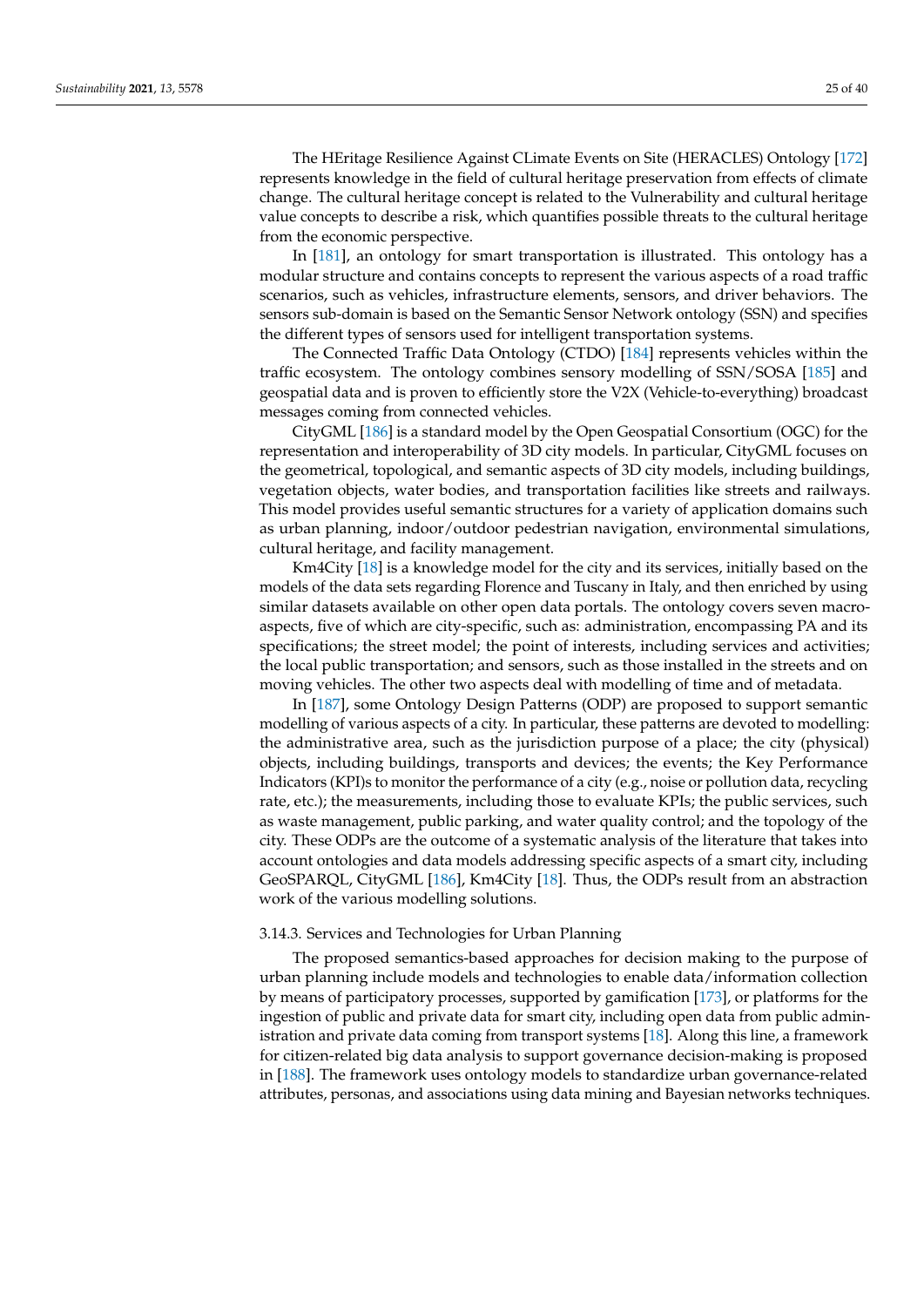The HEritage Resilience Against CLimate Events on Site (HERACLES) Ontology [\[172\]](#page-38-23) represents knowledge in the field of cultural heritage preservation from effects of climate change. The cultural heritage concept is related to the Vulnerability and cultural heritage value concepts to describe a risk, which quantifies possible threats to the cultural heritage from the economic perspective.

In [\[181\]](#page-39-5), an ontology for smart transportation is illustrated. This ontology has a modular structure and contains concepts to represent the various aspects of a road traffic scenarios, such as vehicles, infrastructure elements, sensors, and driver behaviors. The sensors sub-domain is based on the Semantic Sensor Network ontology (SSN) and specifies the different types of sensors used for intelligent transportation systems.

The Connected Traffic Data Ontology (CTDO) [\[184\]](#page-39-8) represents vehicles within the traffic ecosystem. The ontology combines sensory modelling of SSN/SOSA [\[185\]](#page-39-9) and geospatial data and is proven to efficiently store the V2X (Vehicle-to-everything) broadcast messages coming from connected vehicles.

CityGML [\[186\]](#page-39-10) is a standard model by the Open Geospatial Consortium (OGC) for the representation and interoperability of 3D city models. In particular, CityGML focuses on the geometrical, topological, and semantic aspects of 3D city models, including buildings, vegetation objects, water bodies, and transportation facilities like streets and railways. This model provides useful semantic structures for a variety of application domains such as urban planning, indoor/outdoor pedestrian navigation, environmental simulations, cultural heritage, and facility management.

Km4City [\[18\]](#page-33-3) is a knowledge model for the city and its services, initially based on the models of the data sets regarding Florence and Tuscany in Italy, and then enriched by using similar datasets available on other open data portals. The ontology covers seven macroaspects, five of which are city-specific, such as: administration, encompassing PA and its specifications; the street model; the point of interests, including services and activities; the local public transportation; and sensors, such as those installed in the streets and on moving vehicles. The other two aspects deal with modelling of time and of metadata.

In [\[187\]](#page-39-11), some Ontology Design Patterns (ODP) are proposed to support semantic modelling of various aspects of a city. In particular, these patterns are devoted to modelling: the administrative area, such as the jurisdiction purpose of a place; the city (physical) objects, including buildings, transports and devices; the events; the Key Performance Indicators (KPI)s to monitor the performance of a city (e.g., noise or pollution data, recycling rate, etc.); the measurements, including those to evaluate KPIs; the public services, such as waste management, public parking, and water quality control; and the topology of the city. These ODPs are the outcome of a systematic analysis of the literature that takes into account ontologies and data models addressing specific aspects of a smart city, including GeoSPARQL, CityGML [\[186\]](#page-39-10), Km4City [\[18\]](#page-33-3). Thus, the ODPs result from an abstraction work of the various modelling solutions.

#### 3.14.3. Services and Technologies for Urban Planning

The proposed semantics-based approaches for decision making to the purpose of urban planning include models and technologies to enable data/information collection by means of participatory processes, supported by gamification [\[173\]](#page-38-24), or platforms for the ingestion of public and private data for smart city, including open data from public administration and private data coming from transport systems [\[18\]](#page-33-3). Along this line, a framework for citizen-related big data analysis to support governance decision-making is proposed in [\[188\]](#page-39-12). The framework uses ontology models to standardize urban governance-related attributes, personas, and associations using data mining and Bayesian networks techniques.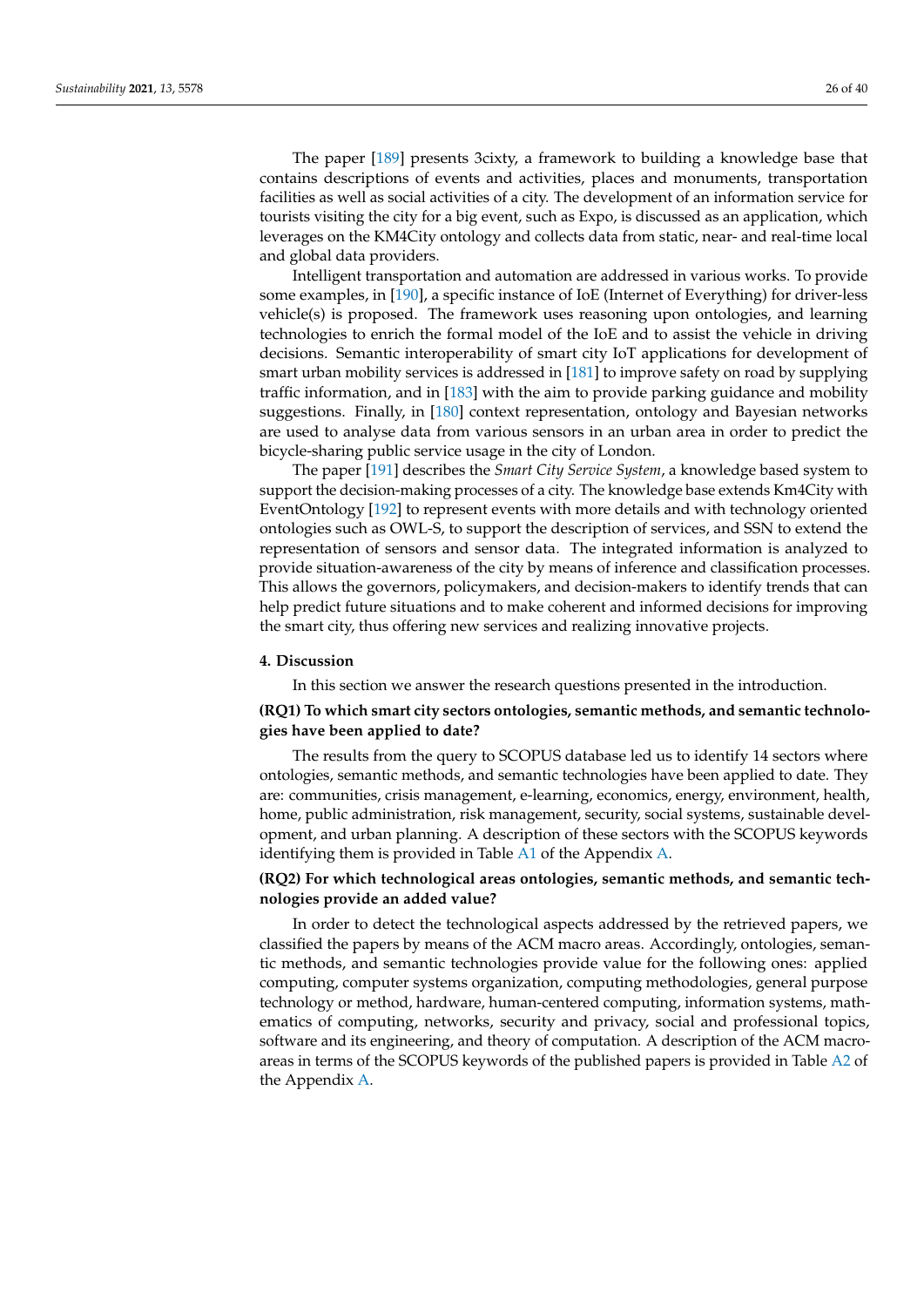The paper [\[189\]](#page-39-13) presents 3cixty, a framework to building a knowledge base that contains descriptions of events and activities, places and monuments, transportation facilities as well as social activities of a city. The development of an information service for tourists visiting the city for a big event, such as Expo, is discussed as an application, which leverages on the KM4City ontology and collects data from static, near- and real-time local and global data providers.

Intelligent transportation and automation are addressed in various works. To provide some examples, in [\[190\]](#page-39-14), a specific instance of IoE (Internet of Everything) for driver-less vehicle(s) is proposed. The framework uses reasoning upon ontologies, and learning technologies to enrich the formal model of the IoE and to assist the vehicle in driving decisions. Semantic interoperability of smart city IoT applications for development of smart urban mobility services is addressed in [\[181\]](#page-39-5) to improve safety on road by supplying traffic information, and in [\[183\]](#page-39-7) with the aim to provide parking guidance and mobility suggestions. Finally, in [\[180\]](#page-39-15) context representation, ontology and Bayesian networks are used to analyse data from various sensors in an urban area in order to predict the bicycle-sharing public service usage in the city of London.

The paper [\[191\]](#page-39-16) describes the *Smart City Service System*, a knowledge based system to support the decision-making processes of a city. The knowledge base extends Km4City with EventOntology [\[192\]](#page-39-17) to represent events with more details and with technology oriented ontologies such as OWL-S, to support the description of services, and SSN to extend the representation of sensors and sensor data. The integrated information is analyzed to provide situation-awareness of the city by means of inference and classification processes. This allows the governors, policymakers, and decision-makers to identify trends that can help predict future situations and to make coherent and informed decisions for improving the smart city, thus offering new services and realizing innovative projects.

#### <span id="page-25-0"></span>**4. Discussion**

In this section we answer the research questions presented in the introduction.

## **(RQ1) To which smart city sectors ontologies, semantic methods, and semantic technologies have been applied to date?**

The results from the query to SCOPUS database led us to identify 14 sectors where ontologies, semantic methods, and semantic technologies have been applied to date. They are: communities, crisis management, e-learning, economics, energy, environment, health, home, public administration, risk management, security, social systems, sustainable development, and urban planning. A description of these sectors with the SCOPUS keywords identifying them is provided in Table [A1](#page-30-0) of the Appendix [A.](#page-29-0)

## **(RQ2) For which technological areas ontologies, semantic methods, and semantic technologies provide an added value?**

In order to detect the technological aspects addressed by the retrieved papers, we classified the papers by means of the ACM macro areas. Accordingly, ontologies, semantic methods, and semantic technologies provide value for the following ones: applied computing, computer systems organization, computing methodologies, general purpose technology or method, hardware, human-centered computing, information systems, mathematics of computing, networks, security and privacy, social and professional topics, software and its engineering, and theory of computation. A description of the ACM macroareas in terms of the SCOPUS keywords of the published papers is provided in Table [A2](#page-32-13) of the Appendix [A.](#page-29-0)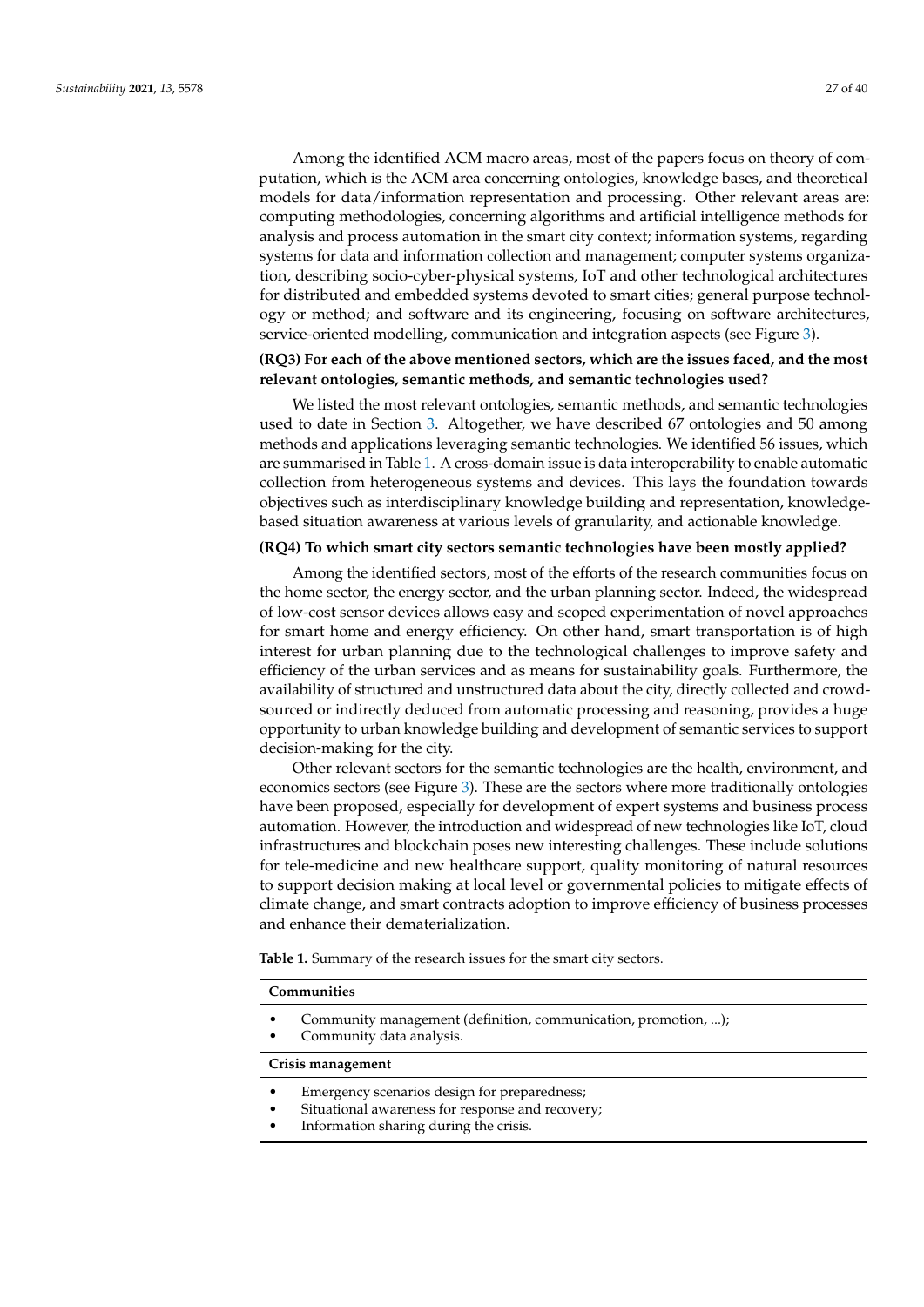Among the identified ACM macro areas, most of the papers focus on theory of computation, which is the ACM area concerning ontologies, knowledge bases, and theoretical models for data/information representation and processing. Other relevant areas are: computing methodologies, concerning algorithms and artificial intelligence methods for analysis and process automation in the smart city context; information systems, regarding systems for data and information collection and management; computer systems organization, describing socio-cyber-physical systems, IoT and other technological architectures for distributed and embedded systems devoted to smart cities; general purpose technology or method; and software and its engineering, focusing on software architectures, service-oriented modelling, communication and integration aspects (see Figure [3\)](#page-6-0).

## **(RQ3) For each of the above mentioned sectors, which are the issues faced, and the most relevant ontologies, semantic methods, and semantic technologies used?**

We listed the most relevant ontologies, semantic methods, and semantic technologies used to date in Section [3.](#page-7-0) Altogether, we have described 67 ontologies and 50 among methods and applications leveraging semantic technologies. We identified 56 issues, which are summarised in Table [1.](#page-28-1) A cross-domain issue is data interoperability to enable automatic collection from heterogeneous systems and devices. This lays the foundation towards objectives such as interdisciplinary knowledge building and representation, knowledgebased situation awareness at various levels of granularity, and actionable knowledge.

#### **(RQ4) To which smart city sectors semantic technologies have been mostly applied?**

Among the identified sectors, most of the efforts of the research communities focus on the home sector, the energy sector, and the urban planning sector. Indeed, the widespread of low-cost sensor devices allows easy and scoped experimentation of novel approaches for smart home and energy efficiency. On other hand, smart transportation is of high interest for urban planning due to the technological challenges to improve safety and efficiency of the urban services and as means for sustainability goals. Furthermore, the availability of structured and unstructured data about the city, directly collected and crowdsourced or indirectly deduced from automatic processing and reasoning, provides a huge opportunity to urban knowledge building and development of semantic services to support decision-making for the city.

Other relevant sectors for the semantic technologies are the health, environment, and economics sectors (see Figure [3\)](#page-6-0). These are the sectors where more traditionally ontologies have been proposed, especially for development of expert systems and business process automation. However, the introduction and widespread of new technologies like IoT, cloud infrastructures and blockchain poses new interesting challenges. These include solutions for tele-medicine and new healthcare support, quality monitoring of natural resources to support decision making at local level or governmental policies to mitigate effects of climate change, and smart contracts adoption to improve efficiency of business processes and enhance their dematerialization.

**Table 1.** Summary of the research issues for the smart city sectors.

#### **Communities**

- Community management (definition, communication, promotion, ...);
- Community data analysis.

#### **Crisis management**

- Emergency scenarios design for preparedness;
	- Situational awareness for response and recovery;
- Information sharing during the crisis.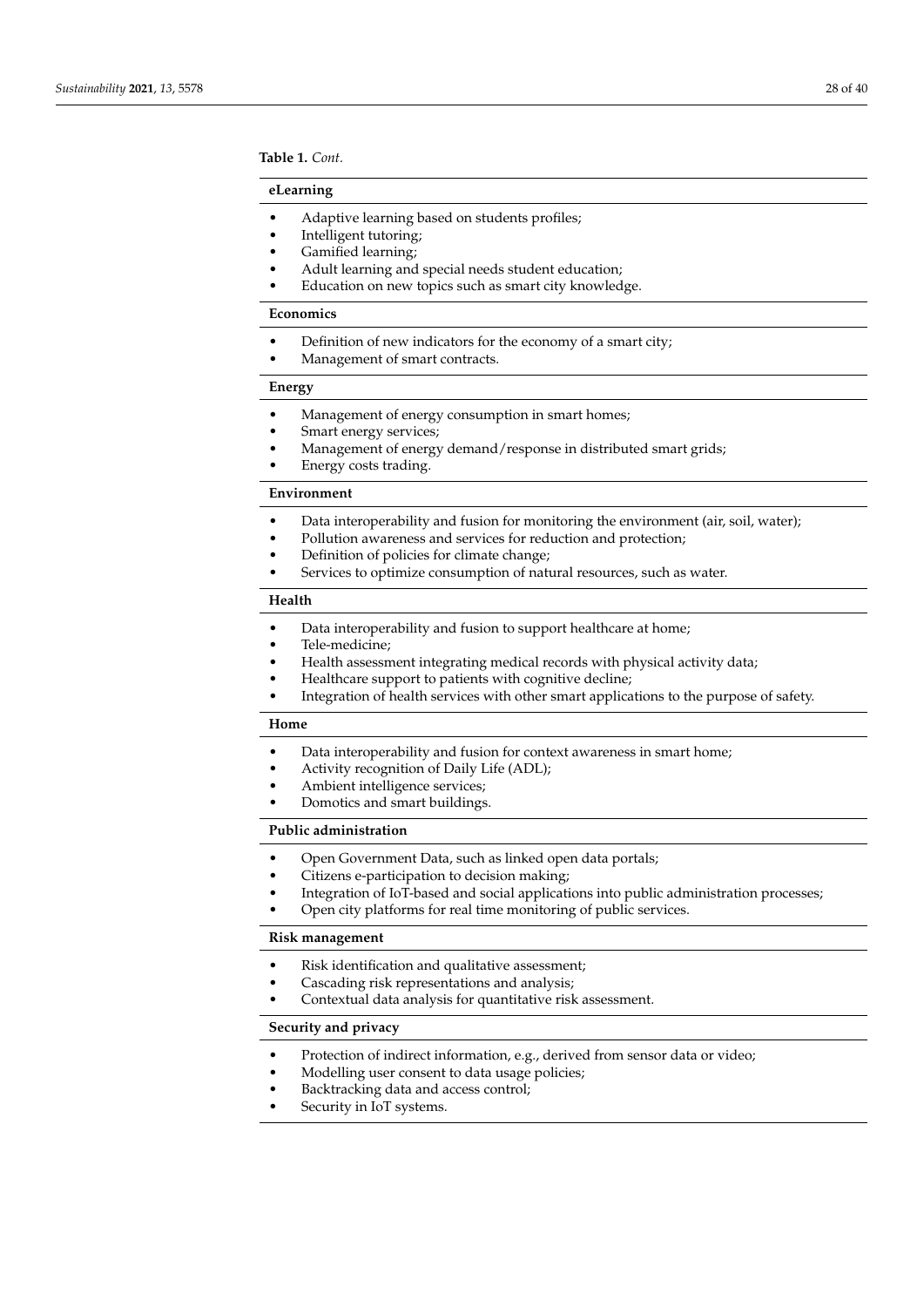**Table 1.** *Cont.*

#### **eLearning**

- Adaptive learning based on students profiles;
- Intelligent tutoring;
- Gamified learning;
- Adult learning and special needs student education;
- Education on new topics such as smart city knowledge.

#### **Economics**

- Definition of new indicators for the economy of a smart city;
- Management of smart contracts.

## **Energy**

- Management of energy consumption in smart homes;
- Smart energy services;
- Management of energy demand/response in distributed smart grids;
- Energy costs trading.

## **Environment**

- Data interoperability and fusion for monitoring the environment (air, soil, water);
- Pollution awareness and services for reduction and protection;
- Definition of policies for climate change;
- Services to optimize consumption of natural resources, such as water.

## **Health**

- Data interoperability and fusion to support healthcare at home;
- Tele-medicine;
- Health assessment integrating medical records with physical activity data;
- Healthcare support to patients with cognitive decline;
- Integration of health services with other smart applications to the purpose of safety.

#### **Home**

- Data interoperability and fusion for context awareness in smart home;
- Activity recognition of Daily Life (ADL);
- Ambient intelligence services;
- Domotics and smart buildings.

#### **Public administration**

- Open Government Data, such as linked open data portals;
- Citizens e-participation to decision making;
- Integration of IoT-based and social applications into public administration processes;
- Open city platforms for real time monitoring of public services.

## **Risk management**

- Risk identification and qualitative assessment;
- Cascading risk representations and analysis;
- Contextual data analysis for quantitative risk assessment.

#### **Security and privacy**

- Protection of indirect information, e.g., derived from sensor data or video;
- Modelling user consent to data usage policies;
- Backtracking data and access control;
- Security in IoT systems.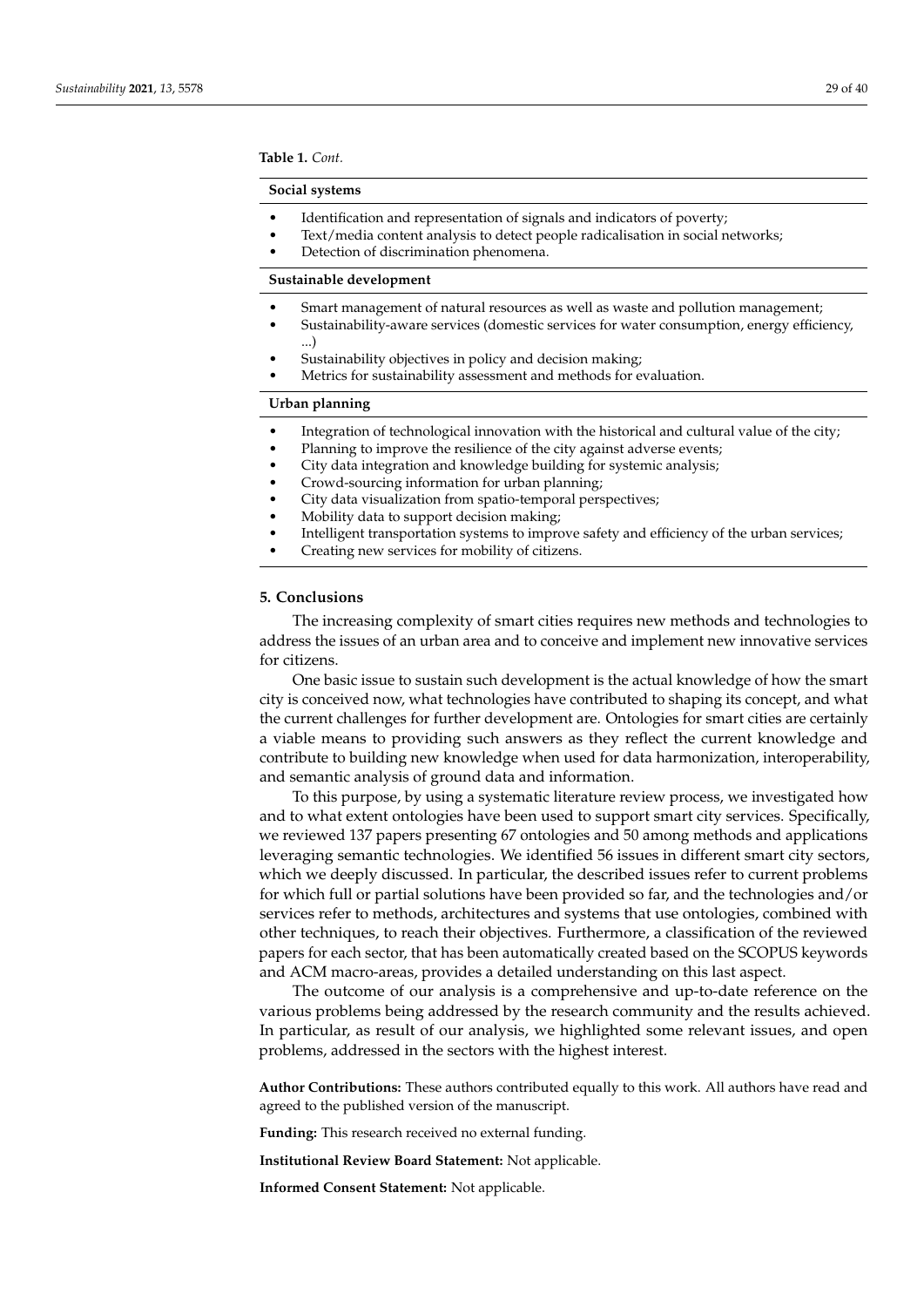<span id="page-28-1"></span>**Table 1.** *Cont.*

#### **Social systems**

- Identification and representation of signals and indicators of poverty;
- Text/media content analysis to detect people radicalisation in social networks;
- Detection of discrimination phenomena.

#### **Sustainable development**

- Smart management of natural resources as well as waste and pollution management;
- Sustainability-aware services (domestic services for water consumption, energy efficiency, ...)
- Sustainability objectives in policy and decision making;
- Metrics for sustainability assessment and methods for evaluation.

## **Urban planning**

- Integration of technological innovation with the historical and cultural value of the city;
- Planning to improve the resilience of the city against adverse events;
- City data integration and knowledge building for systemic analysis;
- Crowd-sourcing information for urban planning;
- City data visualization from spatio-temporal perspectives;
- Mobility data to support decision making;
- Intelligent transportation systems to improve safety and efficiency of the urban services;
- Creating new services for mobility of citizens.

#### <span id="page-28-0"></span>**5. Conclusions**

The increasing complexity of smart cities requires new methods and technologies to address the issues of an urban area and to conceive and implement new innovative services for citizens.

One basic issue to sustain such development is the actual knowledge of how the smart city is conceived now, what technologies have contributed to shaping its concept, and what the current challenges for further development are. Ontologies for smart cities are certainly a viable means to providing such answers as they reflect the current knowledge and contribute to building new knowledge when used for data harmonization, interoperability, and semantic analysis of ground data and information.

To this purpose, by using a systematic literature review process, we investigated how and to what extent ontologies have been used to support smart city services. Specifically, we reviewed 137 papers presenting 67 ontologies and 50 among methods and applications leveraging semantic technologies. We identified 56 issues in different smart city sectors, which we deeply discussed. In particular, the described issues refer to current problems for which full or partial solutions have been provided so far, and the technologies and/or services refer to methods, architectures and systems that use ontologies, combined with other techniques, to reach their objectives. Furthermore, a classification of the reviewed papers for each sector, that has been automatically created based on the SCOPUS keywords and ACM macro-areas, provides a detailed understanding on this last aspect.

The outcome of our analysis is a comprehensive and up-to-date reference on the various problems being addressed by the research community and the results achieved. In particular, as result of our analysis, we highlighted some relevant issues, and open problems, addressed in the sectors with the highest interest.

**Author Contributions:** These authors contributed equally to this work. All authors have read and agreed to the published version of the manuscript.

**Funding:** This research received no external funding.

**Institutional Review Board Statement:** Not applicable.

**Informed Consent Statement:** Not applicable.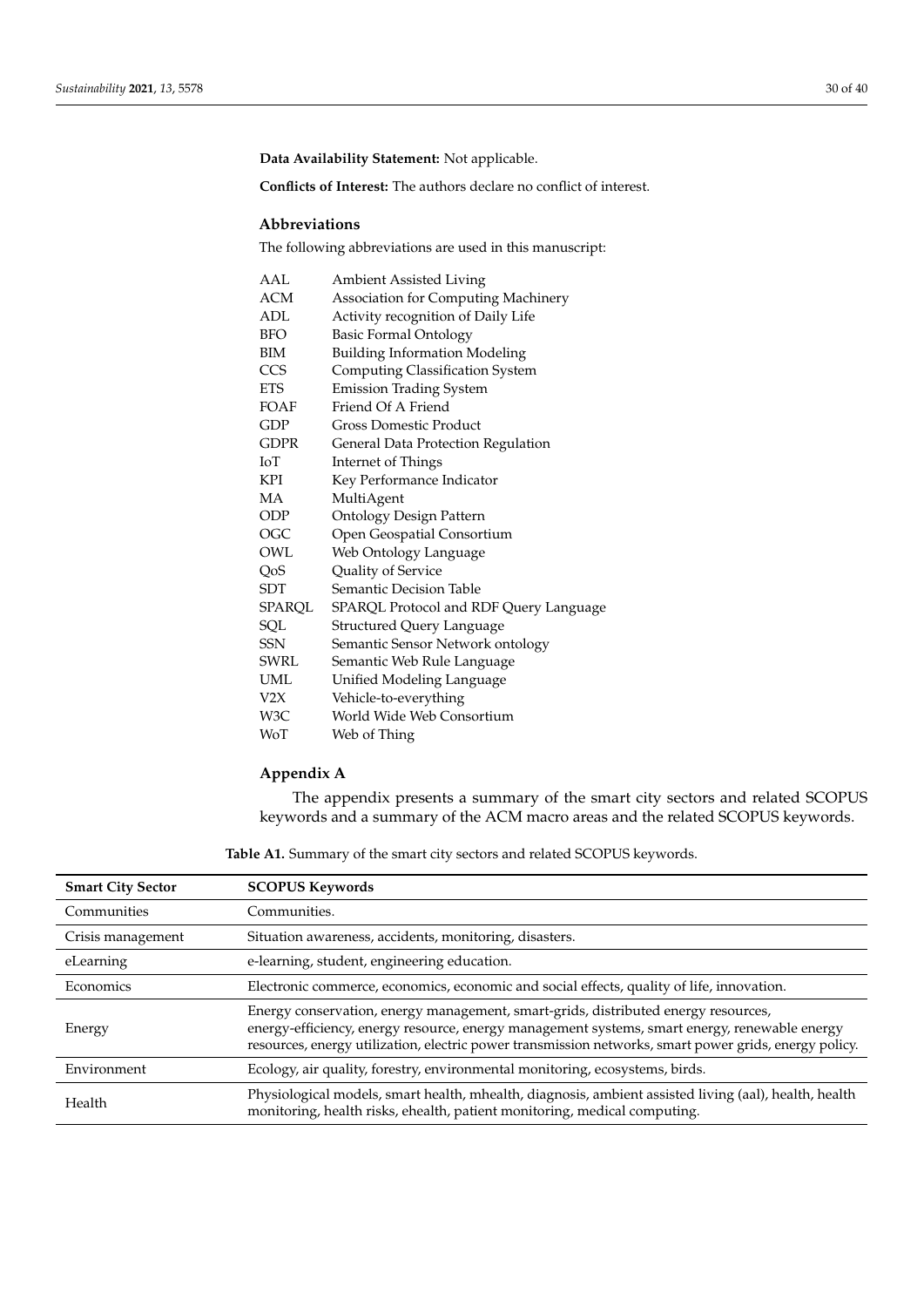**Data Availability Statement:** Not applicable.

**Conflicts of Interest:** The authors declare no conflict of interest.

## **Abbreviations**

The following abbreviations are used in this manuscript:

| AAL         | <b>Ambient Assisted Living</b>         |
|-------------|----------------------------------------|
| ACM         | Association for Computing Machinery    |
| ADL         | Activity recognition of Daily Life     |
| <b>BFO</b>  | <b>Basic Formal Ontology</b>           |
| BIM         | <b>Building Information Modeling</b>   |
| <b>CCS</b>  | <b>Computing Classification System</b> |
| <b>ETS</b>  | <b>Emission Trading System</b>         |
| FOAF        | Friend Of A Friend                     |
| GDP         | <b>Gross Domestic Product</b>          |
| <b>GDPR</b> | General Data Protection Regulation     |
| IоT         | Internet of Things                     |
| KPI         | Key Performance Indicator              |
| МA          | MultiAgent                             |
| ODP         | <b>Ontology Design Pattern</b>         |
| OGC         | Open Geospatial Consortium             |
| OWL         | Web Ontology Language                  |
| QoS         | Quality of Service                     |
| SDT         | Semantic Decision Table                |
| SPARQL      | SPARQL Protocol and RDF Query Language |
| SQL         | <b>Structured Query Language</b>       |
| SSN         | Semantic Sensor Network ontology       |
| SWRL        | Semantic Web Rule Language             |
| <b>UML</b>  | Unified Modeling Language              |
| V2X         | Vehicle-to-everything                  |
| W3C         | World Wide Web Consortium              |
| WoT         | Web of Thing                           |

## <span id="page-29-0"></span>**Appendix A**

The appendix presents a summary of the smart city sectors and related SCOPUS keywords and a summary of the ACM macro areas and the related SCOPUS keywords.

**Table A1.** Summary of the smart city sectors and related SCOPUS keywords.

| <b>Smart City Sector</b> | <b>SCOPUS Keywords</b>                                                                                                                                                                                                                                                                        |
|--------------------------|-----------------------------------------------------------------------------------------------------------------------------------------------------------------------------------------------------------------------------------------------------------------------------------------------|
| Communities              | Communities.                                                                                                                                                                                                                                                                                  |
| Crisis management        | Situation awareness, accidents, monitoring, disasters.                                                                                                                                                                                                                                        |
| eLearning                | e-learning, student, engineering education.                                                                                                                                                                                                                                                   |
| Economics                | Electronic commerce, economics, economic and social effects, quality of life, innovation.                                                                                                                                                                                                     |
| Energy                   | Energy conservation, energy management, smart-grids, distributed energy resources,<br>energy-efficiency, energy resource, energy management systems, smart energy, renewable energy<br>resources, energy utilization, electric power transmission networks, smart power grids, energy policy. |
| Environment              | Ecology, air quality, forestry, environmental monitoring, ecosystems, birds.                                                                                                                                                                                                                  |
| Health                   | Physiological models, smart health, mhealth, diagnosis, ambient assisted living (aal), health, health<br>monitoring, health risks, ehealth, patient monitoring, medical computing.                                                                                                            |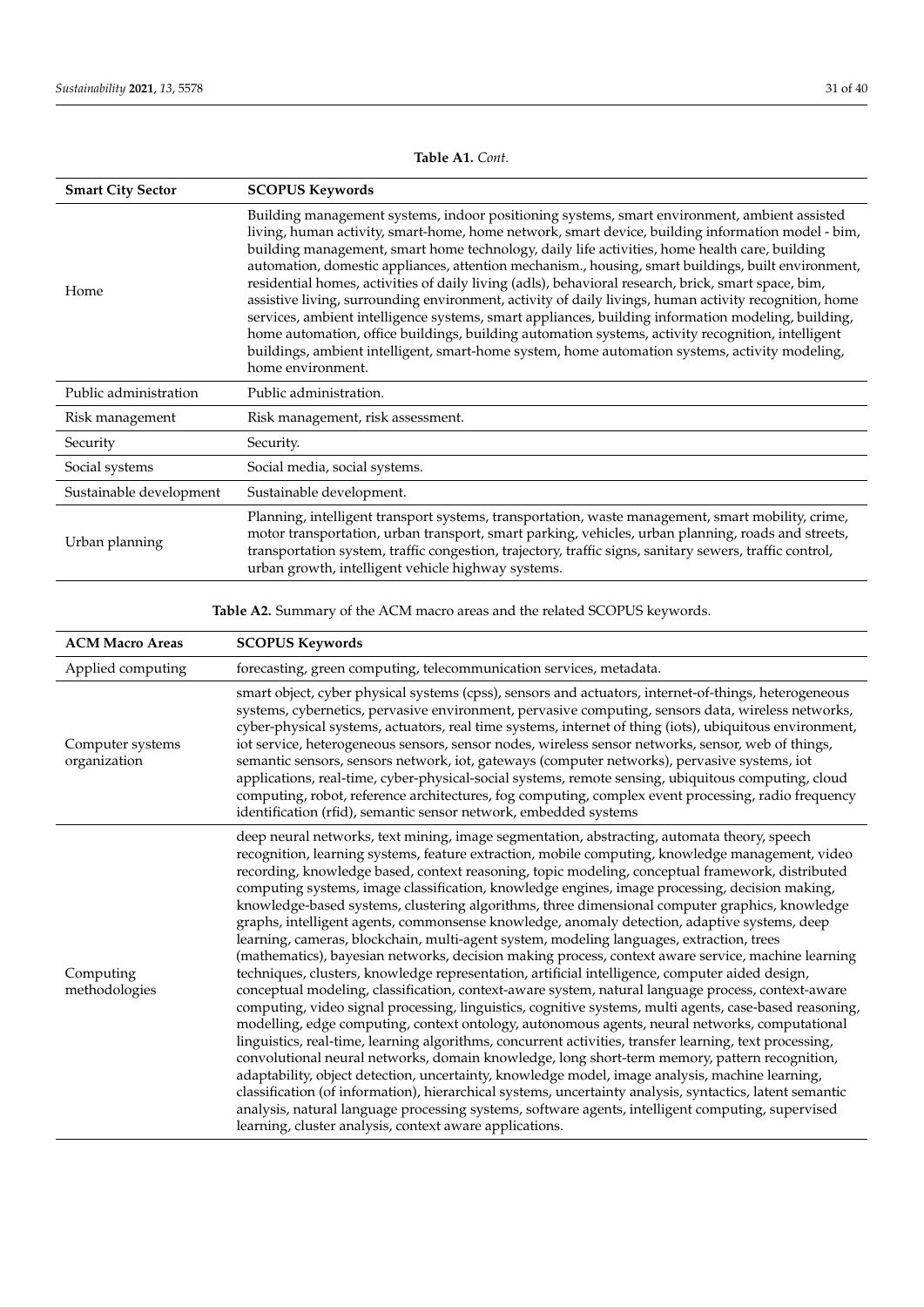<span id="page-30-0"></span>

| <b>Smart City Sector</b> | <b>SCOPUS Keywords</b>                                                                                                                                                                                                                                                                                                                                                                                                                                                                                                                                                                                                                                                                                                                                                                                                                                                                                                                                       |
|--------------------------|--------------------------------------------------------------------------------------------------------------------------------------------------------------------------------------------------------------------------------------------------------------------------------------------------------------------------------------------------------------------------------------------------------------------------------------------------------------------------------------------------------------------------------------------------------------------------------------------------------------------------------------------------------------------------------------------------------------------------------------------------------------------------------------------------------------------------------------------------------------------------------------------------------------------------------------------------------------|
| Home                     | Building management systems, indoor positioning systems, smart environment, ambient assisted<br>living, human activity, smart-home, home network, smart device, building information model - bim,<br>building management, smart home technology, daily life activities, home health care, building<br>automation, domestic appliances, attention mechanism., housing, smart buildings, built environment,<br>residential homes, activities of daily living (adls), behavioral research, brick, smart space, bim,<br>assistive living, surrounding environment, activity of daily livings, human activity recognition, home<br>services, ambient intelligence systems, smart appliances, building information modeling, building,<br>home automation, office buildings, building automation systems, activity recognition, intelligent<br>buildings, ambient intelligent, smart-home system, home automation systems, activity modeling,<br>home environment. |
| Public administration    | Public administration.                                                                                                                                                                                                                                                                                                                                                                                                                                                                                                                                                                                                                                                                                                                                                                                                                                                                                                                                       |
| Risk management          | Risk management, risk assessment.                                                                                                                                                                                                                                                                                                                                                                                                                                                                                                                                                                                                                                                                                                                                                                                                                                                                                                                            |
| Security                 | Security.                                                                                                                                                                                                                                                                                                                                                                                                                                                                                                                                                                                                                                                                                                                                                                                                                                                                                                                                                    |
| Social systems           | Social media, social systems.                                                                                                                                                                                                                                                                                                                                                                                                                                                                                                                                                                                                                                                                                                                                                                                                                                                                                                                                |
| Sustainable development  | Sustainable development.                                                                                                                                                                                                                                                                                                                                                                                                                                                                                                                                                                                                                                                                                                                                                                                                                                                                                                                                     |
| Urban planning           | Planning, intelligent transport systems, transportation, waste management, smart mobility, crime,<br>motor transportation, urban transport, smart parking, vehicles, urban planning, roads and streets,<br>transportation system, traffic congestion, trajectory, traffic signs, sanitary sewers, traffic control,<br>urban growth, intelligent vehicle highway systems.                                                                                                                                                                                                                                                                                                                                                                                                                                                                                                                                                                                     |

**Table A1.** *Cont.*

**Table A2.** Summary of the ACM macro areas and the related SCOPUS keywords.

| <b>ACM Macro Areas</b>           | <b>SCOPUS Keywords</b>                                                                                                                                                                                                                                                                                                                                                                                                                                                                                                                                                                                                                                                                                                                                                                                                                                                                                                                                                                                                                                                                                                                                                                                                                                                                                                                                                                                                                                                                                                                                                                                                                                                                                                                                                                                                     |
|----------------------------------|----------------------------------------------------------------------------------------------------------------------------------------------------------------------------------------------------------------------------------------------------------------------------------------------------------------------------------------------------------------------------------------------------------------------------------------------------------------------------------------------------------------------------------------------------------------------------------------------------------------------------------------------------------------------------------------------------------------------------------------------------------------------------------------------------------------------------------------------------------------------------------------------------------------------------------------------------------------------------------------------------------------------------------------------------------------------------------------------------------------------------------------------------------------------------------------------------------------------------------------------------------------------------------------------------------------------------------------------------------------------------------------------------------------------------------------------------------------------------------------------------------------------------------------------------------------------------------------------------------------------------------------------------------------------------------------------------------------------------------------------------------------------------------------------------------------------------|
| Applied computing                | forecasting, green computing, telecommunication services, metadata.                                                                                                                                                                                                                                                                                                                                                                                                                                                                                                                                                                                                                                                                                                                                                                                                                                                                                                                                                                                                                                                                                                                                                                                                                                                                                                                                                                                                                                                                                                                                                                                                                                                                                                                                                        |
| Computer systems<br>organization | smart object, cyber physical systems (cpss), sensors and actuators, internet-of-things, heterogeneous<br>systems, cybernetics, pervasive environment, pervasive computing, sensors data, wireless networks,<br>cyber-physical systems, actuators, real time systems, internet of thing (iots), ubiquitous environment,<br>iot service, heterogeneous sensors, sensor nodes, wireless sensor networks, sensor, web of things,<br>semantic sensors, sensors network, iot, gateways (computer networks), pervasive systems, iot<br>applications, real-time, cyber-physical-social systems, remote sensing, ubiquitous computing, cloud<br>computing, robot, reference architectures, fog computing, complex event processing, radio frequency<br>identification (rfid), semantic sensor network, embedded systems                                                                                                                                                                                                                                                                                                                                                                                                                                                                                                                                                                                                                                                                                                                                                                                                                                                                                                                                                                                                             |
| Computing<br>methodologies       | deep neural networks, text mining, image segmentation, abstracting, automata theory, speech<br>recognition, learning systems, feature extraction, mobile computing, knowledge management, video<br>recording, knowledge based, context reasoning, topic modeling, conceptual framework, distributed<br>computing systems, image classification, knowledge engines, image processing, decision making,<br>knowledge-based systems, clustering algorithms, three dimensional computer graphics, knowledge<br>graphs, intelligent agents, commonsense knowledge, anomaly detection, adaptive systems, deep<br>learning, cameras, blockchain, multi-agent system, modeling languages, extraction, trees<br>(mathematics), bayesian networks, decision making process, context aware service, machine learning<br>techniques, clusters, knowledge representation, artificial intelligence, computer aided design,<br>conceptual modeling, classification, context-aware system, natural language process, context-aware<br>computing, video signal processing, linguistics, cognitive systems, multi agents, case-based reasoning,<br>modelling, edge computing, context ontology, autonomous agents, neural networks, computational<br>linguistics, real-time, learning algorithms, concurrent activities, transfer learning, text processing,<br>convolutional neural networks, domain knowledge, long short-term memory, pattern recognition,<br>adaptability, object detection, uncertainty, knowledge model, image analysis, machine learning,<br>classification (of information), hierarchical systems, uncertainty analysis, syntactics, latent semantic<br>analysis, natural language processing systems, software agents, intelligent computing, supervised<br>learning, cluster analysis, context aware applications. |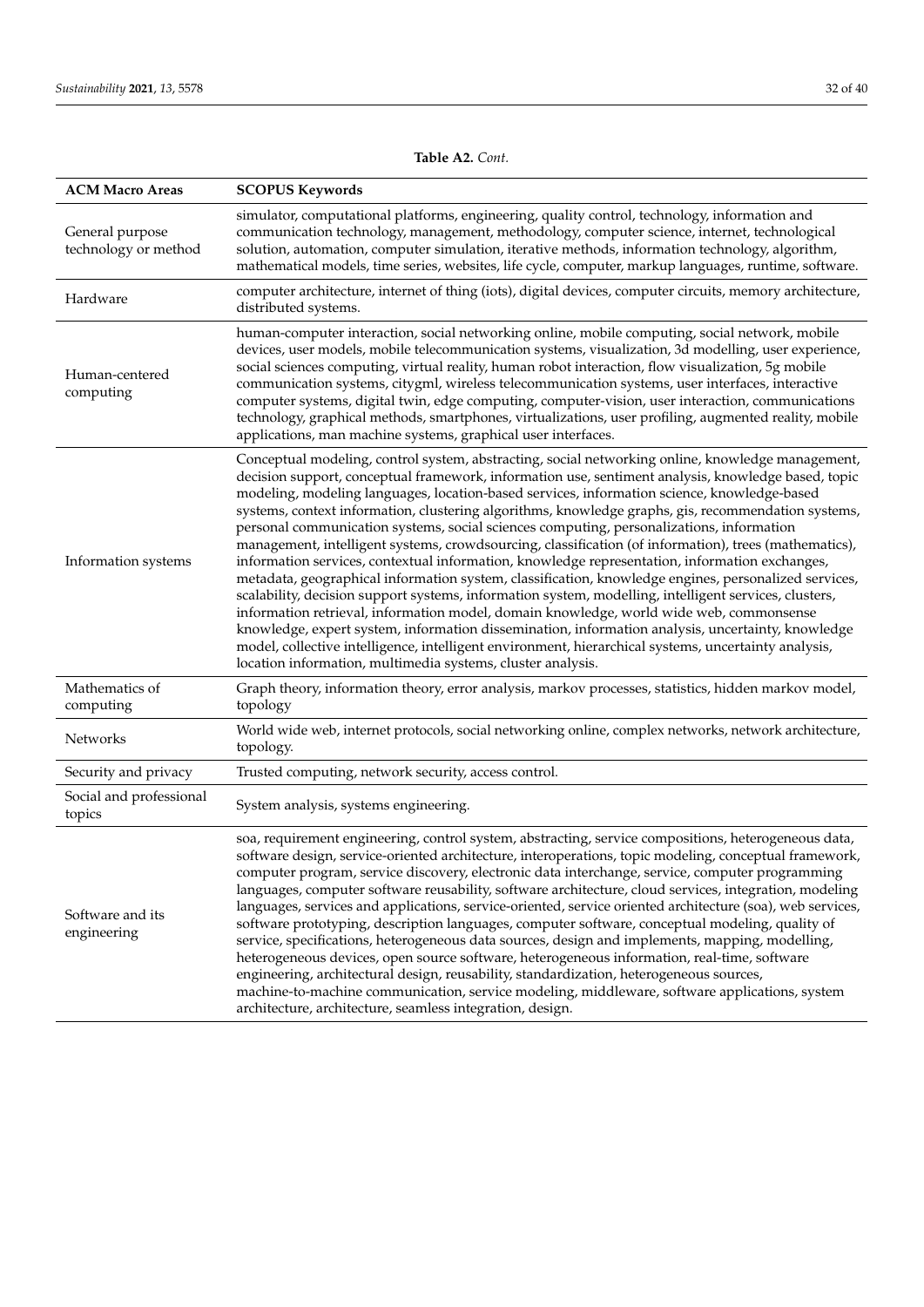| <b>ACM Macro Areas</b>                  | <b>SCOPUS Keywords</b>                                                                                                                                                                                                                                                                                                                                                                                                                                                                                                                                                                                                                                                                                                                                                                                                                                                                                                                                                                                                                                                                                                                                                                                                                                                                                        |
|-----------------------------------------|---------------------------------------------------------------------------------------------------------------------------------------------------------------------------------------------------------------------------------------------------------------------------------------------------------------------------------------------------------------------------------------------------------------------------------------------------------------------------------------------------------------------------------------------------------------------------------------------------------------------------------------------------------------------------------------------------------------------------------------------------------------------------------------------------------------------------------------------------------------------------------------------------------------------------------------------------------------------------------------------------------------------------------------------------------------------------------------------------------------------------------------------------------------------------------------------------------------------------------------------------------------------------------------------------------------|
| General purpose<br>technology or method | simulator, computational platforms, engineering, quality control, technology, information and<br>communication technology, management, methodology, computer science, internet, technological<br>solution, automation, computer simulation, iterative methods, information technology, algorithm,<br>mathematical models, time series, websites, life cycle, computer, markup languages, runtime, software.                                                                                                                                                                                                                                                                                                                                                                                                                                                                                                                                                                                                                                                                                                                                                                                                                                                                                                   |
| Hardware                                | computer architecture, internet of thing (iots), digital devices, computer circuits, memory architecture,<br>distributed systems.                                                                                                                                                                                                                                                                                                                                                                                                                                                                                                                                                                                                                                                                                                                                                                                                                                                                                                                                                                                                                                                                                                                                                                             |
| Human-centered<br>computing             | human-computer interaction, social networking online, mobile computing, social network, mobile<br>devices, user models, mobile telecommunication systems, visualization, 3d modelling, user experience,<br>social sciences computing, virtual reality, human robot interaction, flow visualization, 5g mobile<br>communication systems, citygml, wireless telecommunication systems, user interfaces, interactive<br>computer systems, digital twin, edge computing, computer-vision, user interaction, communications<br>technology, graphical methods, smartphones, virtualizations, user profiling, augmented reality, mobile<br>applications, man machine systems, graphical user interfaces.                                                                                                                                                                                                                                                                                                                                                                                                                                                                                                                                                                                                             |
| Information systems                     | Conceptual modeling, control system, abstracting, social networking online, knowledge management,<br>decision support, conceptual framework, information use, sentiment analysis, knowledge based, topic<br>modeling, modeling languages, location-based services, information science, knowledge-based<br>systems, context information, clustering algorithms, knowledge graphs, gis, recommendation systems,<br>personal communication systems, social sciences computing, personalizations, information<br>management, intelligent systems, crowdsourcing, classification (of information), trees (mathematics),<br>information services, contextual information, knowledge representation, information exchanges,<br>metadata, geographical information system, classification, knowledge engines, personalized services,<br>scalability, decision support systems, information system, modelling, intelligent services, clusters,<br>information retrieval, information model, domain knowledge, world wide web, commonsense<br>knowledge, expert system, information dissemination, information analysis, uncertainty, knowledge<br>model, collective intelligence, intelligent environment, hierarchical systems, uncertainty analysis,<br>location information, multimedia systems, cluster analysis. |
| Mathematics of<br>computing             | Graph theory, information theory, error analysis, markov processes, statistics, hidden markov model,<br>topology                                                                                                                                                                                                                                                                                                                                                                                                                                                                                                                                                                                                                                                                                                                                                                                                                                                                                                                                                                                                                                                                                                                                                                                              |
| Networks                                | World wide web, internet protocols, social networking online, complex networks, network architecture,<br>topology.                                                                                                                                                                                                                                                                                                                                                                                                                                                                                                                                                                                                                                                                                                                                                                                                                                                                                                                                                                                                                                                                                                                                                                                            |
| Security and privacy                    | Trusted computing, network security, access control.                                                                                                                                                                                                                                                                                                                                                                                                                                                                                                                                                                                                                                                                                                                                                                                                                                                                                                                                                                                                                                                                                                                                                                                                                                                          |
| Social and professional<br>topics       | System analysis, systems engineering.                                                                                                                                                                                                                                                                                                                                                                                                                                                                                                                                                                                                                                                                                                                                                                                                                                                                                                                                                                                                                                                                                                                                                                                                                                                                         |
| Software and its<br>engineering         | soa, requirement engineering, control system, abstracting, service compositions, heterogeneous data,<br>software design, service-oriented architecture, interoperations, topic modeling, conceptual framework,<br>computer program, service discovery, electronic data interchange, service, computer programming<br>languages, computer software reusability, software architecture, cloud services, integration, modeling<br>languages, services and applications, service-oriented, service oriented architecture (soa), web services,<br>software prototyping, description languages, computer software, conceptual modeling, quality of<br>service, specifications, heterogeneous data sources, design and implements, mapping, modelling,<br>heterogeneous devices, open source software, heterogeneous information, real-time, software<br>engineering, architectural design, reusability, standardization, heterogeneous sources,<br>machine-to-machine communication, service modeling, middleware, software applications, system<br>architecture, architecture, seamless integration, design.                                                                                                                                                                                                       |

**Table A2.** *Cont.*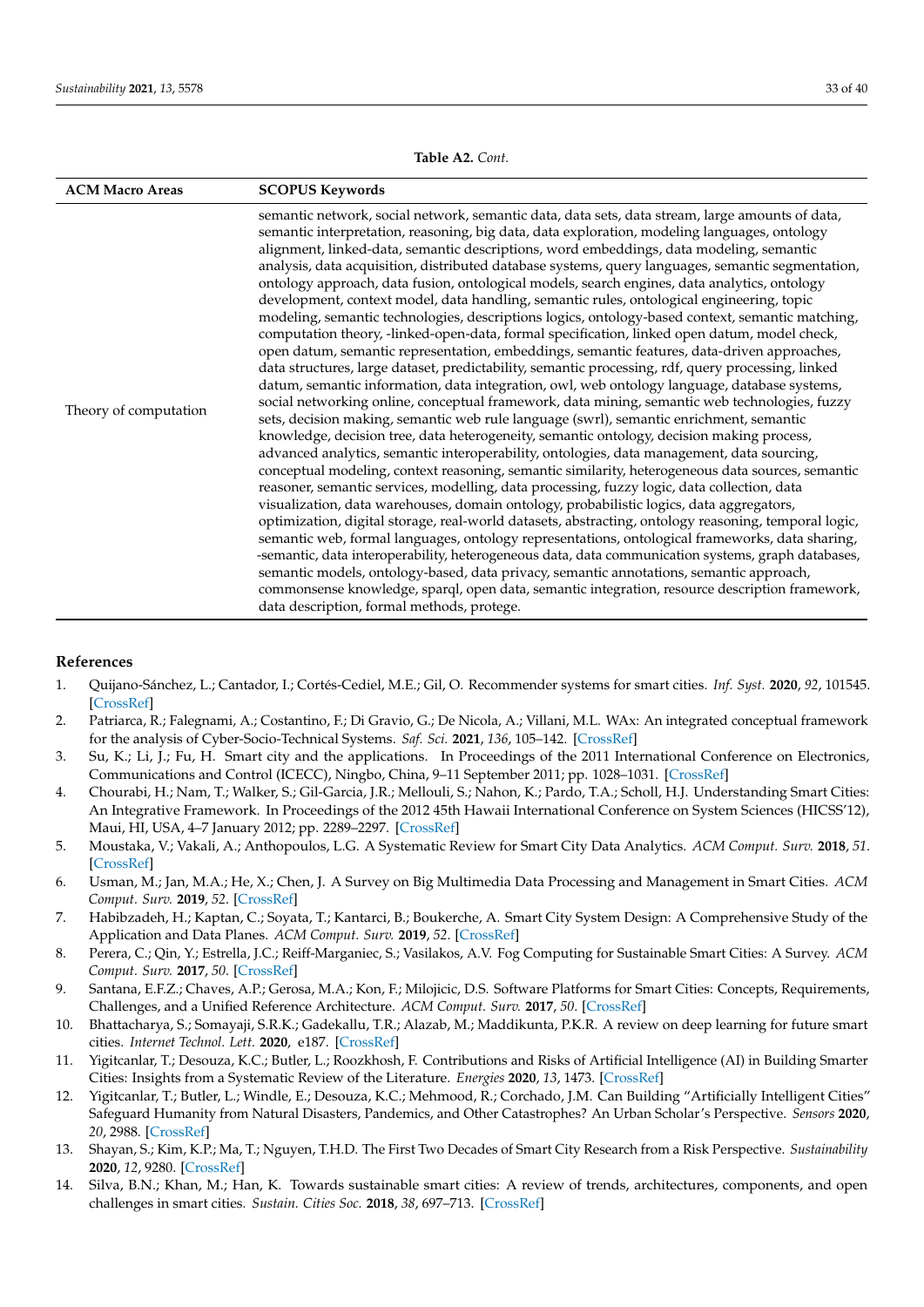<span id="page-32-13"></span>

| <b>ACM Macro Areas</b> | <b>SCOPUS Keywords</b>                                                                                                                                                                                                                                                                                                                                                                                                                                                                                                                                                                                                                                                                                                                                                                                                                                                                                                                                                                                                                                                                                                                                                                                                                                                                                                                                                                                                                                                                                                                                                                                                                                                                                                                                                                                                                                                                                                                                                                                                                                                                                                                                                                                                                                                                                                                                    |
|------------------------|-----------------------------------------------------------------------------------------------------------------------------------------------------------------------------------------------------------------------------------------------------------------------------------------------------------------------------------------------------------------------------------------------------------------------------------------------------------------------------------------------------------------------------------------------------------------------------------------------------------------------------------------------------------------------------------------------------------------------------------------------------------------------------------------------------------------------------------------------------------------------------------------------------------------------------------------------------------------------------------------------------------------------------------------------------------------------------------------------------------------------------------------------------------------------------------------------------------------------------------------------------------------------------------------------------------------------------------------------------------------------------------------------------------------------------------------------------------------------------------------------------------------------------------------------------------------------------------------------------------------------------------------------------------------------------------------------------------------------------------------------------------------------------------------------------------------------------------------------------------------------------------------------------------------------------------------------------------------------------------------------------------------------------------------------------------------------------------------------------------------------------------------------------------------------------------------------------------------------------------------------------------------------------------------------------------------------------------------------------------|
| Theory of computation  | semantic network, social network, semantic data, data sets, data stream, large amounts of data,<br>semantic interpretation, reasoning, big data, data exploration, modeling languages, ontology<br>alignment, linked-data, semantic descriptions, word embeddings, data modeling, semantic<br>analysis, data acquisition, distributed database systems, query languages, semantic segmentation,<br>ontology approach, data fusion, ontological models, search engines, data analytics, ontology<br>development, context model, data handling, semantic rules, ontological engineering, topic<br>modeling, semantic technologies, descriptions logics, ontology-based context, semantic matching,<br>computation theory, -linked-open-data, formal specification, linked open datum, model check,<br>open datum, semantic representation, embeddings, semantic features, data-driven approaches,<br>data structures, large dataset, predictability, semantic processing, rdf, query processing, linked<br>datum, semantic information, data integration, owl, web ontology language, database systems,<br>social networking online, conceptual framework, data mining, semantic web technologies, fuzzy<br>sets, decision making, semantic web rule language (swrl), semantic enrichment, semantic<br>knowledge, decision tree, data heterogeneity, semantic ontology, decision making process,<br>advanced analytics, semantic interoperability, ontologies, data management, data sourcing,<br>conceptual modeling, context reasoning, semantic similarity, heterogeneous data sources, semantic<br>reasoner, semantic services, modelling, data processing, fuzzy logic, data collection, data<br>visualization, data warehouses, domain ontology, probabilistic logics, data aggregators,<br>optimization, digital storage, real-world datasets, abstracting, ontology reasoning, temporal logic,<br>semantic web, formal languages, ontology representations, ontological frameworks, data sharing,<br>-semantic, data interoperability, heterogeneous data, data communication systems, graph databases,<br>semantic models, ontology-based, data privacy, semantic annotations, semantic approach,<br>commonsense knowledge, sparql, open data, semantic integration, resource description framework,<br>data description, formal methods, protege. |

#### **Table A2.** *Cont.*

## **References**

- <span id="page-32-0"></span>1. Quijano-Sánchez, L.; Cantador, I.; Cortés-Cediel, M.E.; Gil, O. Recommender systems for smart cities. *Inf. Syst.* **2020**, *92*, 101545. [\[CrossRef\]](http://dx.doi.org/10.1016/j.is.2020.101545)
- <span id="page-32-1"></span>2. Patriarca, R.; Falegnami, A.; Costantino, F.; Di Gravio, G.; De Nicola, A.; Villani, M.L. WAx: An integrated conceptual framework for the analysis of Cyber-Socio-Technical Systems. *Saf. Sci.* **2021**, *136*, 105–142. [\[CrossRef\]](http://dx.doi.org/10.1016/j.ssci.2020.105142)
- <span id="page-32-2"></span>3. Su, K.; Li, J.; Fu, H. Smart city and the applications. In Proceedings of the 2011 International Conference on Electronics, Communications and Control (ICECC), Ningbo, China, 9–11 September 2011; pp. 1028–1031. [\[CrossRef\]](http://dx.doi.org/10.1109/ICECC.2011.6066743)
- <span id="page-32-3"></span>4. Chourabi, H.; Nam, T.; Walker, S.; Gil-Garcia, J.R.; Mellouli, S.; Nahon, K.; Pardo, T.A.; Scholl, H.J. Understanding Smart Cities: An Integrative Framework. In Proceedings of the 2012 45th Hawaii International Conference on System Sciences (HICSS'12), Maui, HI, USA, 4–7 January 2012; pp. 2289–2297. [\[CrossRef\]](http://dx.doi.org/10.1109/HICSS.2012.615)
- <span id="page-32-4"></span>5. Moustaka, V.; Vakali, A.; Anthopoulos, L.G. A Systematic Review for Smart City Data Analytics. *ACM Comput. Surv.* **2018**, *51*. [\[CrossRef\]](http://dx.doi.org/10.1145/3239566)
- 6. Usman, M.; Jan, M.A.; He, X.; Chen, J. A Survey on Big Multimedia Data Processing and Management in Smart Cities. *ACM Comput. Surv.* **2019**, *52*. [\[CrossRef\]](http://dx.doi.org/10.1145/3323334)
- <span id="page-32-5"></span>7. Habibzadeh, H.; Kaptan, C.; Soyata, T.; Kantarci, B.; Boukerche, A. Smart City System Design: A Comprehensive Study of the Application and Data Planes. *ACM Comput. Surv.* **2019**, *52*. [\[CrossRef\]](http://dx.doi.org/10.1145/3309545)
- <span id="page-32-6"></span>8. Perera, C.; Qin, Y.; Estrella, J.C.; Reiff-Marganiec, S.; Vasilakos, A.V. Fog Computing for Sustainable Smart Cities: A Survey. *ACM Comput. Surv.* **2017**, *50*. [\[CrossRef\]](http://dx.doi.org/10.1145/3057266)
- <span id="page-32-7"></span>9. Santana, E.F.Z.; Chaves, A.P.; Gerosa, M.A.; Kon, F.; Milojicic, D.S. Software Platforms for Smart Cities: Concepts, Requirements, Challenges, and a Unified Reference Architecture. *ACM Comput. Surv.* **2017**, *50*. [\[CrossRef\]](http://dx.doi.org/10.1145/3124391)
- <span id="page-32-8"></span>10. Bhattacharya, S.; Somayaji, S.R.K.; Gadekallu, T.R.; Alazab, M.; Maddikunta, P.K.R. A review on deep learning for future smart cities. *Internet Technol. Lett.* **2020**, e187. [\[CrossRef\]](http://dx.doi.org/10.1002/itl2.187)
- <span id="page-32-12"></span>11. Yigitcanlar, T.; Desouza, K.C.; Butler, L.; Roozkhosh, F. Contributions and Risks of Artificial Intelligence (AI) in Building Smarter Cities: Insights from a Systematic Review of the Literature. *Energies* **2020**, *13*, 1473. [\[CrossRef\]](http://dx.doi.org/10.3390/en13061473)
- <span id="page-32-9"></span>12. Yigitcanlar, T.; Butler, L.; Windle, E.; Desouza, K.C.; Mehmood, R.; Corchado, J.M. Can Building "Artificially Intelligent Cities" Safeguard Humanity from Natural Disasters, Pandemics, and Other Catastrophes? An Urban Scholar's Perspective. *Sensors* **2020**, *20*, 2988. [\[CrossRef\]](http://dx.doi.org/10.3390/s20102988)
- <span id="page-32-10"></span>13. Shayan, S.; Kim, K.P.; Ma, T.; Nguyen, T.H.D. The First Two Decades of Smart City Research from a Risk Perspective. *Sustainability* **2020**, *12*, 9280. [\[CrossRef\]](http://dx.doi.org/10.3390/su12219280)
- <span id="page-32-11"></span>14. Silva, B.N.; Khan, M.; Han, K. Towards sustainable smart cities: A review of trends, architectures, components, and open challenges in smart cities. *Sustain. Cities Soc.* **2018**, *38*, 697–713. [\[CrossRef\]](http://dx.doi.org/10.1016/j.scs.2018.01.053)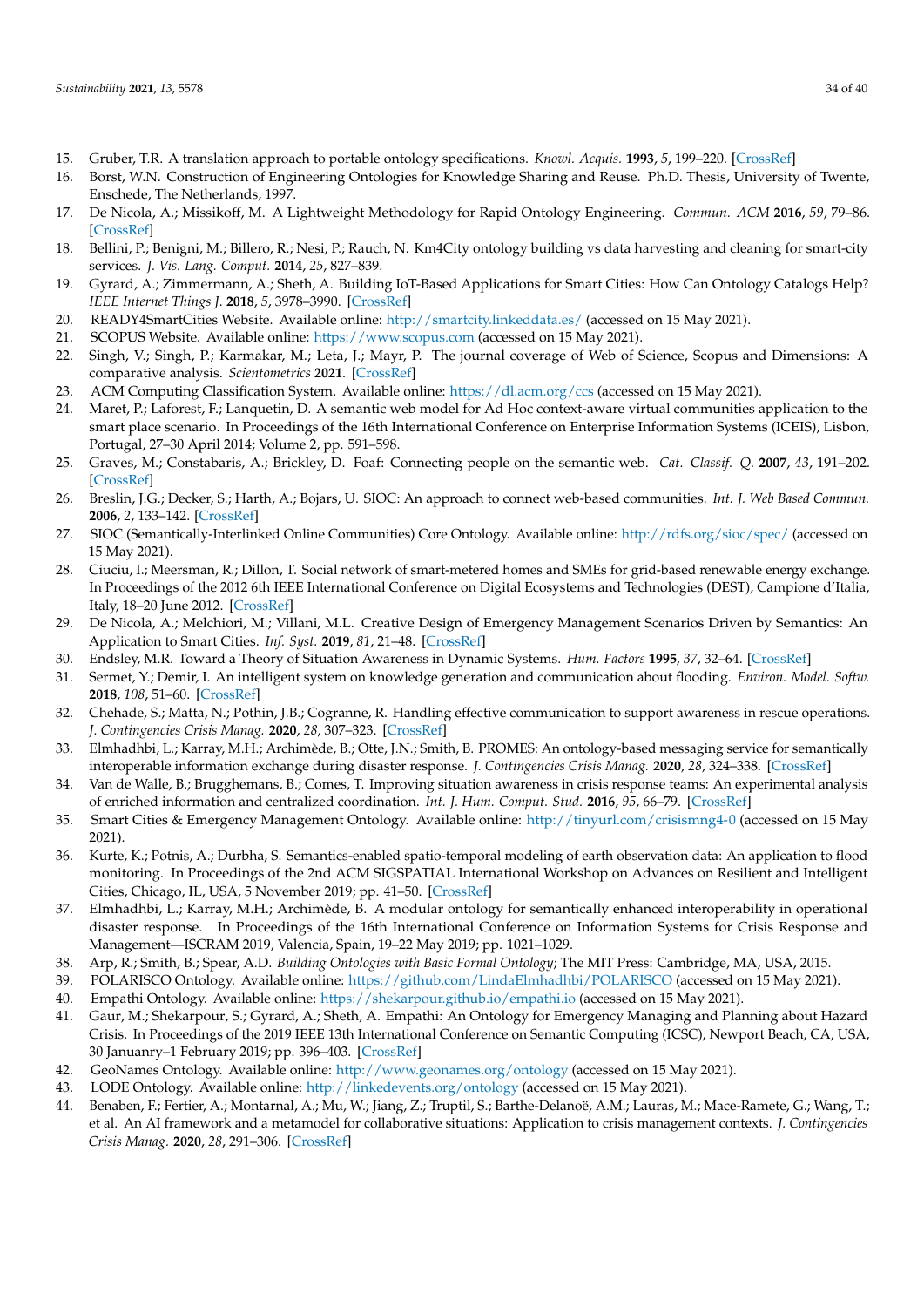- <span id="page-33-0"></span>15. Gruber, T.R. A translation approach to portable ontology specifications. *Knowl. Acquis.* **1993**, *5*, 199–220. [\[CrossRef\]](http://dx.doi.org/10.1006/knac.1993.1008)
- <span id="page-33-1"></span>16. Borst, W.N. Construction of Engineering Ontologies for Knowledge Sharing and Reuse. Ph.D. Thesis, University of Twente, Enschede, The Netherlands, 1997.
- <span id="page-33-2"></span>17. De Nicola, A.; Missikoff, M. A Lightweight Methodology for Rapid Ontology Engineering. *Commun. ACM* **2016**, *59*, 79–86. [\[CrossRef\]](http://dx.doi.org/10.1145/2818359)
- <span id="page-33-3"></span>18. Bellini, P.; Benigni, M.; Billero, R.; Nesi, P.; Rauch, N. Km4City ontology building vs data harvesting and cleaning for smart-city services. *J. Vis. Lang. Comput.* **2014**, *25*, 827–839.
- <span id="page-33-4"></span>19. Gyrard, A.; Zimmermann, A.; Sheth, A. Building IoT-Based Applications for Smart Cities: How Can Ontology Catalogs Help? *IEEE Internet Things J.* **2018**, *5*, 3978–3990. [\[CrossRef\]](http://dx.doi.org/10.1109/JIOT.2018.2854278)
- <span id="page-33-5"></span>20. READY4SmartCities Website. Available online: <http://smartcity.linkeddata.es/> (accessed on 15 May 2021).
- <span id="page-33-6"></span>21. SCOPUS Website. Available online: <https://www.scopus.com> (accessed on 15 May 2021).
- <span id="page-33-7"></span>22. Singh, V.; Singh, P.; Karmakar, M.; Leta, J.; Mayr, P. The journal coverage of Web of Science, Scopus and Dimensions: A comparative analysis. *Scientometrics* **2021**. [\[CrossRef\]](http://dx.doi.org/10.1007/s11192-021-03948-5)
- <span id="page-33-8"></span>23. ACM Computing Classification System. Available online: <https://dl.acm.org/ccs> (accessed on 15 May 2021).
- <span id="page-33-9"></span>24. Maret, P.; Laforest, F.; Lanquetin, D. A semantic web model for Ad Hoc context-aware virtual communities application to the smart place scenario. In Proceedings of the 16th International Conference on Enterprise Information Systems (ICEIS), Lisbon, Portugal, 27–30 April 2014; Volume 2, pp. 591–598.
- <span id="page-33-10"></span>25. Graves, M.; Constabaris, A.; Brickley, D. Foaf: Connecting people on the semantic web. *Cat. Classif. Q.* **2007**, *43*, 191–202. [\[CrossRef\]](http://dx.doi.org/10.1300/J104v43n03_10)
- <span id="page-33-11"></span>26. Breslin, J.G.; Decker, S.; Harth, A.; Bojars, U. SIOC: An approach to connect web-based communities. *Int. J. Web Based Commun.* **2006**, *2*, 133–142. [\[CrossRef\]](http://dx.doi.org/10.1504/IJWBC.2006.010305)
- <span id="page-33-12"></span>27. SIOC (Semantically-Interlinked Online Communities) Core Ontology. Available online: <http://rdfs.org/sioc/spec/> (accessed on 15 May 2021).
- <span id="page-33-13"></span>28. Ciuciu, I.; Meersman, R.; Dillon, T. Social network of smart-metered homes and SMEs for grid-based renewable energy exchange. In Proceedings of the 2012 6th IEEE International Conference on Digital Ecosystems and Technologies (DEST), Campione d'Italia, Italy, 18–20 June 2012. [\[CrossRef\]](http://dx.doi.org/10.1109/DEST.2012.6227922)
- <span id="page-33-14"></span>29. De Nicola, A.; Melchiori, M.; Villani, M.L. Creative Design of Emergency Management Scenarios Driven by Semantics: An Application to Smart Cities. *Inf. Syst.* **2019**, *81*, 21–48. [\[CrossRef\]](http://dx.doi.org/10.1016/j.is.2018.10.005)
- <span id="page-33-15"></span>30. Endsley, M.R. Toward a Theory of Situation Awareness in Dynamic Systems. *Hum. Factors* **1995**, *37*, 32–64. [\[CrossRef\]](http://dx.doi.org/10.1518/001872095779049543)
- <span id="page-33-16"></span>31. Sermet, Y.; Demir, I. An intelligent system on knowledge generation and communication about flooding. *Environ. Model. Softw.* **2018**, *108*, 51–60. [\[CrossRef\]](http://dx.doi.org/10.1016/j.envsoft.2018.06.003)
- <span id="page-33-17"></span>32. Chehade, S.; Matta, N.; Pothin, J.B.; Cogranne, R. Handling effective communication to support awareness in rescue operations. *J. Contingencies Crisis Manag.* **2020**, *28*, 307–323. [\[CrossRef\]](http://dx.doi.org/10.1111/1468-5973.12317)
- <span id="page-33-18"></span>33. Elmhadhbi, L.; Karray, M.H.; Archimède, B.; Otte, J.N.; Smith, B. PROMES: An ontology-based messaging service for semantically interoperable information exchange during disaster response. *J. Contingencies Crisis Manag.* **2020**, *28*, 324–338. [\[CrossRef\]](http://dx.doi.org/10.1111/1468-5973.12315)
- <span id="page-33-19"></span>34. Van de Walle, B.; Brugghemans, B.; Comes, T. Improving situation awareness in crisis response teams: An experimental analysis of enriched information and centralized coordination. *Int. J. Hum. Comput. Stud.* **2016**, *95*, 66–79. [\[CrossRef\]](http://dx.doi.org/10.1016/j.ijhcs.2016.05.001)
- <span id="page-33-20"></span>35. Smart Cities & Emergency Management Ontology. Available online: <http://tinyurl.com/crisismng4-0> (accessed on 15 May 2021).
- <span id="page-33-21"></span>36. Kurte, K.; Potnis, A.; Durbha, S. Semantics-enabled spatio-temporal modeling of earth observation data: An application to flood monitoring. In Proceedings of the 2nd ACM SIGSPATIAL International Workshop on Advances on Resilient and Intelligent Cities, Chicago, IL, USA, 5 November 2019; pp. 41–50. [\[CrossRef\]](http://dx.doi.org/10.1145/3356395.3365545)
- <span id="page-33-22"></span>37. Elmhadhbi, L.; Karray, M.H.; Archimède, B. A modular ontology for semantically enhanced interoperability in operational disaster response. In Proceedings of the 16th International Conference on Information Systems for Crisis Response and Management—ISCRAM 2019, Valencia, Spain, 19–22 May 2019; pp. 1021–1029.
- <span id="page-33-23"></span>38. Arp, R.; Smith, B.; Spear, A.D. *Building Ontologies with Basic Formal Ontology*; The MIT Press: Cambridge, MA, USA, 2015.
- <span id="page-33-24"></span>39. POLARISCO Ontology. Available online: <https://github.com/LindaElmhadhbi/POLARISCO> (accessed on 15 May 2021).
- <span id="page-33-25"></span>40. Empathi Ontology. Available online: <https://shekarpour.github.io/empathi.io> (accessed on 15 May 2021).
- <span id="page-33-26"></span>41. Gaur, M.; Shekarpour, S.; Gyrard, A.; Sheth, A. Empathi: An Ontology for Emergency Managing and Planning about Hazard Crisis. In Proceedings of the 2019 IEEE 13th International Conference on Semantic Computing (ICSC), Newport Beach, CA, USA, 30 Januanry–1 February 2019; pp. 396–403. [\[CrossRef\]](http://dx.doi.org/10.1109/ICOSC.2019.8665539)
- <span id="page-33-27"></span>42. GeoNames Ontology. Available online: <http://www.geonames.org/ontology> (accessed on 15 May 2021).
- <span id="page-33-28"></span>43. LODE Ontology. Available online: <http://linkedevents.org/ontology> (accessed on 15 May 2021).
- <span id="page-33-29"></span>44. Benaben, F.; Fertier, A.; Montarnal, A.; Mu, W.; Jiang, Z.; Truptil, S.; Barthe-Delanoë, A.M.; Lauras, M.; Mace-Ramete, G.; Wang, T.; et al. An AI framework and a metamodel for collaborative situations: Application to crisis management contexts. *J. Contingencies Crisis Manag.* **2020**, *28*, 291–306. [\[CrossRef\]](http://dx.doi.org/10.1111/1468-5973.12310)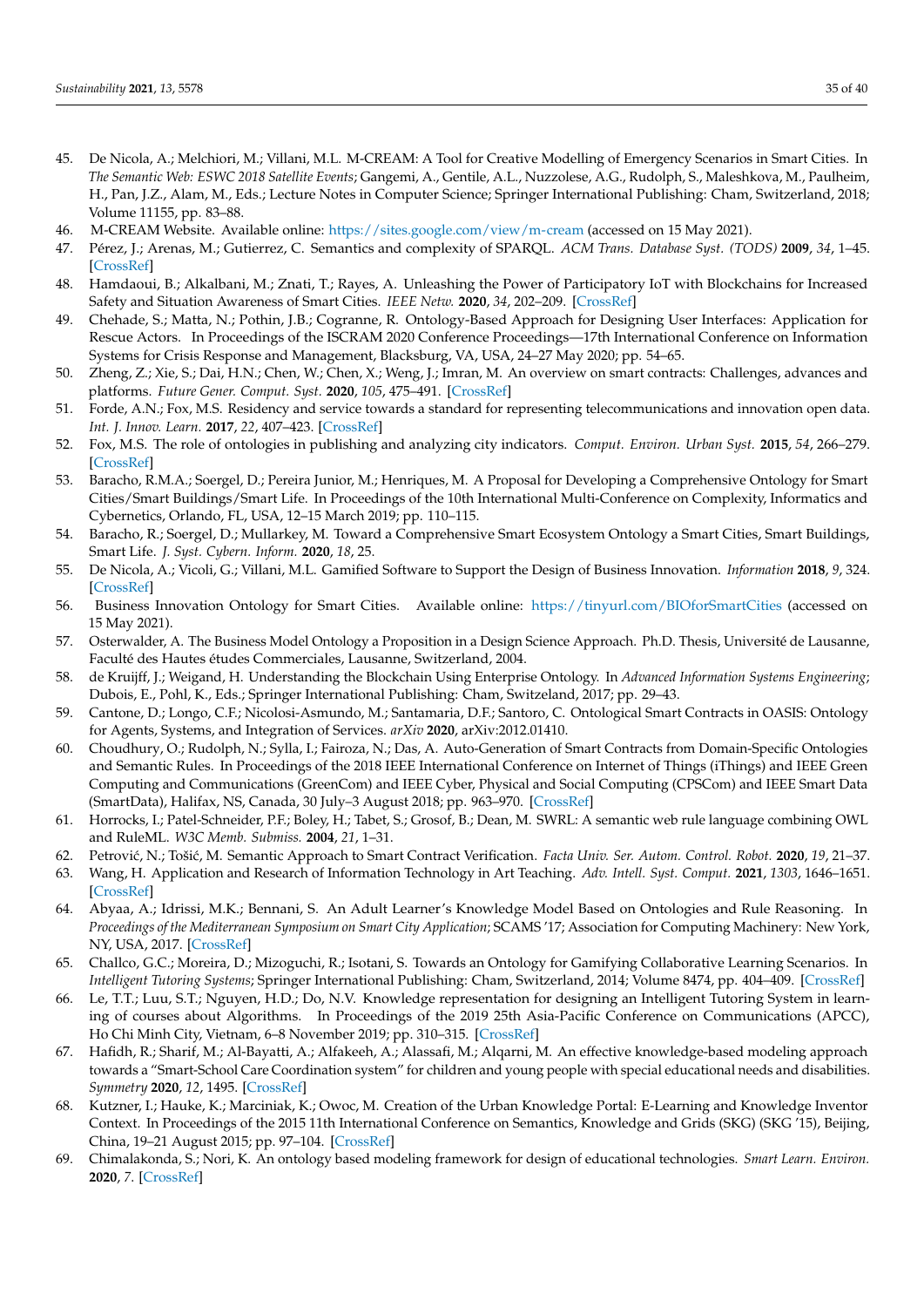- <span id="page-34-0"></span>45. De Nicola, A.; Melchiori, M.; Villani, M.L. M-CREAM: A Tool for Creative Modelling of Emergency Scenarios in Smart Cities. In *The Semantic Web: ESWC 2018 Satellite Events*; Gangemi, A., Gentile, A.L., Nuzzolese, A.G., Rudolph, S., Maleshkova, M., Paulheim, H., Pan, J.Z., Alam, M., Eds.; Lecture Notes in Computer Science; Springer International Publishing: Cham, Switzerland, 2018; Volume 11155, pp. 83–88.
- <span id="page-34-1"></span>46. M-CREAM Website. Available online: <https://sites.google.com/view/m-cream> (accessed on 15 May 2021).
- <span id="page-34-2"></span>47. Pérez, J.; Arenas, M.; Gutierrez, C. Semantics and complexity of SPARQL. *ACM Trans. Database Syst. (TODS)* **2009**, *34*, 1–45. [\[CrossRef\]](http://dx.doi.org/10.1145/1567274.1567278)
- <span id="page-34-3"></span>48. Hamdaoui, B.; Alkalbani, M.; Znati, T.; Rayes, A. Unleashing the Power of Participatory IoT with Blockchains for Increased Safety and Situation Awareness of Smart Cities. *IEEE Netw.* **2020**, *34*, 202–209. [\[CrossRef\]](http://dx.doi.org/10.1109/MNET.001.1900253)
- <span id="page-34-4"></span>49. Chehade, S.; Matta, N.; Pothin, J.B.; Cogranne, R. Ontology-Based Approach for Designing User Interfaces: Application for Rescue Actors. In Proceedings of the ISCRAM 2020 Conference Proceedings—17th International Conference on Information Systems for Crisis Response and Management, Blacksburg, VA, USA, 24–27 May 2020; pp. 54–65.
- <span id="page-34-5"></span>50. Zheng, Z.; Xie, S.; Dai, H.N.; Chen, W.; Chen, X.; Weng, J.; Imran, M. An overview on smart contracts: Challenges, advances and platforms. *Future Gener. Comput. Syst.* **2020**, *105*, 475–491. [\[CrossRef\]](http://dx.doi.org/10.1016/j.future.2019.12.019)
- <span id="page-34-6"></span>51. Forde, A.N.; Fox, M.S. Residency and service towards a standard for representing telecommunications and innovation open data. *Int. J. Innov. Learn.* **2017**, *22*, 407–423. [\[CrossRef\]](http://dx.doi.org/10.1504/IJIL.2017.087490)
- <span id="page-34-7"></span>52. Fox, M.S. The role of ontologies in publishing and analyzing city indicators. *Comput. Environ. Urban Syst.* **2015**, *54*, 266–279. [\[CrossRef\]](http://dx.doi.org/10.1016/j.compenvurbsys.2015.09.009)
- <span id="page-34-8"></span>53. Baracho, R.M.A.; Soergel, D.; Pereira Junior, M.; Henriques, M. A Proposal for Developing a Comprehensive Ontology for Smart Cities/Smart Buildings/Smart Life. In Proceedings of the 10th International Multi-Conference on Complexity, Informatics and Cybernetics, Orlando, FL, USA, 12–15 March 2019; pp. 110–115.
- <span id="page-34-9"></span>54. Baracho, R.; Soergel, D.; Mullarkey, M. Toward a Comprehensive Smart Ecosystem Ontology a Smart Cities, Smart Buildings, Smart Life. *J. Syst. Cybern. Inform.* **2020**, *18*, 25.
- <span id="page-34-10"></span>55. De Nicola, A.; Vicoli, G.; Villani, M.L. Gamified Software to Support the Design of Business Innovation. *Information* **2018**, *9*, 324. [\[CrossRef\]](http://dx.doi.org/10.3390/info9120324)
- <span id="page-34-11"></span>56. Business Innovation Ontology for Smart Cities. Available online: <https://tinyurl.com/BIOforSmartCities> (accessed on 15 May 2021).
- <span id="page-34-12"></span>57. Osterwalder, A. The Business Model Ontology a Proposition in a Design Science Approach. Ph.D. Thesis, Université de Lausanne, Faculté des Hautes études Commerciales, Lausanne, Switzerland, 2004.
- <span id="page-34-13"></span>58. de Kruijff, J.; Weigand, H. Understanding the Blockchain Using Enterprise Ontology. In *Advanced Information Systems Engineering*; Dubois, E., Pohl, K., Eds.; Springer International Publishing: Cham, Switzeland, 2017; pp. 29–43.
- <span id="page-34-14"></span>59. Cantone, D.; Longo, C.F.; Nicolosi-Asmundo, M.; Santamaria, D.F.; Santoro, C. Ontological Smart Contracts in OASIS: Ontology for Agents, Systems, and Integration of Services. *arXiv* **2020**, arXiv:2012.01410.
- <span id="page-34-15"></span>60. Choudhury, O.; Rudolph, N.; Sylla, I.; Fairoza, N.; Das, A. Auto-Generation of Smart Contracts from Domain-Specific Ontologies and Semantic Rules. In Proceedings of the 2018 IEEE International Conference on Internet of Things (iThings) and IEEE Green Computing and Communications (GreenCom) and IEEE Cyber, Physical and Social Computing (CPSCom) and IEEE Smart Data (SmartData), Halifax, NS, Canada, 30 July–3 August 2018; pp. 963–970. [\[CrossRef\]](http://dx.doi.org/10.1109/Cybermatics_2018.2018.00183)
- <span id="page-34-16"></span>61. Horrocks, I.; Patel-Schneider, P.F.; Boley, H.; Tabet, S.; Grosof, B.; Dean, M. SWRL: A semantic web rule language combining OWL and RuleML. *W3C Memb. Submiss.* **2004**, *21*, 1–31.
- <span id="page-34-17"></span>62. Petrovi´c, N.; Toši´c, M. Semantic Approach to Smart Contract Verification. *Facta Univ. Ser. Autom. Control. Robot.* **2020**, *19*, 21–37.
- <span id="page-34-18"></span>63. Wang, H. Application and Research of Information Technology in Art Teaching. *Adv. Intell. Syst. Comput.* **2021**, *1303*, 1646–1651. [\[CrossRef\]](http://dx.doi.org/10.1007/978-981-33-4572-0_242)
- <span id="page-34-19"></span>64. Abyaa, A.; Idrissi, M.K.; Bennani, S. An Adult Learner's Knowledge Model Based on Ontologies and Rule Reasoning. In *Proceedings of the Mediterranean Symposium on Smart City Application*; SCAMS '17; Association for Computing Machinery: New York, NY, USA, 2017. [\[CrossRef\]](http://dx.doi.org/10.1145/3175628.3175656)
- <span id="page-34-20"></span>65. Challco, G.C.; Moreira, D.; Mizoguchi, R.; Isotani, S. Towards an Ontology for Gamifying Collaborative Learning Scenarios. In *Intelligent Tutoring Systems*; Springer International Publishing: Cham, Switzerland, 2014; Volume 8474, pp. 404–409. [\[CrossRef\]](http://dx.doi.org/10.1007/978-3-319-07221-0_50)
- <span id="page-34-21"></span>66. Le, T.T.; Luu, S.T.; Nguyen, H.D.; Do, N.V. Knowledge representation for designing an Intelligent Tutoring System in learning of courses about Algorithms. In Proceedings of the 2019 25th Asia-Pacific Conference on Communications (APCC), Ho Chi Minh City, Vietnam, 6–8 November 2019; pp. 310–315. [\[CrossRef\]](http://dx.doi.org/10.1109/APCC47188.2019.9026411)
- <span id="page-34-22"></span>67. Hafidh, R.; Sharif, M.; Al-Bayatti, A.; Alfakeeh, A.; Alassafi, M.; Alqarni, M. An effective knowledge-based modeling approach towards a "Smart-School Care Coordination system" for children and young people with special educational needs and disabilities. *Symmetry* **2020**, *12*, 1495. [\[CrossRef\]](http://dx.doi.org/10.3390/sym12091495)
- <span id="page-34-23"></span>68. Kutzner, I.; Hauke, K.; Marciniak, K.; Owoc, M. Creation of the Urban Knowledge Portal: E-Learning and Knowledge Inventor Context. In Proceedings of the 2015 11th International Conference on Semantics, Knowledge and Grids (SKG) (SKG '15), Beijing, China, 19–21 August 2015; pp. 97–104. [\[CrossRef\]](http://dx.doi.org/10.1109/SKG.2015.49)
- <span id="page-34-24"></span>69. Chimalakonda, S.; Nori, K. An ontology based modeling framework for design of educational technologies. *Smart Learn. Environ.* **2020**, *7*. [\[CrossRef\]](http://dx.doi.org/10.1186/s40561-020-00135-6)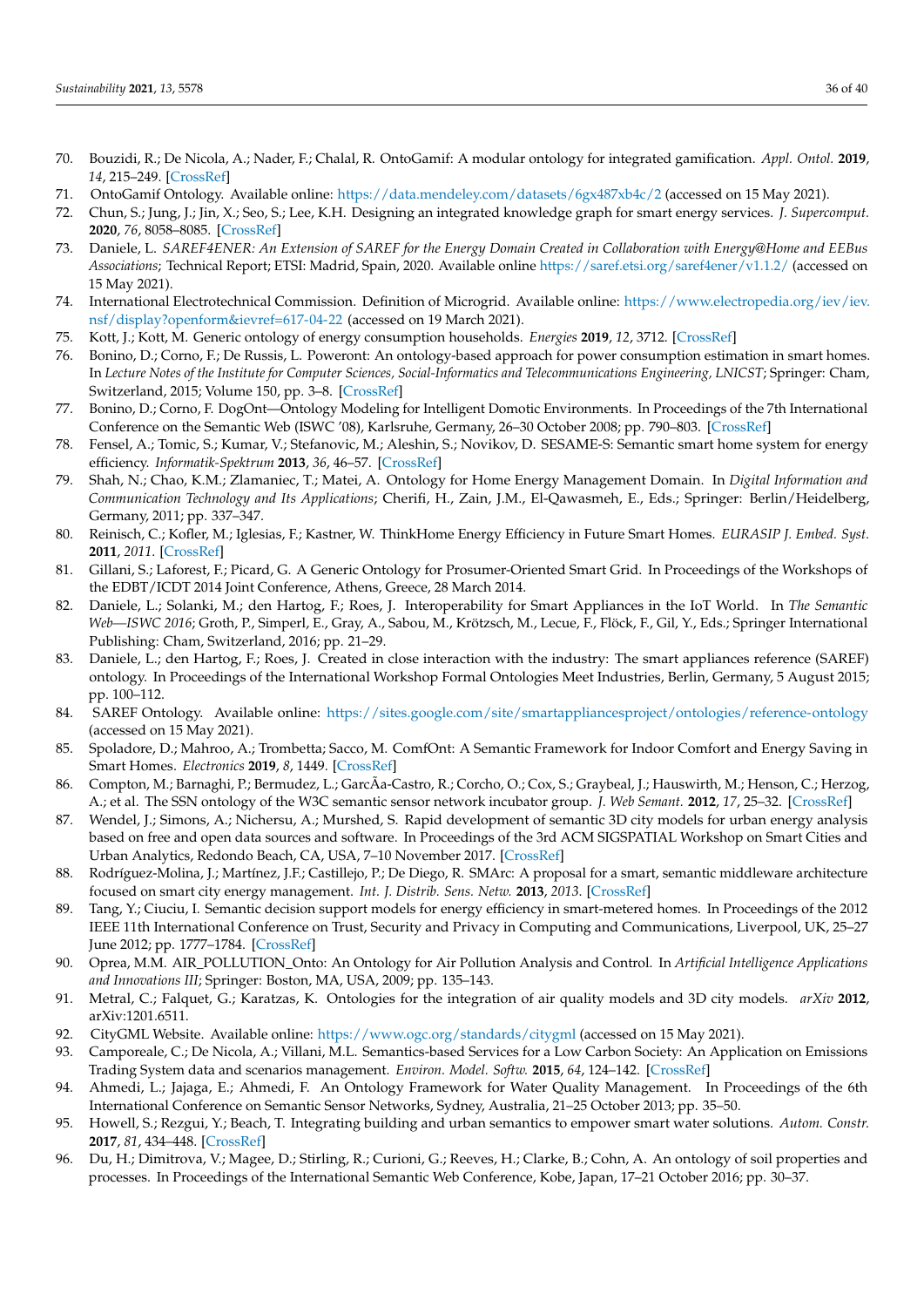- <span id="page-35-0"></span>70. Bouzidi, R.; De Nicola, A.; Nader, F.; Chalal, R. OntoGamif: A modular ontology for integrated gamification. *Appl. Ontol.* **2019**, *14*, 215–249. [\[CrossRef\]](http://dx.doi.org/10.3233/AO-190212)
- <span id="page-35-1"></span>71. OntoGamif Ontology. Available online: <https://data.mendeley.com/datasets/6gx487xb4c/2> (accessed on 15 May 2021).
- <span id="page-35-2"></span>72. Chun, S.; Jung, J.; Jin, X.; Seo, S.; Lee, K.H. Designing an integrated knowledge graph for smart energy services. *J. Supercomput.* **2020**, *76*, 8058–8085. [\[CrossRef\]](http://dx.doi.org/10.1007/s11227-018-2672-3)
- <span id="page-35-3"></span>73. Daniele, L. *SAREF4ENER: An Extension of SAREF for the Energy Domain Created in Collaboration with Energy@Home and EEBus Associations*; Technical Report; ETSI: Madrid, Spain, 2020. Available online <https://saref.etsi.org/saref4ener/v1.1.2/> (accessed on 15 May 2021).
- <span id="page-35-4"></span>74. International Electrotechnical Commission. Definition of Microgrid. Available online: [https://www.electropedia.org/iev/iev.](https://www.electropedia.org/iev/iev.nsf/display?openform&ievref=617-04-22) [nsf/display?openform&ievref=617-04-22](https://www.electropedia.org/iev/iev.nsf/display?openform&ievref=617-04-22) (accessed on 19 March 2021).
- <span id="page-35-5"></span>75. Kott, J.; Kott, M. Generic ontology of energy consumption households. *Energies* **2019**, *12*, 3712. [\[CrossRef\]](http://dx.doi.org/10.3390/en12193712)
- <span id="page-35-6"></span>76. Bonino, D.; Corno, F.; De Russis, L. Poweront: An ontology-based approach for power consumption estimation in smart homes. In *Lecture Notes of the Institute for Computer Sciences, Social-Informatics and Telecommunications Engineering, LNICST*; Springer: Cham, Switzerland, 2015; Volume 150, pp. 3–8. [\[CrossRef\]](http://dx.doi.org/10.1007/978-3-319-19656-5_1)
- <span id="page-35-7"></span>77. Bonino, D.; Corno, F. DogOnt—Ontology Modeling for Intelligent Domotic Environments. In Proceedings of the 7th International Conference on the Semantic Web (ISWC '08), Karlsruhe, Germany, 26–30 October 2008; pp. 790–803. [\[CrossRef\]](http://dx.doi.org/10.1007/978-3-540-88564-1_51)
- <span id="page-35-8"></span>78. Fensel, A.; Tomic, S.; Kumar, V.; Stefanovic, M.; Aleshin, S.; Novikov, D. SESAME-S: Semantic smart home system for energy efficiency. *Informatik-Spektrum* **2013**, *36*, 46–57. [\[CrossRef\]](http://dx.doi.org/10.1007/s00287-012-0665-9)
- <span id="page-35-9"></span>79. Shah, N.; Chao, K.M.; Zlamaniec, T.; Matei, A. Ontology for Home Energy Management Domain. In *Digital Information and Communication Technology and Its Applications*; Cherifi, H., Zain, J.M., El-Qawasmeh, E., Eds.; Springer: Berlin/Heidelberg, Germany, 2011; pp. 337–347.
- <span id="page-35-10"></span>80. Reinisch, C.; Kofler, M.; Iglesias, F.; Kastner, W. ThinkHome Energy Efficiency in Future Smart Homes. *EURASIP J. Embed. Syst.* **2011**, *2011*. [\[CrossRef\]](http://dx.doi.org/10.1155/2011/104617)
- <span id="page-35-11"></span>81. Gillani, S.; Laforest, F.; Picard, G. A Generic Ontology for Prosumer-Oriented Smart Grid. In Proceedings of the Workshops of the EDBT/ICDT 2014 Joint Conference, Athens, Greece, 28 March 2014.
- <span id="page-35-12"></span>82. Daniele, L.; Solanki, M.; den Hartog, F.; Roes, J. Interoperability for Smart Appliances in the IoT World. In *The Semantic Web—ISWC 2016*; Groth, P., Simperl, E., Gray, A., Sabou, M., Krötzsch, M., Lecue, F., Flöck, F., Gil, Y., Eds.; Springer International Publishing: Cham, Switzerland, 2016; pp. 21–29.
- <span id="page-35-13"></span>83. Daniele, L.; den Hartog, F.; Roes, J. Created in close interaction with the industry: The smart appliances reference (SAREF) ontology. In Proceedings of the International Workshop Formal Ontologies Meet Industries, Berlin, Germany, 5 August 2015; pp. 100–112.
- <span id="page-35-14"></span>84. SAREF Ontology. Available online: <https://sites.google.com/site/smartappliancesproject/ontologies/reference-ontology> (accessed on 15 May 2021).
- <span id="page-35-15"></span>85. Spoladore, D.; Mahroo, A.; Trombetta; Sacco, M. ComfOnt: A Semantic Framework for Indoor Comfort and Energy Saving in Smart Homes. *Electronics* **2019**, *8*, 1449. [\[CrossRef\]](http://dx.doi.org/10.3390/electronics8121449)
- <span id="page-35-16"></span>86. Compton, M.; Barnaghi, P.; Bermudez, L.; GarcÃa-Castro, R.; Corcho, O.; Cox, S.; Graybeal, J.; Hauswirth, M.; Henson, C.; Herzog, A.; et al. The SSN ontology of the W3C semantic sensor network incubator group. *J. Web Semant.* **2012**, *17*, 25–32. [\[CrossRef\]](http://dx.doi.org/10.1016/j.websem.2012.05.003)
- <span id="page-35-17"></span>87. Wendel, J.; Simons, A.; Nichersu, A.; Murshed, S. Rapid development of semantic 3D city models for urban energy analysis based on free and open data sources and software. In Proceedings of the 3rd ACM SIGSPATIAL Workshop on Smart Cities and Urban Analytics, Redondo Beach, CA, USA, 7–10 November 2017. [\[CrossRef\]](http://dx.doi.org/10.1145/3152178.3152193)
- <span id="page-35-18"></span>88. Rodríguez-Molina, J.; Martínez, J.F.; Castillejo, P.; De Diego, R. SMArc: A proposal for a smart, semantic middleware architecture focused on smart city energy management. *Int. J. Distrib. Sens. Netw.* **2013**, *2013*. [\[CrossRef\]](http://dx.doi.org/10.1155/2013/560418)
- <span id="page-35-19"></span>89. Tang, Y.; Ciuciu, I. Semantic decision support models for energy efficiency in smart-metered homes. In Proceedings of the 2012 IEEE 11th International Conference on Trust, Security and Privacy in Computing and Communications, Liverpool, UK, 25–27 June 2012; pp. 1777–1784. [\[CrossRef\]](http://dx.doi.org/10.1109/TrustCom.2012.262)
- <span id="page-35-20"></span>90. Oprea, M.M. AIR\_POLLUTION\_Onto: An Ontology for Air Pollution Analysis and Control. In *Artificial Intelligence Applications and Innovations III*; Springer: Boston, MA, USA, 2009; pp. 135–143.
- <span id="page-35-21"></span>91. Metral, C.; Falquet, G.; Karatzas, K. Ontologies for the integration of air quality models and 3D city models. *arXiv* **2012**, arXiv:1201.6511.
- <span id="page-35-22"></span>92. CityGML Website. Available online: <https://www.ogc.org/standards/citygml> (accessed on 15 May 2021).
- <span id="page-35-23"></span>93. Camporeale, C.; De Nicola, A.; Villani, M.L. Semantics-based Services for a Low Carbon Society: An Application on Emissions Trading System data and scenarios management. *Environ. Model. Softw.* **2015**, *64*, 124–142. [\[CrossRef\]](http://dx.doi.org/10.1016/j.envsoft.2014.11.007)
- <span id="page-35-24"></span>94. Ahmedi, L.; Jajaga, E.; Ahmedi, F. An Ontology Framework for Water Quality Management. In Proceedings of the 6th International Conference on Semantic Sensor Networks, Sydney, Australia, 21–25 October 2013; pp. 35–50.
- <span id="page-35-25"></span>95. Howell, S.; Rezgui, Y.; Beach, T. Integrating building and urban semantics to empower smart water solutions. *Autom. Constr.* **2017**, *81*, 434–448. [\[CrossRef\]](http://dx.doi.org/10.1016/j.autcon.2017.02.004)
- <span id="page-35-26"></span>96. Du, H.; Dimitrova, V.; Magee, D.; Stirling, R.; Curioni, G.; Reeves, H.; Clarke, B.; Cohn, A. An ontology of soil properties and processes. In Proceedings of the International Semantic Web Conference, Kobe, Japan, 17–21 October 2016; pp. 30–37.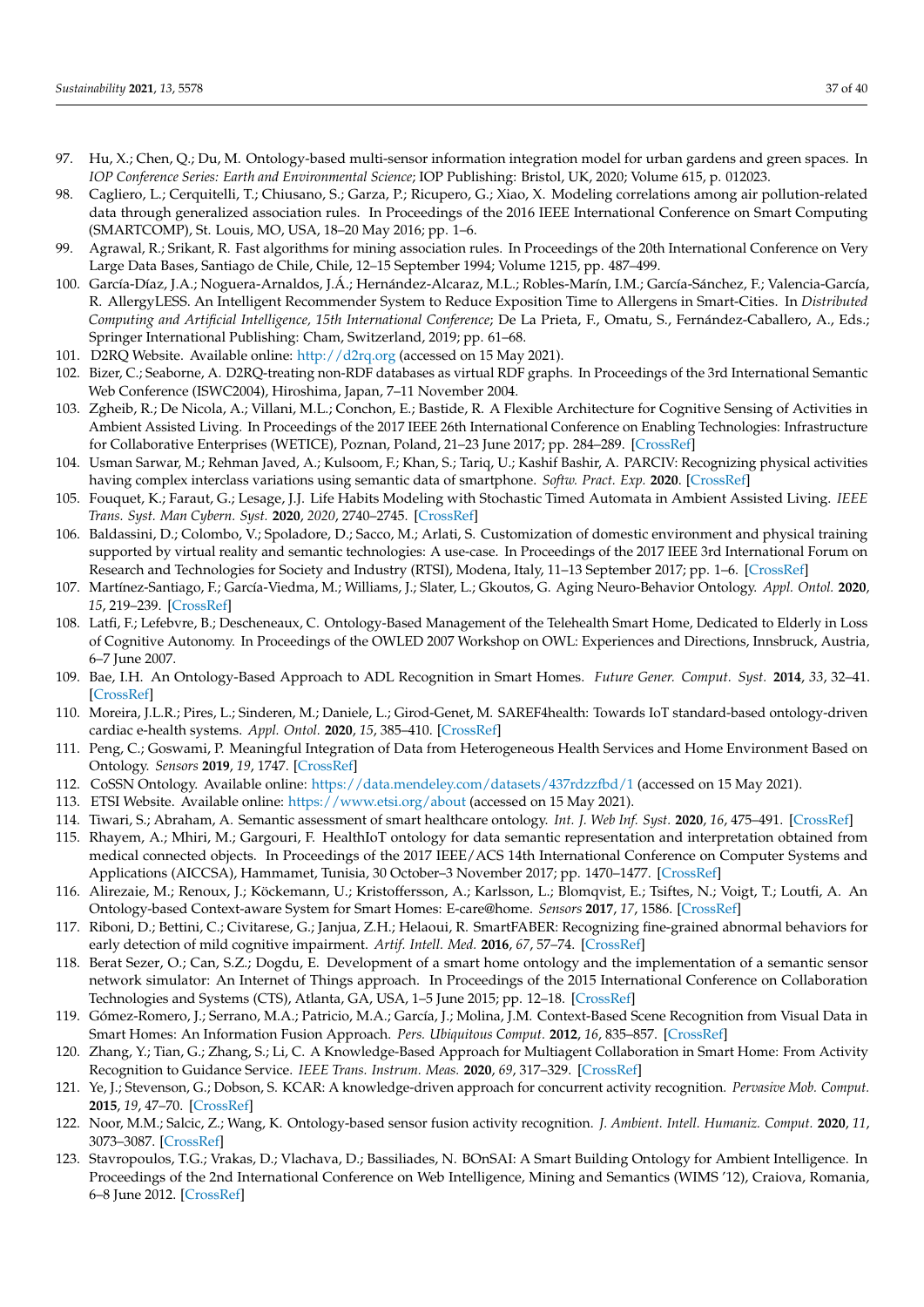- <span id="page-36-0"></span>97. Hu, X.; Chen, Q.; Du, M. Ontology-based multi-sensor information integration model for urban gardens and green spaces. In *IOP Conference Series: Earth and Environmental Science*; IOP Publishing: Bristol, UK, 2020; Volume 615, p. 012023.
- <span id="page-36-1"></span>98. Cagliero, L.; Cerquitelli, T.; Chiusano, S.; Garza, P.; Ricupero, G.; Xiao, X. Modeling correlations among air pollution-related data through generalized association rules. In Proceedings of the 2016 IEEE International Conference on Smart Computing (SMARTCOMP), St. Louis, MO, USA, 18–20 May 2016; pp. 1–6.
- <span id="page-36-2"></span>99. Agrawal, R.; Srikant, R. Fast algorithms for mining association rules. In Proceedings of the 20th International Conference on Very Large Data Bases, Santiago de Chile, Chile, 12–15 September 1994; Volume 1215, pp. 487–499.
- <span id="page-36-3"></span>100. García-Díaz, J.A.; Noguera-Arnaldos, J.Á.; Hernández-Alcaraz, M.L.; Robles-Marín, I.M.; García-Sánchez, F.; Valencia-García, R. AllergyLESS. An Intelligent Recommender System to Reduce Exposition Time to Allergens in Smart-Cities. In *Distributed Computing and Artificial Intelligence, 15th International Conference*; De La Prieta, F., Omatu, S., Fernández-Caballero, A., Eds.; Springer International Publishing: Cham, Switzerland, 2019; pp. 61–68.
- <span id="page-36-4"></span>101. D2RQ Website. Available online: <http://d2rq.org> (accessed on 15 May 2021).
- <span id="page-36-5"></span>102. Bizer, C.; Seaborne, A. D2RQ-treating non-RDF databases as virtual RDF graphs. In Proceedings of the 3rd International Semantic Web Conference (ISWC2004), Hiroshima, Japan, 7–11 November 2004.
- <span id="page-36-6"></span>103. Zgheib, R.; De Nicola, A.; Villani, M.L.; Conchon, E.; Bastide, R. A Flexible Architecture for Cognitive Sensing of Activities in Ambient Assisted Living. In Proceedings of the 2017 IEEE 26th International Conference on Enabling Technologies: Infrastructure for Collaborative Enterprises (WETICE), Poznan, Poland, 21–23 June 2017; pp. 284–289. [\[CrossRef\]](http://dx.doi.org/10.1109/WETICE.2017.41)
- <span id="page-36-7"></span>104. Usman Sarwar, M.; Rehman Javed, A.; Kulsoom, F.; Khan, S.; Tariq, U.; Kashif Bashir, A. PARCIV: Recognizing physical activities having complex interclass variations using semantic data of smartphone. *Softw. Pract. Exp.* **2020**. [\[CrossRef\]](http://dx.doi.org/10.1002/spe.2846)
- <span id="page-36-8"></span>105. Fouquet, K.; Faraut, G.; Lesage, J.J. Life Habits Modeling with Stochastic Timed Automata in Ambient Assisted Living. *IEEE Trans. Syst. Man Cybern. Syst.* **2020**, *2020*, 2740–2745. [\[CrossRef\]](http://dx.doi.org/10.1109/SMC42975.2020.9282900)
- <span id="page-36-9"></span>106. Baldassini, D.; Colombo, V.; Spoladore, D.; Sacco, M.; Arlati, S. Customization of domestic environment and physical training supported by virtual reality and semantic technologies: A use-case. In Proceedings of the 2017 IEEE 3rd International Forum on Research and Technologies for Society and Industry (RTSI), Modena, Italy, 11–13 September 2017; pp. 1–6. [\[CrossRef\]](http://dx.doi.org/10.1109/RTSI.2017.8065923)
- <span id="page-36-10"></span>107. Martínez-Santiago, F.; García-Viedma, M.; Williams, J.; Slater, L.; Gkoutos, G. Aging Neuro-Behavior Ontology. *Appl. Ontol.* **2020**, *15*, 219–239. [\[CrossRef\]](http://dx.doi.org/10.3233/AO-200229)
- <span id="page-36-13"></span>108. Latfi, F.; Lefebvre, B.; Descheneaux, C. Ontology-Based Management of the Telehealth Smart Home, Dedicated to Elderly in Loss of Cognitive Autonomy. In Proceedings of the OWLED 2007 Workshop on OWL: Experiences and Directions, Innsbruck, Austria, 6–7 June 2007.
- <span id="page-36-11"></span>109. Bae, I.H. An Ontology-Based Approach to ADL Recognition in Smart Homes. *Future Gener. Comput. Syst.* **2014**, *33*, 32–41. [\[CrossRef\]](http://dx.doi.org/10.1016/j.future.2013.04.004)
- <span id="page-36-12"></span>110. Moreira, J.L.R.; Pires, L.; Sinderen, M.; Daniele, L.; Girod-Genet, M. SAREF4health: Towards IoT standard-based ontology-driven cardiac e-health systems. *Appl. Ontol.* **2020**, *15*, 385–410. [\[CrossRef\]](http://dx.doi.org/10.3233/AO-200232)
- <span id="page-36-14"></span>111. Peng, C.; Goswami, P. Meaningful Integration of Data from Heterogeneous Health Services and Home Environment Based on Ontology. *Sensors* **2019**, *19*, 1747. [\[CrossRef\]](http://dx.doi.org/10.3390/s19081747)
- <span id="page-36-15"></span>112. CoSSN Ontology. Available online: <https://data.mendeley.com/datasets/437rdzzfbd/1> (accessed on 15 May 2021).
- <span id="page-36-16"></span>113. ETSI Website. Available online: <https://www.etsi.org/about> (accessed on 15 May 2021).
- <span id="page-36-17"></span>114. Tiwari, S.; Abraham, A. Semantic assessment of smart healthcare ontology. *Int. J. Web Inf. Syst.* **2020**, *16*, 475–491. [\[CrossRef\]](http://dx.doi.org/10.1108/IJWIS-05-2020-0027)
- <span id="page-36-18"></span>115. Rhayem, A.; Mhiri, M.; Gargouri, F. HealthIoT ontology for data semantic representation and interpretation obtained from medical connected objects. In Proceedings of the 2017 IEEE/ACS 14th International Conference on Computer Systems and Applications (AICCSA), Hammamet, Tunisia, 30 October–3 November 2017; pp. 1470–1477. [\[CrossRef\]](http://dx.doi.org/10.1109/AICCSA.2017.171)
- <span id="page-36-19"></span>116. Alirezaie, M.; Renoux, J.; Köckemann, U.; Kristoffersson, A.; Karlsson, L.; Blomqvist, E.; Tsiftes, N.; Voigt, T.; Loutfi, A. An Ontology-based Context-aware System for Smart Homes: E-care@home. *Sensors* **2017**, *17*, 1586. [\[CrossRef\]](http://dx.doi.org/10.3390/s17071586)
- <span id="page-36-20"></span>117. Riboni, D.; Bettini, C.; Civitarese, G.; Janjua, Z.H.; Helaoui, R. SmartFABER: Recognizing fine-grained abnormal behaviors for early detection of mild cognitive impairment. *Artif. Intell. Med.* **2016**, *67*, 57–74. [\[CrossRef\]](http://dx.doi.org/10.1016/j.artmed.2015.12.001)
- <span id="page-36-21"></span>118. Berat Sezer, O.; Can, S.Z.; Dogdu, E. Development of a smart home ontology and the implementation of a semantic sensor network simulator: An Internet of Things approach. In Proceedings of the 2015 International Conference on Collaboration Technologies and Systems (CTS), Atlanta, GA, USA, 1–5 June 2015; pp. 12–18. [\[CrossRef\]](http://dx.doi.org/10.1109/CTS.2015.7210389)
- <span id="page-36-22"></span>119. Gómez-Romero, J.; Serrano, M.A.; Patricio, M.A.; García, J.; Molina, J.M. Context-Based Scene Recognition from Visual Data in Smart Homes: An Information Fusion Approach. *Pers. Ubiquitous Comput.* **2012**, *16*, 835–857. [\[CrossRef\]](http://dx.doi.org/10.1007/s00779-011-0450-9)
- <span id="page-36-23"></span>120. Zhang, Y.; Tian, G.; Zhang, S.; Li, C. A Knowledge-Based Approach for Multiagent Collaboration in Smart Home: From Activity Recognition to Guidance Service. *IEEE Trans. Instrum. Meas.* **2020**, *69*, 317–329. [\[CrossRef\]](http://dx.doi.org/10.1109/TIM.2019.2895931)
- <span id="page-36-24"></span>121. Ye, J.; Stevenson, G.; Dobson, S. KCAR: A knowledge-driven approach for concurrent activity recognition. *Pervasive Mob. Comput.* **2015**, *19*, 47–70. [\[CrossRef\]](http://dx.doi.org/10.1016/j.pmcj.2014.02.003)
- <span id="page-36-25"></span>122. Noor, M.M.; Salcic, Z.; Wang, K. Ontology-based sensor fusion activity recognition. *J. Ambient. Intell. Humaniz. Comput.* **2020**, *11*, 3073–3087. [\[CrossRef\]](http://dx.doi.org/10.1007/s12652-017-0668-0)
- <span id="page-36-26"></span>123. Stavropoulos, T.G.; Vrakas, D.; Vlachava, D.; Bassiliades, N. BOnSAI: A Smart Building Ontology for Ambient Intelligence. In Proceedings of the 2nd International Conference on Web Intelligence, Mining and Semantics (WIMS '12), Craiova, Romania, 6–8 June 2012. [\[CrossRef\]](http://dx.doi.org/10.1145/2254129.2254166)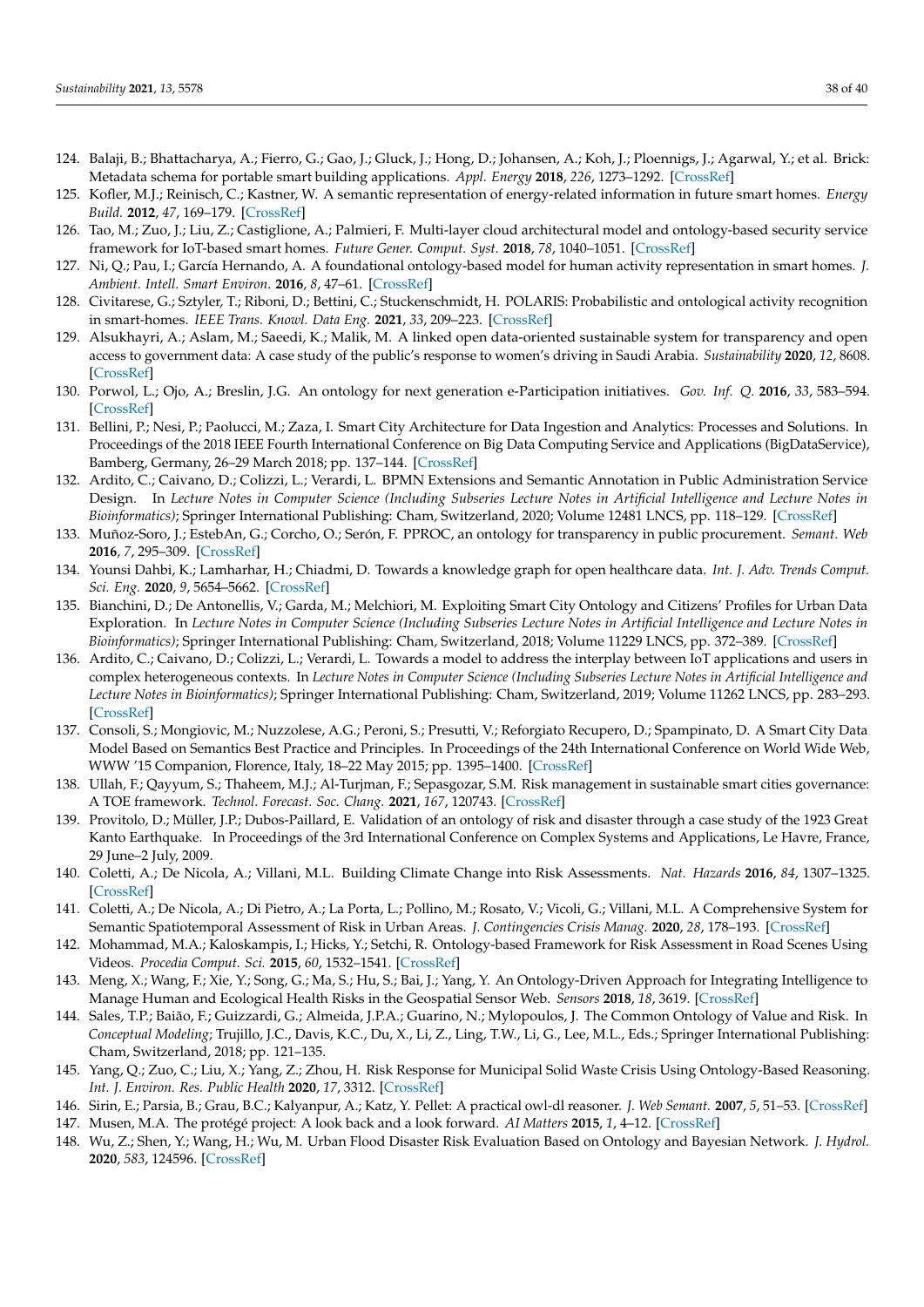- <span id="page-37-0"></span>124. Balaji, B.; Bhattacharya, A.; Fierro, G.; Gao, J.; Gluck, J.; Hong, D.; Johansen, A.; Koh, J.; Ploennigs, J.; Agarwal, Y.; et al. Brick: Metadata schema for portable smart building applications. *Appl. Energy* **2018**, *226*, 1273–1292. [\[CrossRef\]](http://dx.doi.org/10.1016/j.apenergy.2018.02.091)
- <span id="page-37-1"></span>125. Kofler, M.J.; Reinisch, C.; Kastner, W. A semantic representation of energy-related information in future smart homes. *Energy Build.* **2012**, *47*, 169–179. [\[CrossRef\]](http://dx.doi.org/10.1016/j.enbuild.2011.11.044)
- <span id="page-37-2"></span>126. Tao, M.; Zuo, J.; Liu, Z.; Castiglione, A.; Palmieri, F. Multi-layer cloud architectural model and ontology-based security service framework for IoT-based smart homes. *Future Gener. Comput. Syst.* **2018**, *78*, 1040–1051. [\[CrossRef\]](http://dx.doi.org/10.1016/j.future.2016.11.011)
- <span id="page-37-3"></span>127. Ni, Q.; Pau, I.; García Hernando, A. A foundational ontology-based model for human activity representation in smart homes. *J. Ambient. Intell. Smart Environ.* **2016**, *8*, 47–61. [\[CrossRef\]](http://dx.doi.org/10.3233/AIS-150359)
- <span id="page-37-4"></span>128. Civitarese, G.; Sztyler, T.; Riboni, D.; Bettini, C.; Stuckenschmidt, H. POLARIS: Probabilistic and ontological activity recognition in smart-homes. *IEEE Trans. Knowl. Data Eng.* **2021**, *33*, 209–223. [\[CrossRef\]](http://dx.doi.org/10.1109/TKDE.2019.2930050)
- <span id="page-37-5"></span>129. Alsukhayri, A.; Aslam, M.; Saeedi, K.; Malik, M. A linked open data-oriented sustainable system for transparency and open access to government data: A case study of the public's response to women's driving in Saudi Arabia. *Sustainability* **2020**, *12*, 8608. [\[CrossRef\]](http://dx.doi.org/10.3390/su12208608)
- <span id="page-37-6"></span>130. Porwol, L.; Ojo, A.; Breslin, J.G. An ontology for next generation e-Participation initiatives. *Gov. Inf. Q.* **2016**, *33*, 583–594. [\[CrossRef\]](http://dx.doi.org/10.1016/j.giq.2016.01.007)
- <span id="page-37-7"></span>131. Bellini, P.; Nesi, P.; Paolucci, M.; Zaza, I. Smart City Architecture for Data Ingestion and Analytics: Processes and Solutions. In Proceedings of the 2018 IEEE Fourth International Conference on Big Data Computing Service and Applications (BigDataService), Bamberg, Germany, 26–29 March 2018; pp. 137–144. [\[CrossRef\]](http://dx.doi.org/10.1109/BigDataService.2018.00028)
- <span id="page-37-8"></span>132. Ardito, C.; Caivano, D.; Colizzi, L.; Verardi, L. BPMN Extensions and Semantic Annotation in Public Administration Service Design. In *Lecture Notes in Computer Science (Including Subseries Lecture Notes in Artificial Intelligence and Lecture Notes in Bioinformatics)*; Springer International Publishing: Cham, Switzerland, 2020; Volume 12481 LNCS, pp. 118–129. [\[CrossRef\]](http://dx.doi.org/10.1007/978-3-030-64266-2_7)
- <span id="page-37-9"></span>133. Muñoz-Soro, J.; EstebAn, G.; Corcho, O.; Serón, F. PPROC, an ontology for transparency in public procurement. *Semant. Web* **2016**, *7*, 295–309. [\[CrossRef\]](http://dx.doi.org/10.3233/SW-150195)
- <span id="page-37-10"></span>134. Younsi Dahbi, K.; Lamharhar, H.; Chiadmi, D. Towards a knowledge graph for open healthcare data. *Int. J. Adv. Trends Comput. Sci. Eng.* **2020**, *9*, 5654–5662. [\[CrossRef\]](http://dx.doi.org/10.30534/ijatcse/2020/216942020)
- <span id="page-37-11"></span>135. Bianchini, D.; De Antonellis, V.; Garda, M.; Melchiori, M. Exploiting Smart City Ontology and Citizens' Profiles for Urban Data Exploration. In *Lecture Notes in Computer Science (Including Subseries Lecture Notes in Artificial Intelligence and Lecture Notes in Bioinformatics)*; Springer International Publishing: Cham, Switzerland, 2018; Volume 11229 LNCS, pp. 372–389. [\[CrossRef\]](http://dx.doi.org/10.1007/978-3-030-02610-3_21)
- <span id="page-37-12"></span>136. Ardito, C.; Caivano, D.; Colizzi, L.; Verardi, L. Towards a model to address the interplay between IoT applications and users in complex heterogeneous contexts. In *Lecture Notes in Computer Science (Including Subseries Lecture Notes in Artificial Intelligence and Lecture Notes in Bioinformatics)*; Springer International Publishing: Cham, Switzerland, 2019; Volume 11262 LNCS, pp. 283–293. [\[CrossRef\]](http://dx.doi.org/10.1007/978-3-030-05909-5_17)
- <span id="page-37-13"></span>137. Consoli, S.; Mongiovic, M.; Nuzzolese, A.G.; Peroni, S.; Presutti, V.; Reforgiato Recupero, D.; Spampinato, D. A Smart City Data Model Based on Semantics Best Practice and Principles. In Proceedings of the 24th International Conference on World Wide Web, WWW '15 Companion, Florence, Italy, 18–22 May 2015; pp. 1395–1400. [\[CrossRef\]](http://dx.doi.org/10.1145/2740908.2742133)
- <span id="page-37-14"></span>138. Ullah, F.; Qayyum, S.; Thaheem, M.J.; Al-Turjman, F.; Sepasgozar, S.M. Risk management in sustainable smart cities governance: A TOE framework. *Technol. Forecast. Soc. Chang.* **2021**, *167*, 120743. [\[CrossRef\]](http://dx.doi.org/10.1016/j.techfore.2021.120743)
- <span id="page-37-15"></span>139. Provitolo, D.; Müller, J.P.; Dubos-Paillard, E. Validation of an ontology of risk and disaster through a case study of the 1923 Great Kanto Earthquake. In Proceedings of the 3rd International Conference on Complex Systems and Applications, Le Havre, France, 29 June–2 July, 2009.
- <span id="page-37-16"></span>140. Coletti, A.; De Nicola, A.; Villani, M.L. Building Climate Change into Risk Assessments. *Nat. Hazards* **2016**, *84*, 1307–1325. [\[CrossRef\]](http://dx.doi.org/10.1007/s11069-016-2487-6)
- <span id="page-37-17"></span>141. Coletti, A.; De Nicola, A.; Di Pietro, A.; La Porta, L.; Pollino, M.; Rosato, V.; Vicoli, G.; Villani, M.L. A Comprehensive System for Semantic Spatiotemporal Assessment of Risk in Urban Areas. *J. Contingencies Crisis Manag.* **2020**, *28*, 178–193. [\[CrossRef\]](http://dx.doi.org/10.1111/1468-5973.12309)
- <span id="page-37-18"></span>142. Mohammad, M.A.; Kaloskampis, I.; Hicks, Y.; Setchi, R. Ontology-based Framework for Risk Assessment in Road Scenes Using Videos. *Procedia Comput. Sci.* **2015**, *60*, 1532–1541. [\[CrossRef\]](http://dx.doi.org/10.1016/j.procs.2015.08.300)
- <span id="page-37-19"></span>143. Meng, X.; Wang, F.; Xie, Y.; Song, G.; Ma, S.; Hu, S.; Bai, J.; Yang, Y. An Ontology-Driven Approach for Integrating Intelligence to Manage Human and Ecological Health Risks in the Geospatial Sensor Web. *Sensors* **2018**, *18*, 3619. [\[CrossRef\]](http://dx.doi.org/10.3390/s18113619)
- <span id="page-37-20"></span>144. Sales, T.P.; Baião, F.; Guizzardi, G.; Almeida, J.P.A.; Guarino, N.; Mylopoulos, J. The Common Ontology of Value and Risk. In *Conceptual Modeling*; Trujillo, J.C., Davis, K.C., Du, X., Li, Z., Ling, T.W., Li, G., Lee, M.L., Eds.; Springer International Publishing: Cham, Switzerland, 2018; pp. 121–135.
- <span id="page-37-21"></span>145. Yang, Q.; Zuo, C.; Liu, X.; Yang, Z.; Zhou, H. Risk Response for Municipal Solid Waste Crisis Using Ontology-Based Reasoning. *Int. J. Environ. Res. Public Health* **2020**, *17*, 3312. [\[CrossRef\]](http://dx.doi.org/10.3390/ijerph17093312)
- <span id="page-37-22"></span>146. Sirin, E.; Parsia, B.; Grau, B.C.; Kalyanpur, A.; Katz, Y. Pellet: A practical owl-dl reasoner. *J. Web Semant.* **2007**, *5*, 51–53. [\[CrossRef\]](http://dx.doi.org/10.1016/j.websem.2007.03.004)
- <span id="page-37-23"></span>147. Musen, M.A. The protégé project: A look back and a look forward. *AI Matters* **2015**, *1*, 4–12. [\[CrossRef\]](http://dx.doi.org/10.1145/2757001.2757003)
- <span id="page-37-24"></span>148. Wu, Z.; Shen, Y.; Wang, H.; Wu, M. Urban Flood Disaster Risk Evaluation Based on Ontology and Bayesian Network. *J. Hydrol.* **2020**, *583*, 124596. [\[CrossRef\]](http://dx.doi.org/10.1016/j.jhydrol.2020.124596)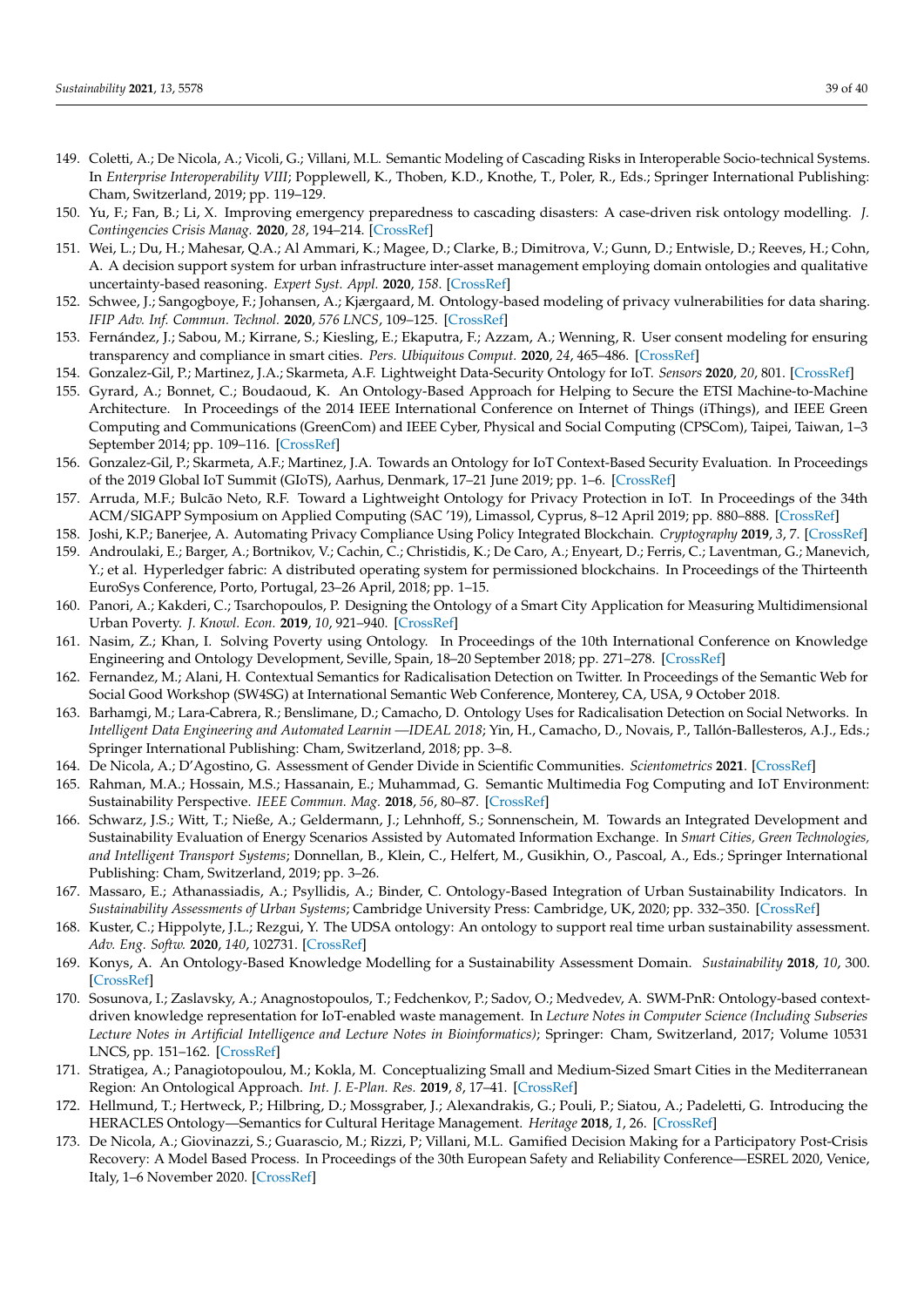- <span id="page-38-0"></span>149. Coletti, A.; De Nicola, A.; Vicoli, G.; Villani, M.L. Semantic Modeling of Cascading Risks in Interoperable Socio-technical Systems. In *Enterprise Interoperability VIII*; Popplewell, K., Thoben, K.D., Knothe, T., Poler, R., Eds.; Springer International Publishing: Cham, Switzerland, 2019; pp. 119–129.
- <span id="page-38-1"></span>150. Yu, F.; Fan, B.; Li, X. Improving emergency preparedness to cascading disasters: A case-driven risk ontology modelling. *J. Contingencies Crisis Manag.* **2020**, *28*, 194–214. [\[CrossRef\]](http://dx.doi.org/10.1111/1468-5973.12314)
- <span id="page-38-2"></span>151. Wei, L.; Du, H.; Mahesar, Q.A.; Al Ammari, K.; Magee, D.; Clarke, B.; Dimitrova, V.; Gunn, D.; Entwisle, D.; Reeves, H.; Cohn, A. A decision support system for urban infrastructure inter-asset management employing domain ontologies and qualitative uncertainty-based reasoning. *Expert Syst. Appl.* **2020**, *158*. [\[CrossRef\]](http://dx.doi.org/10.1016/j.eswa.2020.113461)
- <span id="page-38-3"></span>152. Schwee, J.; Sangogboye, F.; Johansen, A.; Kjærgaard, M. Ontology-based modeling of privacy vulnerabilities for data sharing. *IFIP Adv. Inf. Commun. Technol.* **2020**, *576 LNCS*, 109–125. [\[CrossRef\]](http://dx.doi.org/10.1007/978-3-030-42504-3_8)
- <span id="page-38-4"></span>153. Fernández, J.; Sabou, M.; Kirrane, S.; Kiesling, E.; Ekaputra, F.; Azzam, A.; Wenning, R. User consent modeling for ensuring transparency and compliance in smart cities. *Pers. Ubiquitous Comput.* **2020**, *24*, 465–486. [\[CrossRef\]](http://dx.doi.org/10.1007/s00779-019-01330-0)
- <span id="page-38-5"></span>154. Gonzalez-Gil, P.; Martinez, J.A.; Skarmeta, A.F. Lightweight Data-Security Ontology for IoT. *Sensors* **2020**, *20*, 801. [\[CrossRef\]](http://dx.doi.org/10.3390/s20030801)
- <span id="page-38-6"></span>155. Gyrard, A.; Bonnet, C.; Boudaoud, K. An Ontology-Based Approach for Helping to Secure the ETSI Machine-to-Machine Architecture. In Proceedings of the 2014 IEEE International Conference on Internet of Things (iThings), and IEEE Green Computing and Communications (GreenCom) and IEEE Cyber, Physical and Social Computing (CPSCom), Taipei, Taiwan, 1–3 September 2014; pp. 109–116. [\[CrossRef\]](http://dx.doi.org/10.1109/iThings.2014.25)
- <span id="page-38-7"></span>156. Gonzalez-Gil, P.; Skarmeta, A.F.; Martinez, J.A. Towards an Ontology for IoT Context-Based Security Evaluation. In Proceedings of the 2019 Global IoT Summit (GIoTS), Aarhus, Denmark, 17–21 June 2019; pp. 1–6. [\[CrossRef\]](http://dx.doi.org/10.1109/GIOTS.2019.8766400)
- <span id="page-38-8"></span>157. Arruda, M.F.; Bulcão Neto, R.F. Toward a Lightweight Ontology for Privacy Protection in IoT. In Proceedings of the 34th ACM/SIGAPP Symposium on Applied Computing (SAC '19), Limassol, Cyprus, 8–12 April 2019; pp. 880–888. [\[CrossRef\]](http://dx.doi.org/10.1145/3297280.3297367)
- <span id="page-38-9"></span>158. Joshi, K.P.; Banerjee, A. Automating Privacy Compliance Using Policy Integrated Blockchain. *Cryptography* **2019**, *3*, 7. [\[CrossRef\]](http://dx.doi.org/10.3390/cryptography3010007)
- <span id="page-38-10"></span>159. Androulaki, E.; Barger, A.; Bortnikov, V.; Cachin, C.; Christidis, K.; De Caro, A.; Enyeart, D.; Ferris, C.; Laventman, G.; Manevich, Y.; et al. Hyperledger fabric: A distributed operating system for permissioned blockchains. In Proceedings of the Thirteenth EuroSys Conference, Porto, Portugal, 23–26 April, 2018; pp. 1–15.
- <span id="page-38-11"></span>160. Panori, A.; Kakderi, C.; Tsarchopoulos, P. Designing the Ontology of a Smart City Application for Measuring Multidimensional Urban Poverty. *J. Knowl. Econ.* **2019**, *10*, 921–940. [\[CrossRef\]](http://dx.doi.org/10.1007/s13132-017-0504-y)
- <span id="page-38-12"></span>161. Nasim, Z.; Khan, I. Solving Poverty using Ontology. In Proceedings of the 10th International Conference on Knowledge Engineering and Ontology Development, Seville, Spain, 18–20 September 2018; pp. 271–278. [\[CrossRef\]](http://dx.doi.org/10.5220/0006944102710278)
- <span id="page-38-13"></span>162. Fernandez, M.; Alani, H. Contextual Semantics for Radicalisation Detection on Twitter. In Proceedings of the Semantic Web for Social Good Workshop (SW4SG) at International Semantic Web Conference, Monterey, CA, USA, 9 October 2018.
- <span id="page-38-14"></span>163. Barhamgi, M.; Lara-Cabrera, R.; Benslimane, D.; Camacho, D. Ontology Uses for Radicalisation Detection on Social Networks. In *Intelligent Data Engineering and Automated Learnin —IDEAL 2018*; Yin, H., Camacho, D., Novais, P., Tallón-Ballesteros, A.J., Eds.; Springer International Publishing: Cham, Switzerland, 2018; pp. 3–8.
- <span id="page-38-15"></span>164. De Nicola, A.; D'Agostino, G. Assessment of Gender Divide in Scientific Communities. *Scientometrics* **2021**. [\[CrossRef\]](http://dx.doi.org/10.1007/s11192-021-03885-3)
- <span id="page-38-16"></span>165. Rahman, M.A.; Hossain, M.S.; Hassanain, E.; Muhammad, G. Semantic Multimedia Fog Computing and IoT Environment: Sustainability Perspective. *IEEE Commun. Mag.* **2018**, *56*, 80–87. [\[CrossRef\]](http://dx.doi.org/10.1109/MCOM.2018.1700907)
- <span id="page-38-17"></span>166. Schwarz, J.S.; Witt, T.; Nieße, A.; Geldermann, J.; Lehnhoff, S.; Sonnenschein, M. Towards an Integrated Development and Sustainability Evaluation of Energy Scenarios Assisted by Automated Information Exchange. In *Smart Cities, Green Technologies, and Intelligent Transport Systems*; Donnellan, B., Klein, C., Helfert, M., Gusikhin, O., Pascoal, A., Eds.; Springer International Publishing: Cham, Switzerland, 2019; pp. 3–26.
- <span id="page-38-18"></span>167. Massaro, E.; Athanassiadis, A.; Psyllidis, A.; Binder, C. Ontology-Based Integration of Urban Sustainability Indicators. In *Sustainability Assessments of Urban Systems*; Cambridge University Press: Cambridge, UK, 2020; pp. 332–350. [\[CrossRef\]](http://dx.doi.org/10.1017/9781108574334.016)
- <span id="page-38-19"></span>168. Kuster, C.; Hippolyte, J.L.; Rezgui, Y. The UDSA ontology: An ontology to support real time urban sustainability assessment. *Adv. Eng. Softw.* **2020**, *140*, 102731. [\[CrossRef\]](http://dx.doi.org/10.1016/j.advengsoft.2019.102731)
- <span id="page-38-20"></span>169. Konys, A. An Ontology-Based Knowledge Modelling for a Sustainability Assessment Domain. *Sustainability* **2018**, *10*, 300. [\[CrossRef\]](http://dx.doi.org/10.3390/su10020300)
- <span id="page-38-21"></span>170. Sosunova, I.; Zaslavsky, A.; Anagnostopoulos, T.; Fedchenkov, P.; Sadov, O.; Medvedev, A. SWM-PnR: Ontology-based contextdriven knowledge representation for IoT-enabled waste management. In *Lecture Notes in Computer Science (Including Subseries Lecture Notes in Artificial Intelligence and Lecture Notes in Bioinformatics)*; Springer: Cham, Switzerland, 2017; Volume 10531 LNCS, pp. 151–162. [\[CrossRef\]](http://dx.doi.org/10.1007/978-3-319-67380-6_14)
- <span id="page-38-22"></span>171. Stratigea, A.; Panagiotopoulou, M.; Kokla, M. Conceptualizing Small and Medium-Sized Smart Cities in the Mediterranean Region: An Ontological Approach. *Int. J. E-Plan. Res.* **2019**, *8*, 17–41. [\[CrossRef\]](http://dx.doi.org/10.4018/IJEPR.2019100102)
- <span id="page-38-23"></span>172. Hellmund, T.; Hertweck, P.; Hilbring, D.; Mossgraber, J.; Alexandrakis, G.; Pouli, P.; Siatou, A.; Padeletti, G. Introducing the HERACLES Ontology—Semantics for Cultural Heritage Management. *Heritage* **2018**, *1*, 26. [\[CrossRef\]](http://dx.doi.org/10.3390/heritage1020026)
- <span id="page-38-24"></span>173. De Nicola, A.; Giovinazzi, S.; Guarascio, M.; Rizzi, P; Villani, M.L. Gamified Decision Making for a Participatory Post-Crisis Recovery: A Model Based Process. In Proceedings of the 30th European Safety and Reliability Conference—ESREL 2020, Venice, Italy, 1–6 November 2020. [\[CrossRef\]](http://dx.doi.org/10.3850/978-981-14-8593-0_5012-cd)